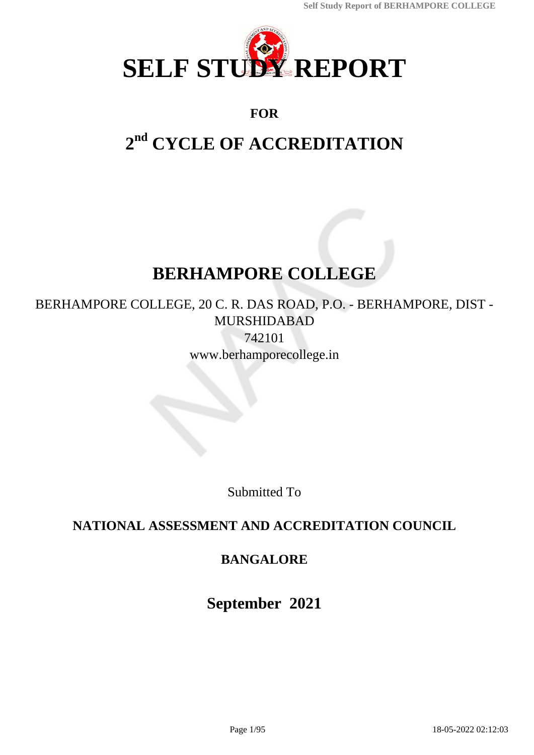

# **FOR**

# **2 nd CYCLE OF ACCREDITATION**

# **BERHAMPORE COLLEGE**

BERHAMPORE COLLEGE, 20 C. R. DAS ROAD, P.O. - BERHAMPORE, DIST - MURSHIDABAD 742101 www.berhamporecollege.in

Submitted To

# **NATIONAL ASSESSMENT AND ACCREDITATION COUNCIL**

# **BANGALORE**

**September 2021**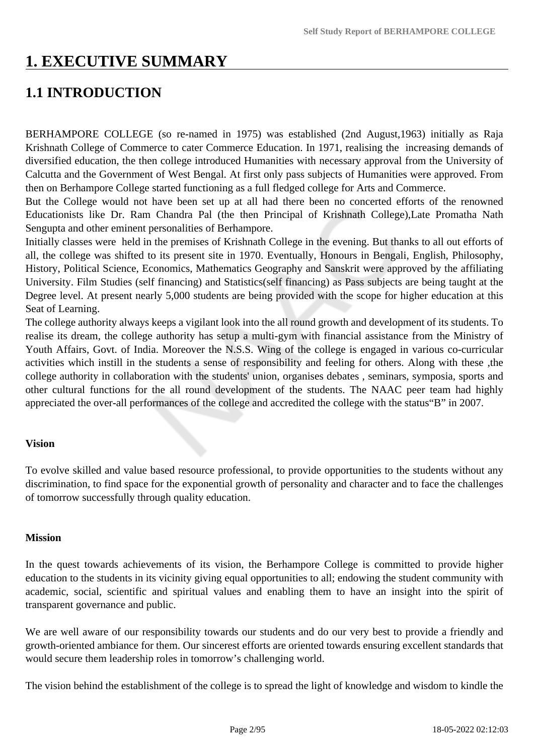# **1. EXECUTIVE SUMMARY**

# **1.1 INTRODUCTION**

BERHAMPORE COLLEGE (so re-named in 1975) was established (2nd August,1963) initially as Raja Krishnath College of Commerce to cater Commerce Education. In 1971, realising the increasing demands of diversified education, the then college introduced Humanities with necessary approval from the University of Calcutta and the Government of West Bengal. At first only pass subjects of Humanities were approved. From then on Berhampore College started functioning as a full fledged college for Arts and Commerce.

But the College would not have been set up at all had there been no concerted efforts of the renowned Educationists like Dr. Ram Chandra Pal (the then Principal of Krishnath College),Late Promatha Nath Sengupta and other eminent personalities of Berhampore.

Initially classes were held in the premises of Krishnath College in the evening. But thanks to all out efforts of all, the college was shifted to its present site in 1970. Eventually, Honours in Bengali, English, Philosophy, History, Political Science, Economics, Mathematics Geography and Sanskrit were approved by the affiliating University. Film Studies (self financing) and Statistics(self financing) as Pass subjects are being taught at the Degree level. At present nearly 5,000 students are being provided with the scope for higher education at this Seat of Learning.

The college authority always keeps a vigilant look into the all round growth and development of its students. To realise its dream, the college authority has setup a multi-gym with financial assistance from the Ministry of Youth Affairs, Govt. of India. Moreover the N.S.S. Wing of the college is engaged in various co-curricular activities which instill in the students a sense of responsibility and feeling for others. Along with these ,the college authority in collaboration with the students' union, organises debates , seminars, symposia, sports and other cultural functions for the all round development of the students. The NAAC peer team had highly appreciated the over-all performances of the college and accredited the college with the status"B" in 2007.

### **Vision**

To evolve skilled and value based resource professional, to provide opportunities to the students without any discrimination, to find space for the exponential growth of personality and character and to face the challenges of tomorrow successfully through quality education.

### **Mission**

In the quest towards achievements of its vision, the Berhampore College is committed to provide higher education to the students in its vicinity giving equal opportunities to all; endowing the student community with academic, social, scientific and spiritual values and enabling them to have an insight into the spirit of transparent governance and public.

We are well aware of our responsibility towards our students and do our very best to provide a friendly and growth-oriented ambiance for them. Our sincerest efforts are oriented towards ensuring excellent standards that would secure them leadership roles in tomorrow's challenging world.

The vision behind the establishment of the college is to spread the light of knowledge and wisdom to kindle the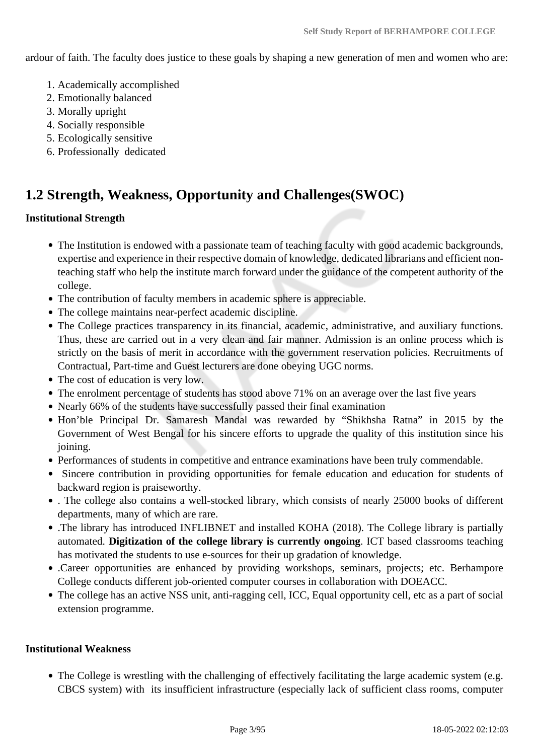ardour of faith. The faculty does justice to these goals by shaping a new generation of men and women who are:

- 1. Academically accomplished
- 2. Emotionally balanced
- 3. Morally upright
- 4. Socially responsible
- 5. Ecologically sensitive
- 6. Professionally dedicated

# **1.2 Strength, Weakness, Opportunity and Challenges(SWOC)**

### **Institutional Strength**

- The Institution is endowed with a passionate team of teaching faculty with good academic backgrounds, expertise and experience in their respective domain of knowledge, dedicated librarians and efficient nonteaching staff who help the institute march forward under the guidance of the competent authority of the college.
- The contribution of faculty members in academic sphere is appreciable.
- The college maintains near-perfect academic discipline.
- The College practices transparency in its financial, academic, administrative, and auxiliary functions. Thus, these are carried out in a very clean and fair manner. Admission is an online process which is strictly on the basis of merit in accordance with the government reservation policies. Recruitments of Contractual, Part-time and Guest lecturers are done obeying UGC norms.
- The cost of education is very low.
- The enrolment percentage of students has stood above 71% on an average over the last five years
- Nearly 66% of the students have successfully passed their final examination
- Hon'ble Principal Dr. Samaresh Mandal was rewarded by "Shikhsha Ratna" in 2015 by the Government of West Bengal for his sincere efforts to upgrade the quality of this institution since his joining.
- Performances of students in competitive and entrance examinations have been truly commendable.
- Sincere contribution in providing opportunities for female education and education for students of backward region is praiseworthy.
- . The college also contains a well-stocked library, which consists of nearly 25000 books of different departments, many of which are rare.
- .The library has introduced INFLIBNET and installed KOHA (2018). The College library is partially automated. **Digitization of the college library is currently ongoing**. ICT based classrooms teaching has motivated the students to use e-sources for their up gradation of knowledge.
- .Career opportunities are enhanced by providing workshops, seminars, projects; etc. Berhampore College conducts different job-oriented computer courses in collaboration with DOEACC.
- The college has an active NSS unit, anti-ragging cell, ICC, Equal opportunity cell, etc as a part of social extension programme.

### **Institutional Weakness**

• The College is wrestling with the challenging of effectively facilitating the large academic system (e.g. CBCS system) with its insufficient infrastructure (especially lack of sufficient class rooms, computer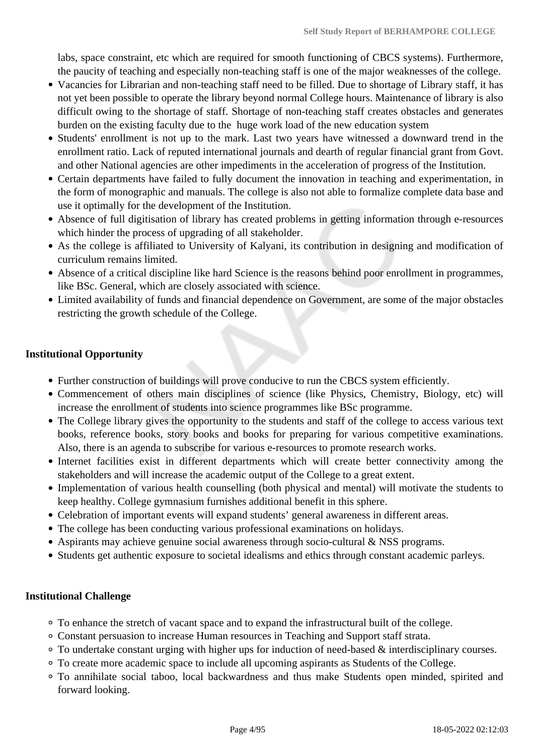labs, space constraint, etc which are required for smooth functioning of CBCS systems). Furthermore, the paucity of teaching and especially non-teaching staff is one of the major weaknesses of the college.

- Vacancies for Librarian and non-teaching staff need to be filled. Due to shortage of Library staff, it has not yet been possible to operate the library beyond normal College hours. Maintenance of library is also difficult owing to the shortage of staff. Shortage of non-teaching staff creates obstacles and generates burden on the existing faculty due to the huge work load of the new education system
- Students' enrollment is not up to the mark. Last two years have witnessed a downward trend in the enrollment ratio. Lack of reputed international journals and dearth of regular financial grant from Govt. and other National agencies are other impediments in the acceleration of progress of the Institution.
- Certain departments have failed to fully document the innovation in teaching and experimentation, in the form of monographic and manuals. The college is also not able to formalize complete data base and use it optimally for the development of the Institution.
- Absence of full digitisation of library has created problems in getting information through e-resources which hinder the process of upgrading of all stakeholder.
- As the college is affiliated to University of Kalyani, its contribution in designing and modification of curriculum remains limited.
- Absence of a critical discipline like hard Science is the reasons behind poor enrollment in programmes, like BSc. General, which are closely associated with science.
- Limited availability of funds and financial dependence on Government, are some of the major obstacles restricting the growth schedule of the College.

# **Institutional Opportunity**

- Further construction of buildings will prove conducive to run the CBCS system efficiently.
- Commencement of others main disciplines of science (like Physics, Chemistry, Biology, etc) will increase the enrollment of students into science programmes like BSc programme.
- The College library gives the opportunity to the students and staff of the college to access various text books, reference books, story books and books for preparing for various competitive examinations. Also, there is an agenda to subscribe for various e-resources to promote research works.
- Internet facilities exist in different departments which will create better connectivity among the stakeholders and will increase the academic output of the College to a great extent.
- Implementation of various health counselling (both physical and mental) will motivate the students to keep healthy. College gymnasium furnishes additional benefit in this sphere.
- Celebration of important events will expand students' general awareness in different areas.
- The college has been conducting various professional examinations on holidays.
- Aspirants may achieve genuine social awareness through socio-cultural & NSS programs.
- Students get authentic exposure to societal idealisms and ethics through constant academic parleys.

### **Institutional Challenge**

- To enhance the stretch of vacant space and to expand the infrastructural built of the college.
- Constant persuasion to increase Human resources in Teaching and Support staff strata.
- To undertake constant urging with higher ups for induction of need-based & interdisciplinary courses.
- To create more academic space to include all upcoming aspirants as Students of the College.
- To annihilate social taboo, local backwardness and thus make Students open minded, spirited and forward looking.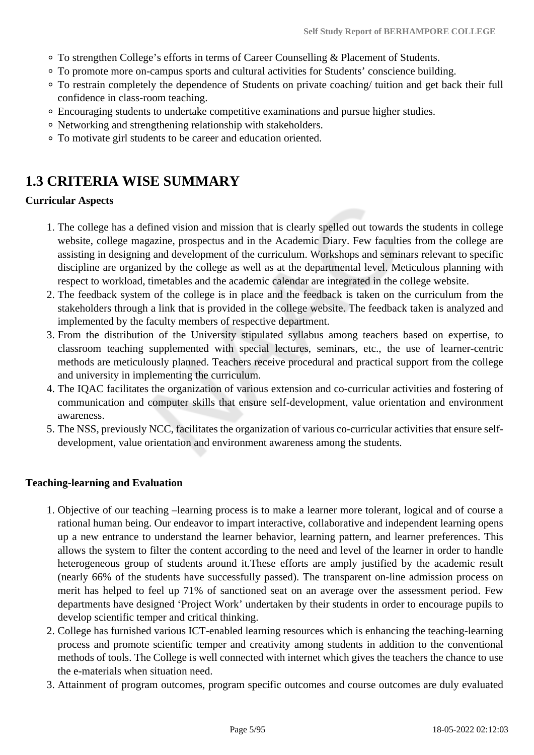- To strengthen College's efforts in terms of Career Counselling & Placement of Students.
- To promote more on-campus sports and cultural activities for Students' conscience building.
- To restrain completely the dependence of Students on private coaching/ tuition and get back their full confidence in class-room teaching.
- Encouraging students to undertake competitive examinations and pursue higher studies.
- Networking and strengthening relationship with stakeholders.
- To motivate girl students to be career and education oriented.

# **1.3 CRITERIA WISE SUMMARY**

### **Curricular Aspects**

- 1. The college has a defined vision and mission that is clearly spelled out towards the students in college website, college magazine, prospectus and in the Academic Diary. Few faculties from the college are assisting in designing and development of the curriculum. Workshops and seminars relevant to specific discipline are organized by the college as well as at the departmental level. Meticulous planning with respect to workload, timetables and the academic calendar are integrated in the college website.
- 2. The feedback system of the college is in place and the feedback is taken on the curriculum from the stakeholders through a link that is provided in the college website. The feedback taken is analyzed and implemented by the faculty members of respective department.
- 3. From the distribution of the University stipulated syllabus among teachers based on expertise, to classroom teaching supplemented with special lectures, seminars, etc., the use of learner-centric methods are meticulously planned. Teachers receive procedural and practical support from the college and university in implementing the curriculum.
- 4. The IQAC facilitates the organization of various extension and co-curricular activities and fostering of communication and computer skills that ensure self-development, value orientation and environment awareness.
- 5. The NSS, previously NCC, facilitates the organization of various co-curricular activities that ensure selfdevelopment, value orientation and environment awareness among the students.

### **Teaching-learning and Evaluation**

- 1. Objective of our teaching –learning process is to make a learner more tolerant, logical and of course a rational human being. Our endeavor to impart interactive, collaborative and independent learning opens up a new entrance to understand the learner behavior, learning pattern, and learner preferences. This allows the system to filter the content according to the need and level of the learner in order to handle heterogeneous group of students around it.These efforts are amply justified by the academic result (nearly 66% of the students have successfully passed). The transparent on-line admission process on merit has helped to feel up 71% of sanctioned seat on an average over the assessment period. Few departments have designed 'Project Work' undertaken by their students in order to encourage pupils to develop scientific temper and critical thinking.
- 2. College has furnished various ICT-enabled learning resources which is enhancing the teaching-learning process and promote scientific temper and creativity among students in addition to the conventional methods of tools. The College is well connected with internet which gives the teachers the chance to use the e-materials when situation need.
- 3. Attainment of program outcomes, program specific outcomes and course outcomes are duly evaluated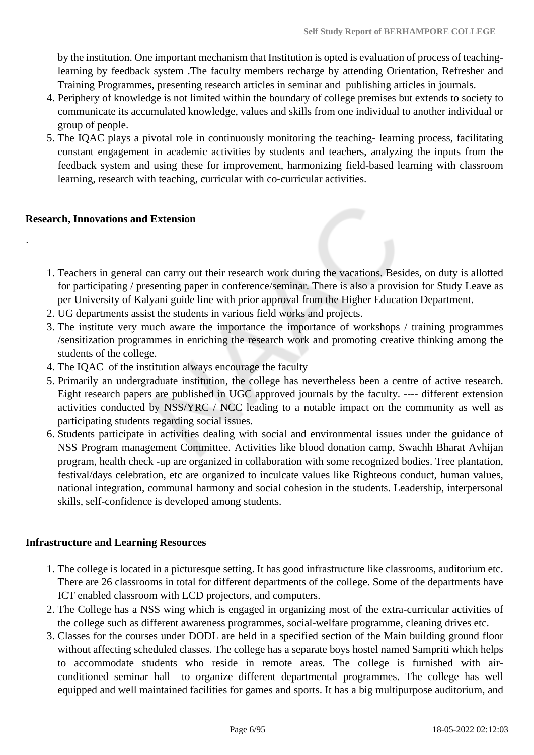by the institution. One important mechanism that Institution is opted is evaluation of process of teachinglearning by feedback system .The faculty members recharge by attending Orientation, Refresher and Training Programmes, presenting research articles in seminar and publishing articles in journals.

- 4. Periphery of knowledge is not limited within the boundary of college premises but extends to society to communicate its accumulated knowledge, values and skills from one individual to another individual or group of people.
- 5. The IQAC plays a pivotal role in continuously monitoring the teaching- learning process, facilitating constant engagement in academic activities by students and teachers, analyzing the inputs from the feedback system and using these for improvement, harmonizing field-based learning with classroom learning, research with teaching, curricular with co-curricular activities.

#### **Research, Innovations and Extension**

`

- 1. Teachers in general can carry out their research work during the vacations. Besides, on duty is allotted for participating / presenting paper in conference/seminar. There is also a provision for Study Leave as per University of Kalyani guide line with prior approval from the Higher Education Department.
- 2. UG departments assist the students in various field works and projects.
- 3. The institute very much aware the importance the importance of workshops / training programmes /sensitization programmes in enriching the research work and promoting creative thinking among the students of the college.
- 4. The IQAC of the institution always encourage the faculty
- 5. Primarily an undergraduate institution, the college has nevertheless been a centre of active research. Eight research papers are published in UGC approved journals by the faculty. ---- different extension activities conducted by NSS/YRC / NCC leading to a notable impact on the community as well as participating students regarding social issues.
- 6. Students participate in activities dealing with social and environmental issues under the guidance of NSS Program management Committee. Activities like blood donation camp, Swachh Bharat Avhijan program, health check -up are organized in collaboration with some recognized bodies. Tree plantation, festival/days celebration, etc are organized to inculcate values like Righteous conduct, human values, national integration, communal harmony and social cohesion in the students. Leadership, interpersonal skills, self-confidence is developed among students.

#### **Infrastructure and Learning Resources**

- 1. The college is located in a picturesque setting. It has good infrastructure like classrooms, auditorium etc. There are 26 classrooms in total for different departments of the college. Some of the departments have ICT enabled classroom with LCD projectors, and computers.
- 2. The College has a NSS wing which is engaged in organizing most of the extra-curricular activities of the college such as different awareness programmes, social-welfare programme, cleaning drives etc.
- 3. Classes for the courses under DODL are held in a specified section of the Main building ground floor without affecting scheduled classes. The college has a separate boys hostel named Sampriti which helps to accommodate students who reside in remote areas. The college is furnished with airconditioned seminar hall to organize different departmental programmes. The college has well equipped and well maintained facilities for games and sports. It has a big multipurpose auditorium, and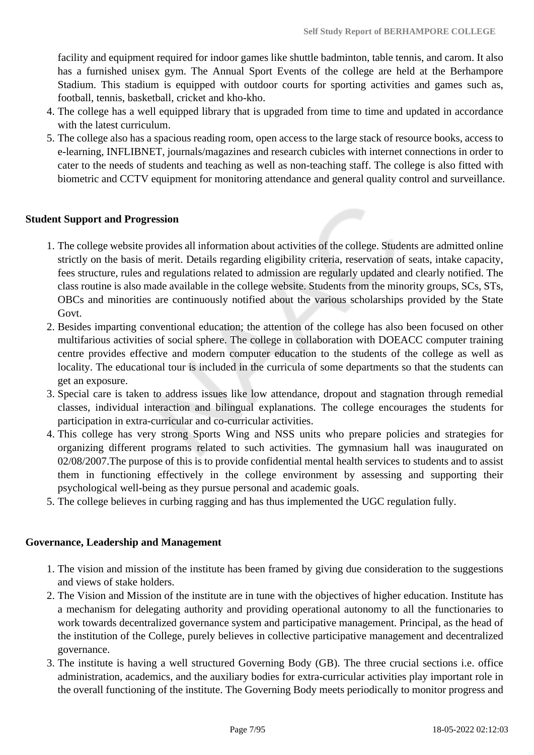facility and equipment required for indoor games like shuttle badminton, table tennis, and carom. It also has a furnished unisex gym. The Annual Sport Events of the college are held at the Berhampore Stadium. This stadium is equipped with outdoor courts for sporting activities and games such as, football, tennis, basketball, cricket and kho-kho.

- 4. The college has a well equipped library that is upgraded from time to time and updated in accordance with the latest curriculum.
- 5. The college also has a spacious reading room, open access to the large stack of resource books, access to e-learning, INFLIBNET, journals/magazines and research cubicles with internet connections in order to cater to the needs of students and teaching as well as non-teaching staff. The college is also fitted with biometric and CCTV equipment for monitoring attendance and general quality control and surveillance.

#### **Student Support and Progression**

- 1. The college website provides all information about activities of the college. Students are admitted online strictly on the basis of merit. Details regarding eligibility criteria, reservation of seats, intake capacity, fees structure, rules and regulations related to admission are regularly updated and clearly notified. The class routine is also made available in the college website. Students from the minority groups, SCs, STs, OBCs and minorities are continuously notified about the various scholarships provided by the State Govt.
- 2. Besides imparting conventional education; the attention of the college has also been focused on other multifarious activities of social sphere. The college in collaboration with DOEACC computer training centre provides effective and modern computer education to the students of the college as well as locality. The educational tour is included in the curricula of some departments so that the students can get an exposure.
- 3. Special care is taken to address issues like low attendance, dropout and stagnation through remedial classes, individual interaction and bilingual explanations. The college encourages the students for participation in extra-curricular and co-curricular activities.
- 4. This college has very strong Sports Wing and NSS units who prepare policies and strategies for organizing different programs related to such activities. The gymnasium hall was inaugurated on 02/08/2007.The purpose of this is to provide confidential mental health services to students and to assist them in functioning effectively in the college environment by assessing and supporting their psychological well-being as they pursue personal and academic goals.
- 5. The college believes in curbing ragging and has thus implemented the UGC regulation fully.

#### **Governance, Leadership and Management**

- 1. The vision and mission of the institute has been framed by giving due consideration to the suggestions and views of stake holders.
- 2. The Vision and Mission of the institute are in tune with the objectives of higher education. Institute has a mechanism for delegating authority and providing operational autonomy to all the functionaries to work towards decentralized governance system and participative management. Principal, as the head of the institution of the College, purely believes in collective participative management and decentralized governance.
- 3. The institute is having a well structured Governing Body (GB). The three crucial sections i.e. office administration, academics, and the auxiliary bodies for extra-curricular activities play important role in the overall functioning of the institute. The Governing Body meets periodically to monitor progress and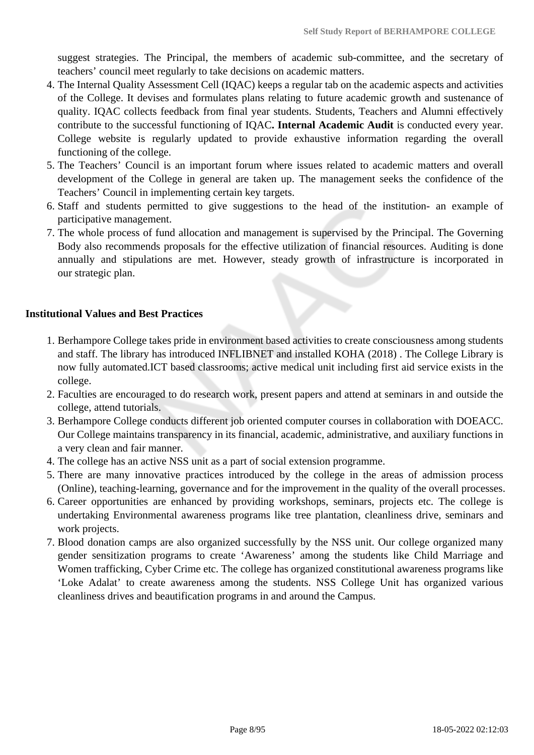suggest strategies. The Principal, the members of academic sub-committee, and the secretary of teachers' council meet regularly to take decisions on academic matters.

- 4. The Internal Quality Assessment Cell (IQAC) keeps a regular tab on the academic aspects and activities of the College. It devises and formulates plans relating to future academic growth and sustenance of quality. IQAC collects feedback from final year students. Students, Teachers and Alumni effectively contribute to the successful functioning of IQAC**. Internal Academic Audit** is conducted every year. College website is regularly updated to provide exhaustive information regarding the overall functioning of the college.
- 5. The Teachers' Council is an important forum where issues related to academic matters and overall development of the College in general are taken up. The management seeks the confidence of the Teachers' Council in implementing certain key targets.
- 6. Staff and students permitted to give suggestions to the head of the institution- an example of participative management.
- 7. The whole process of fund allocation and management is supervised by the Principal. The Governing Body also recommends proposals for the effective utilization of financial resources. Auditing is done annually and stipulations are met. However, steady growth of infrastructure is incorporated in our strategic plan.

### **Institutional Values and Best Practices**

- 1. Berhampore College takes pride in environment based activities to create consciousness among students and staff. The library has introduced INFLIBNET and installed KOHA (2018) . The College Library is now fully automated.ICT based classrooms; active medical unit including first aid service exists in the college.
- 2. Faculties are encouraged to do research work, present papers and attend at seminars in and outside the college, attend tutorials.
- 3. Berhampore College conducts different job oriented computer courses in collaboration with DOEACC. Our College maintains transparency in its financial, academic, administrative, and auxiliary functions in a very clean and fair manner.
- 4. The college has an active NSS unit as a part of social extension programme.
- 5. There are many innovative practices introduced by the college in the areas of admission process (Online), teaching-learning, governance and for the improvement in the quality of the overall processes.
- 6. Career opportunities are enhanced by providing workshops, seminars, projects etc. The college is undertaking Environmental awareness programs like tree plantation, cleanliness drive, seminars and work projects.
- 7. Blood donation camps are also organized successfully by the NSS unit. Our college organized many gender sensitization programs to create 'Awareness' among the students like Child Marriage and Women trafficking, Cyber Crime etc. The college has organized constitutional awareness programs like 'Loke Adalat' to create awareness among the students. NSS College Unit has organized various cleanliness drives and beautification programs in and around the Campus.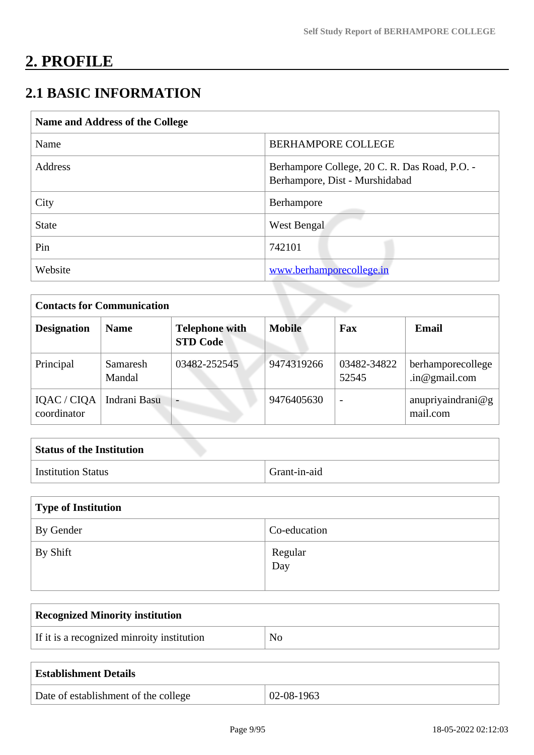# **2. PROFILE**

# **2.1 BASIC INFORMATION**

| Name and Address of the College |                                                                                 |  |  |
|---------------------------------|---------------------------------------------------------------------------------|--|--|
| Name                            | <b>BERHAMPORE COLLEGE</b>                                                       |  |  |
| Address                         | Berhampore College, 20 C. R. Das Road, P.O. -<br>Berhampore, Dist - Murshidabad |  |  |
| City                            | Berhampore                                                                      |  |  |
| <b>State</b>                    | West Bengal                                                                     |  |  |
| Pin                             | 742101                                                                          |  |  |
| Website                         | www.berhamporecollege.in                                                        |  |  |

| <b>Contacts for Communication</b> |                    |                                          |               |                          |                                    |
|-----------------------------------|--------------------|------------------------------------------|---------------|--------------------------|------------------------------------|
| <b>Designation</b>                | <b>Name</b>        | <b>Telephone with</b><br><b>STD Code</b> | <b>Mobile</b> | Fax                      | <b>Email</b>                       |
| Principal                         | Samaresh<br>Mandal | 03482-252545                             | 9474319266    | 03482-34822<br>52545     | berhamporecollege<br>.in@gmail.com |
| IQAC / CIQA<br>coordinator        | Indrani Basu       |                                          | 9476405630    | $\overline{\phantom{0}}$ | anupriyaindrani@g<br>mail.com      |

| <b>Status of the Institution</b> |              |
|----------------------------------|--------------|
| <b>Institution Status</b>        | Grant-in-aid |

| Type of Institution |                |  |
|---------------------|----------------|--|
| By Gender           | Co-education   |  |
| By Shift            | Regular<br>Day |  |

| <b>Recognized Minority institution</b>     |    |
|--------------------------------------------|----|
| If it is a recognized minroity institution | No |
|                                            |    |

| <b>Establishment Details</b>         |            |
|--------------------------------------|------------|
| Date of establishment of the college | 02-08-1963 |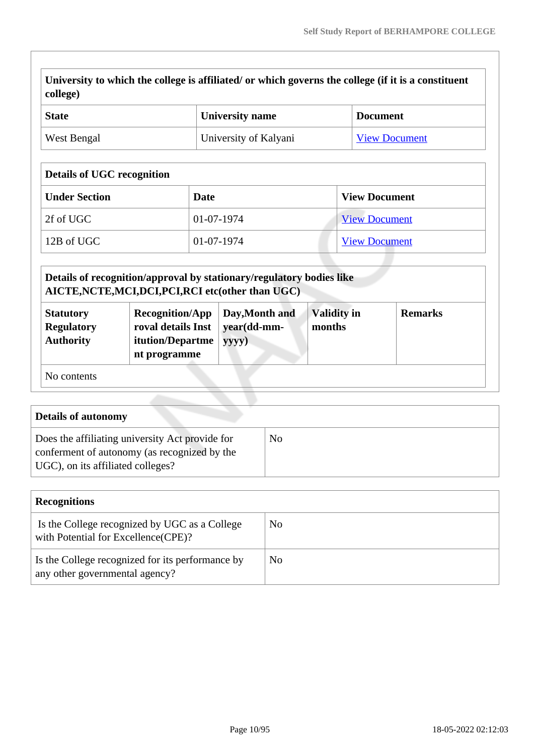**University to which the college is affiliated/ or which governs the college (if it is a constituent college)**

| <b>State</b> | University name       | <b>Document</b>      |
|--------------|-----------------------|----------------------|
| West Bengal  | University of Kalyani | <b>View Document</b> |

# **Details of UGC recognition**

| <b>Under Section</b> | Date       | <b>View Document</b> |
|----------------------|------------|----------------------|
| 2f of UGC            | 01-07-1974 | <b>View Document</b> |
| 12B of UGC           | 01-07-1974 | <b>View Document</b> |

|                                                           | Details of recognition/approval by stationary/regulatory bodies like<br>AICTE, NCTE, MCI, DCI, PCI, RCI etc(other than UGC) |                                        |                              |                |
|-----------------------------------------------------------|-----------------------------------------------------------------------------------------------------------------------------|----------------------------------------|------------------------------|----------------|
| <b>Statutory</b><br><b>Regulatory</b><br><b>Authority</b> | <b>Recognition/App</b><br>roval details Inst<br>itution/Departme<br>nt programme                                            | Day, Month and<br>year(dd-mm-<br>yyyy) | <b>Validity in</b><br>months | <b>Remarks</b> |
| No contents                                               |                                                                                                                             |                                        |                              |                |

| <b>Details of autonomy</b>                                                                                                           |    |
|--------------------------------------------------------------------------------------------------------------------------------------|----|
| Does the affiliating university Act provide for<br>conferment of autonomy (as recognized by the<br>UGC), on its affiliated colleges? | No |

| <b>Recognitions</b>                                                                  |    |
|--------------------------------------------------------------------------------------|----|
| Is the College recognized by UGC as a College<br>with Potential for Excellence(CPE)? | No |
| Is the College recognized for its performance by<br>any other governmental agency?   | No |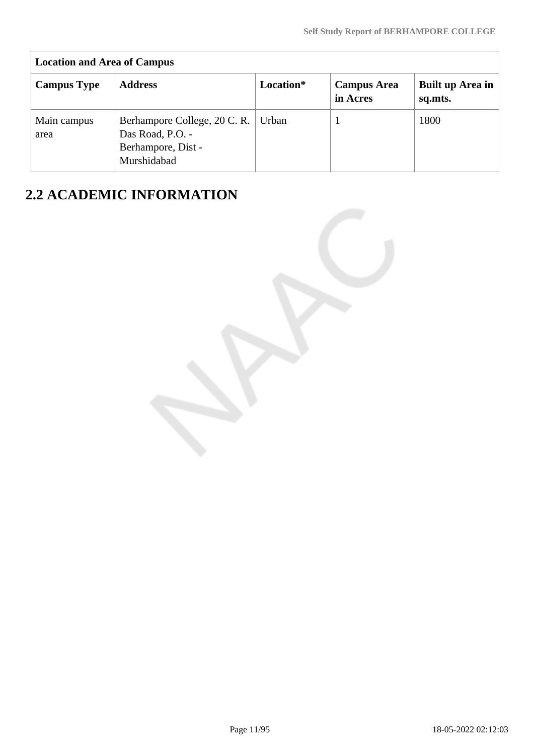| <b>Location and Area of Campus</b> |                                                                                      |           |                                |                             |
|------------------------------------|--------------------------------------------------------------------------------------|-----------|--------------------------------|-----------------------------|
| <b>Campus Type</b>                 | <b>Address</b>                                                                       | Location* | <b>Campus Area</b><br>in Acres | Built up Area in<br>sq.mts. |
| Main campus<br>area                | Berhampore College, 20 C.R.<br>Das Road, P.O. -<br>Berhampore, Dist -<br>Murshidabad | Urban     |                                | 1800                        |

# **2.2 ACADEMIC INFORMATION**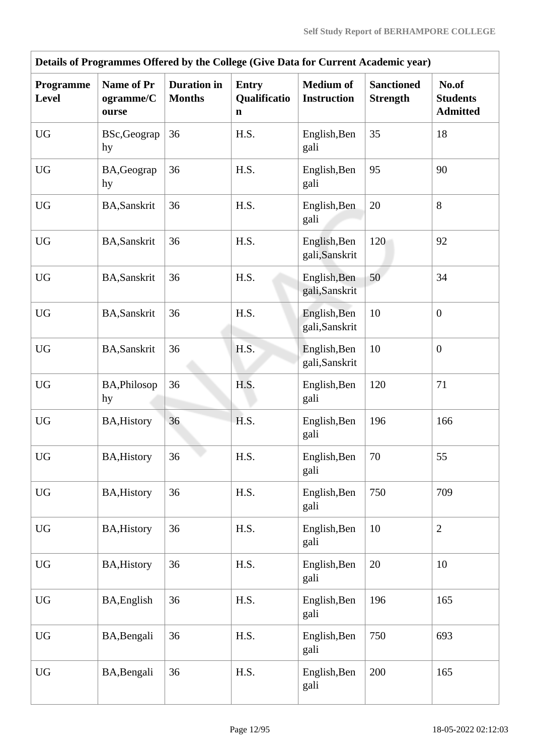|                           | Details of Programmes Offered by the College (Give Data for Current Academic year) |                                     |                                             |                                        |                                      |                                             |  |  |  |  |  |  |
|---------------------------|------------------------------------------------------------------------------------|-------------------------------------|---------------------------------------------|----------------------------------------|--------------------------------------|---------------------------------------------|--|--|--|--|--|--|
| Programme<br><b>Level</b> | Name of Pr<br>ogramme/C<br>ourse                                                   | <b>Duration</b> in<br><b>Months</b> | <b>Entry</b><br>Qualificatio<br>$\mathbf n$ | <b>Medium of</b><br><b>Instruction</b> | <b>Sanctioned</b><br><b>Strength</b> | No.of<br><b>Students</b><br><b>Admitted</b> |  |  |  |  |  |  |
| <b>UG</b>                 | BSc, Geograp<br>hy                                                                 | 36                                  | H.S.                                        | English, Ben<br>gali                   | 35                                   | 18                                          |  |  |  |  |  |  |
| ${\rm U}{\rm G}$          | BA, Geograp<br>hy                                                                  | 36                                  | H.S.                                        | English, Ben<br>gali                   | 95                                   | 90                                          |  |  |  |  |  |  |
| <b>UG</b>                 | BA, Sanskrit                                                                       | 36                                  | H.S.                                        | English, Ben<br>gali                   | 20                                   | 8                                           |  |  |  |  |  |  |
| <b>UG</b>                 | <b>BA, Sanskrit</b>                                                                | 36                                  | H.S.                                        | English, Ben<br>gali, Sanskrit         | 120                                  | 92                                          |  |  |  |  |  |  |
| <b>UG</b>                 | BA, Sanskrit                                                                       | 36                                  | H.S.                                        | English, Ben<br>gali, Sanskrit         | 50                                   | 34                                          |  |  |  |  |  |  |
| <b>UG</b>                 | <b>BA, Sanskrit</b>                                                                | 36                                  | H.S.                                        | English, Ben<br>gali, Sanskrit         | 10                                   | $\boldsymbol{0}$                            |  |  |  |  |  |  |
| <b>UG</b>                 | <b>BA, Sanskrit</b>                                                                | 36                                  | H.S.                                        | English, Ben<br>gali, Sanskrit         | 10                                   | $\boldsymbol{0}$                            |  |  |  |  |  |  |
| <b>UG</b>                 | BA, Philosop<br>hy                                                                 | 36                                  | H.S.                                        | English, Ben<br>gali                   | 120                                  | 71                                          |  |  |  |  |  |  |
| <b>UG</b>                 | <b>BA, History</b>                                                                 | 36                                  | H.S.                                        | English, Ben<br>gali                   | 196                                  | 166                                         |  |  |  |  |  |  |
| ${\rm U}{\rm G}$          | <b>BA, History</b>                                                                 | 36                                  | H.S.                                        | English, Ben<br>gali                   | 70                                   | 55                                          |  |  |  |  |  |  |
| <b>UG</b>                 | <b>BA, History</b>                                                                 | 36                                  | H.S.                                        | English, Ben<br>gali                   | 750                                  | 709                                         |  |  |  |  |  |  |
| $\mathbf{U}\mathbf{G}$    | <b>BA, History</b>                                                                 | 36                                  | H.S.                                        | English, Ben<br>gali                   | 10                                   | $\overline{2}$                              |  |  |  |  |  |  |
| <b>UG</b>                 | <b>BA, History</b>                                                                 | 36                                  | H.S.                                        | English, Ben<br>gali                   | 20                                   | 10                                          |  |  |  |  |  |  |
| <b>UG</b>                 | BA, English                                                                        | 36                                  | H.S.                                        | English, Ben<br>gali                   | 196                                  | 165                                         |  |  |  |  |  |  |
| $\mathbf{U}\mathbf{G}$    | BA, Bengali                                                                        | 36                                  | H.S.                                        | English, Ben<br>gali                   | 750                                  | 693                                         |  |  |  |  |  |  |
| <b>UG</b>                 | BA, Bengali                                                                        | 36                                  | H.S.                                        | English, Ben<br>gali                   | 200                                  | 165                                         |  |  |  |  |  |  |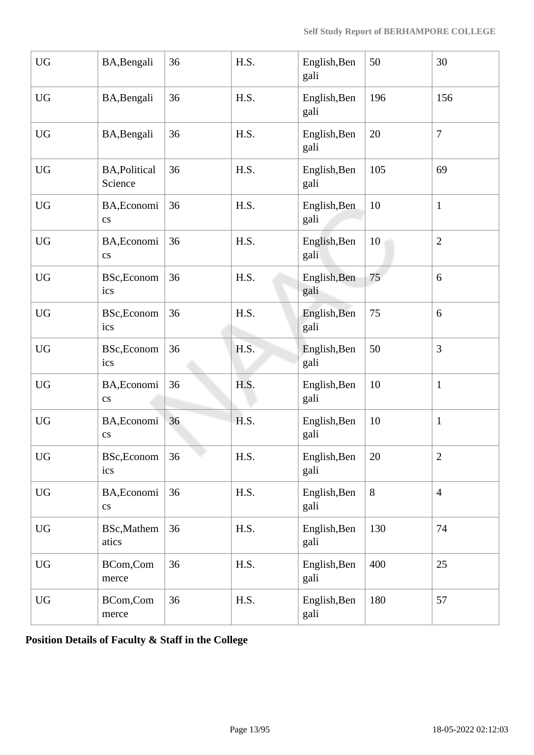| <b>UG</b>              | BA, Bengali                           | 36 | H.S. | English, Ben<br>gali | 50  | 30             |
|------------------------|---------------------------------------|----|------|----------------------|-----|----------------|
| <b>UG</b>              | BA, Bengali                           | 36 | H.S. | English, Ben<br>gali | 196 | 156            |
| <b>UG</b>              | BA, Bengali                           | 36 | H.S. | English, Ben<br>gali | 20  | $\overline{7}$ |
| <b>UG</b>              | <b>BA, Political</b><br>Science       | 36 | H.S. | English, Ben<br>gali | 105 | 69             |
| <b>UG</b>              | BA, Economi<br>$\mathbf{c}\mathbf{s}$ | 36 | H.S. | English, Ben<br>gali | 10  | $\mathbf{1}$   |
| <b>UG</b>              | BA, Economi<br>$\rm{c}\rm{s}$         | 36 | H.S. | English, Ben<br>gali | 10  | $\overline{2}$ |
| <b>UG</b>              | BSc, Econom<br>ics                    | 36 | H.S. | English, Ben<br>gali | 75  | 6              |
| <b>UG</b>              | BSc, Econom<br>ics                    | 36 | H.S. | English, Ben<br>gali | 75  | 6              |
| <b>UG</b>              | BSc, Econom<br>ics                    | 36 | H.S. | English, Ben<br>gali | 50  | 3              |
| <b>UG</b>              | BA, Economi<br>$\mathbf{c}\mathbf{s}$ | 36 | H.S. | English, Ben<br>gali | 10  | $\mathbf{1}$   |
| <b>UG</b>              | BA, Economi<br>$\mathbf{c}\mathbf{s}$ | 36 | H.S. | English, Ben<br>gali | 10  | $\mathbf{1}$   |
| UG                     | BSc, Econom<br>ics                    | 36 | H.S. | English, Ben<br>gali | 20  | $\overline{2}$ |
| <b>UG</b>              | BA, Economi<br>$\mathbf{c}\mathbf{s}$ | 36 | H.S. | English, Ben<br>gali | 8   | $\overline{4}$ |
| $\mathbf{U}\mathbf{G}$ | <b>BSc,Mathem</b><br>atics            | 36 | H.S. | English, Ben<br>gali | 130 | 74             |
| <b>UG</b>              | BCom,Com<br>merce                     | 36 | H.S. | English, Ben<br>gali | 400 | 25             |
| <b>UG</b>              | BCom,Com<br>merce                     | 36 | H.S. | English, Ben<br>gali | 180 | 57             |

**Position Details of Faculty & Staff in the College**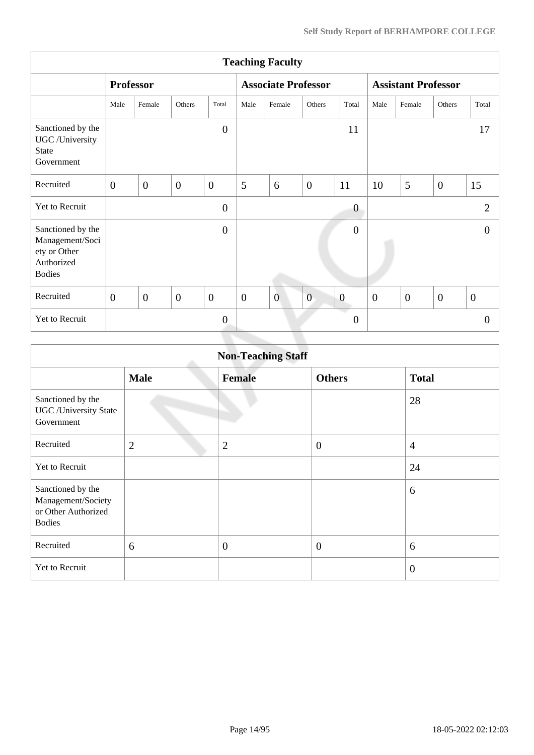|                                                                                     | <b>Teaching Faculty</b> |                |                |                |                            |                |                |                            |                |              |                |                  |
|-------------------------------------------------------------------------------------|-------------------------|----------------|----------------|----------------|----------------------------|----------------|----------------|----------------------------|----------------|--------------|----------------|------------------|
|                                                                                     | <b>Professor</b>        |                |                |                | <b>Associate Professor</b> |                |                | <b>Assistant Professor</b> |                |              |                |                  |
|                                                                                     | Male                    | Female         | Others         | Total          | Male                       | Female         | Others         | Total                      | Male           | Female       | Others         | Total            |
| Sanctioned by the<br>UGC /University<br><b>State</b><br>Government                  |                         |                |                | $\overline{0}$ |                            |                |                | 11                         |                |              |                | 17               |
| Recruited                                                                           | $\overline{0}$          | $\overline{0}$ | $\overline{0}$ | $\overline{0}$ | 5                          | 6              | $\overline{0}$ | 11                         | 10             | 5            | $\overline{0}$ | 15               |
| Yet to Recruit                                                                      |                         |                |                | $\overline{0}$ |                            |                |                | $\boldsymbol{0}$           |                |              |                | $\overline{2}$   |
| Sanctioned by the<br>Management/Soci<br>ety or Other<br>Authorized<br><b>Bodies</b> |                         |                |                | $\overline{0}$ |                            |                |                | $\overline{0}$             |                |              |                | $\theta$         |
| Recruited                                                                           | $\overline{0}$          | $\overline{0}$ | $\overline{0}$ | $\overline{0}$ | $\mathbf{0}$               | $\overline{0}$ | $\overline{0}$ | $\boldsymbol{0}$           | $\overline{0}$ | $\mathbf{0}$ | $\overline{0}$ | $\boldsymbol{0}$ |
| Yet to Recruit                                                                      |                         |                |                | $\mathbf{0}$   |                            |                |                | $\boldsymbol{0}$           |                |              |                | $\theta$         |
|                                                                                     |                         |                |                |                |                            |                |                |                            |                |              |                |                  |

|                                                                                 | <b>Non-Teaching Staff</b> |                |                  |                |  |  |  |  |  |  |
|---------------------------------------------------------------------------------|---------------------------|----------------|------------------|----------------|--|--|--|--|--|--|
|                                                                                 | <b>Male</b>               | <b>Female</b>  | <b>Others</b>    | <b>Total</b>   |  |  |  |  |  |  |
| Sanctioned by the<br><b>UGC</b> / University State<br>Government                |                           |                |                  | 28             |  |  |  |  |  |  |
| Recruited                                                                       | $\overline{2}$            | $\overline{2}$ | $\boldsymbol{0}$ | $\overline{4}$ |  |  |  |  |  |  |
| <b>Yet to Recruit</b>                                                           |                           |                |                  | 24             |  |  |  |  |  |  |
| Sanctioned by the<br>Management/Society<br>or Other Authorized<br><b>Bodies</b> |                           |                |                  | 6              |  |  |  |  |  |  |
| Recruited                                                                       | 6                         | $\overline{0}$ | $\overline{0}$   | 6              |  |  |  |  |  |  |
| Yet to Recruit                                                                  |                           |                |                  | $\overline{0}$ |  |  |  |  |  |  |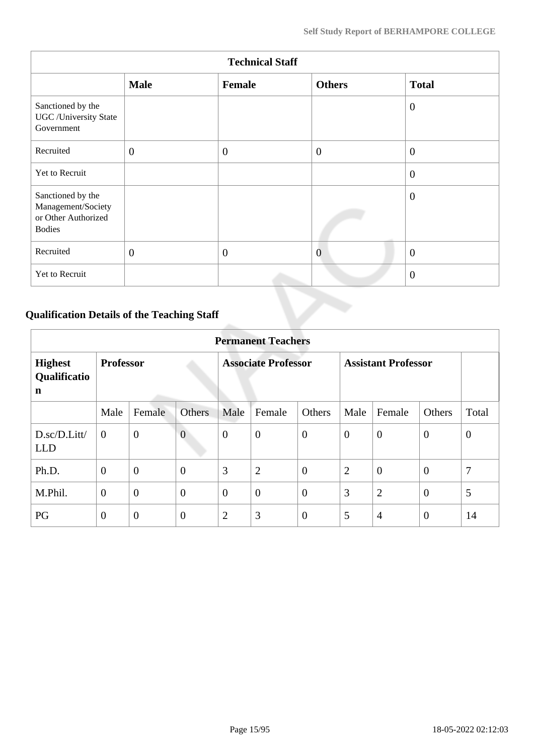|                                                                                 | <b>Technical Staff</b> |              |                |                |  |  |  |  |  |  |  |
|---------------------------------------------------------------------------------|------------------------|--------------|----------------|----------------|--|--|--|--|--|--|--|
|                                                                                 | <b>Male</b>            | Female       | <b>Others</b>  | <b>Total</b>   |  |  |  |  |  |  |  |
| Sanctioned by the<br><b>UGC</b> /University State<br>Government                 |                        |              |                | $\overline{0}$ |  |  |  |  |  |  |  |
| Recruited                                                                       | $\mathbf{0}$           | $\mathbf{0}$ | $\overline{0}$ | $\overline{0}$ |  |  |  |  |  |  |  |
| Yet to Recruit                                                                  |                        |              |                | $\overline{0}$ |  |  |  |  |  |  |  |
| Sanctioned by the<br>Management/Society<br>or Other Authorized<br><b>Bodies</b> |                        |              |                | $\overline{0}$ |  |  |  |  |  |  |  |
| Recruited                                                                       | $\mathbf{0}$           | $\mathbf{0}$ | $\overline{0}$ | $\overline{0}$ |  |  |  |  |  |  |  |
| Yet to Recruit                                                                  |                        |              |                | $\overline{0}$ |  |  |  |  |  |  |  |

# **Qualification Details of the Teaching Staff**

|                                     | <b>Permanent Teachers</b> |                  |                |                            |                  |                |                            |                |                |              |  |
|-------------------------------------|---------------------------|------------------|----------------|----------------------------|------------------|----------------|----------------------------|----------------|----------------|--------------|--|
| <b>Highest</b><br>Qualificatio<br>n | <b>Professor</b>          |                  |                | <b>Associate Professor</b> |                  |                | <b>Assistant Professor</b> |                |                |              |  |
|                                     | Male                      | Female           | <b>Others</b>  | Male                       | Female           | Others         | Male                       | Female         | <b>Others</b>  | Total        |  |
| D.sc/D.Litt/<br><b>LLD</b>          | $\overline{0}$            | $\boldsymbol{0}$ | $\overline{0}$ | $\overline{0}$             | $\boldsymbol{0}$ | $\overline{0}$ | $\theta$                   | $\overline{0}$ | $\overline{0}$ | $\mathbf{0}$ |  |
| Ph.D.                               | $\overline{0}$            | $\overline{0}$   | $\overline{0}$ | 3                          | $\overline{2}$   | $\overline{0}$ | $\overline{2}$             | $\overline{0}$ | $\overline{0}$ | 7            |  |
| M.Phil.                             | $\boldsymbol{0}$          | $\overline{0}$   | $\overline{0}$ | $\overline{0}$             | $\overline{0}$   | $\overline{0}$ | 3                          | $\overline{2}$ | $\overline{0}$ | 5            |  |
| PG                                  | $\boldsymbol{0}$          | $\overline{0}$   | $\overline{0}$ | $\overline{2}$             | 3                | $\overline{0}$ | 5                          | $\overline{4}$ | $\overline{0}$ | 14           |  |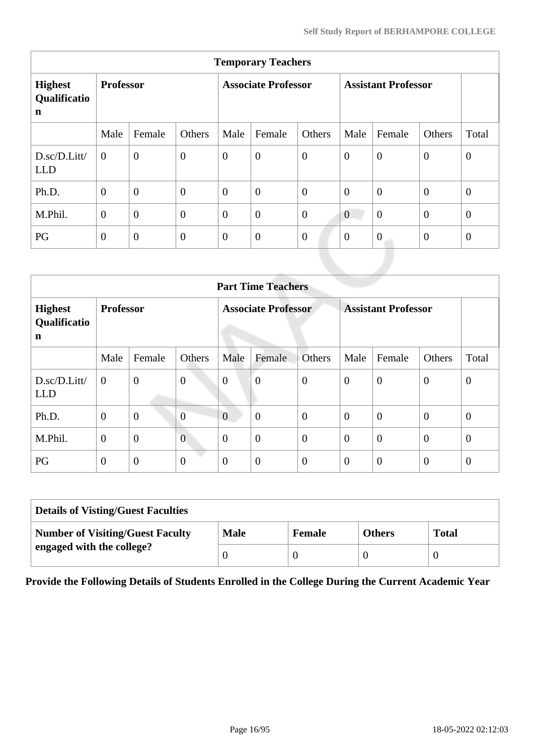| <b>Temporary Teachers</b>                     |                  |                  |                  |                            |                  |                |                            |                  |              |              |  |
|-----------------------------------------------|------------------|------------------|------------------|----------------------------|------------------|----------------|----------------------------|------------------|--------------|--------------|--|
| <b>Highest</b><br>Qualificatio<br>$\mathbf n$ | <b>Professor</b> |                  |                  | <b>Associate Professor</b> |                  |                | <b>Assistant Professor</b> |                  |              |              |  |
|                                               | Male             | Female           | Others           | Male                       | Female           | Others         | Male                       | Female           | Others       | Total        |  |
| D.sc/D.Litt/<br><b>LLD</b>                    | $\theta$         | $\overline{0}$   | $\overline{0}$   | $\boldsymbol{0}$           | $\boldsymbol{0}$ | $\overline{0}$ | $\overline{0}$             | $\overline{0}$   | $\mathbf{0}$ | $\mathbf{0}$ |  |
| Ph.D.                                         | $\overline{0}$   | $\overline{0}$   | $\overline{0}$   | $\overline{0}$             | $\overline{0}$   | $\overline{0}$ | $\theta$                   | $\overline{0}$   | $\mathbf{0}$ | $\mathbf{0}$ |  |
| M.Phil.                                       | $\overline{0}$   | $\overline{0}$   | $\overline{0}$   | $\overline{0}$             | $\theta$         | $\overline{0}$ | $\boldsymbol{0}$           | $\overline{0}$   | $\mathbf{0}$ | $\mathbf{0}$ |  |
| PG                                            | $\overline{0}$   | $\boldsymbol{0}$ | $\boldsymbol{0}$ | $\overline{0}$             | $\boldsymbol{0}$ | $\overline{0}$ | $\theta$                   | $\boldsymbol{0}$ | $\mathbf{0}$ | $\mathbf{0}$ |  |
|                                               |                  |                  |                  |                            |                  |                |                            |                  |              |              |  |

|                                     | <b>Part Time Teachers</b> |                  |                  |                            |                  |                  |                            |                  |                  |                  |  |  |
|-------------------------------------|---------------------------|------------------|------------------|----------------------------|------------------|------------------|----------------------------|------------------|------------------|------------------|--|--|
| <b>Highest</b><br>Qualificatio<br>n | <b>Professor</b>          |                  |                  | <b>Associate Professor</b> |                  |                  | <b>Assistant Professor</b> |                  |                  |                  |  |  |
|                                     | Male                      | Female           | Others           | Male                       | Female           | Others           | Male                       | Female           | Others           | Total            |  |  |
| D.sc/D.Litt/<br><b>LLD</b>          | $\mathbf{0}$              | $\overline{0}$   | $\boldsymbol{0}$ | $\boldsymbol{0}$           | $\overline{0}$   | $\boldsymbol{0}$ | $\overline{0}$             | $\theta$         | $\mathbf{0}$     | $\boldsymbol{0}$ |  |  |
| Ph.D.                               | $\boldsymbol{0}$          | $\boldsymbol{0}$ | $\overline{0}$   | $\overline{0}$             | $\boldsymbol{0}$ | $\overline{0}$   | $\theta$                   | $\boldsymbol{0}$ | $\theta$         | $\theta$         |  |  |
| M.Phil.                             | $\mathbf{0}$              | $\overline{0}$   | $\overline{0}$   | $\overline{0}$             | $\overline{0}$   | $\overline{0}$   | $\overline{0}$             | $\overline{0}$   | $\overline{0}$   | $\theta$         |  |  |
| PG                                  | $\mathbf{0}$              | $\overline{0}$   | $\boldsymbol{0}$ | $\overline{0}$             | $\boldsymbol{0}$ | $\theta$         | $\overline{0}$             | $\overline{0}$   | $\boldsymbol{0}$ | $\theta$         |  |  |

| <b>Details of Visting/Guest Faculties</b> |             |               |               |              |  |  |  |  |
|-------------------------------------------|-------------|---------------|---------------|--------------|--|--|--|--|
| <b>Number of Visiting/Guest Faculty</b>   | <b>Male</b> | <b>Female</b> | <b>Others</b> | <b>Total</b> |  |  |  |  |
| engaged with the college?                 |             |               |               |              |  |  |  |  |

**Provide the Following Details of Students Enrolled in the College During the Current Academic Year**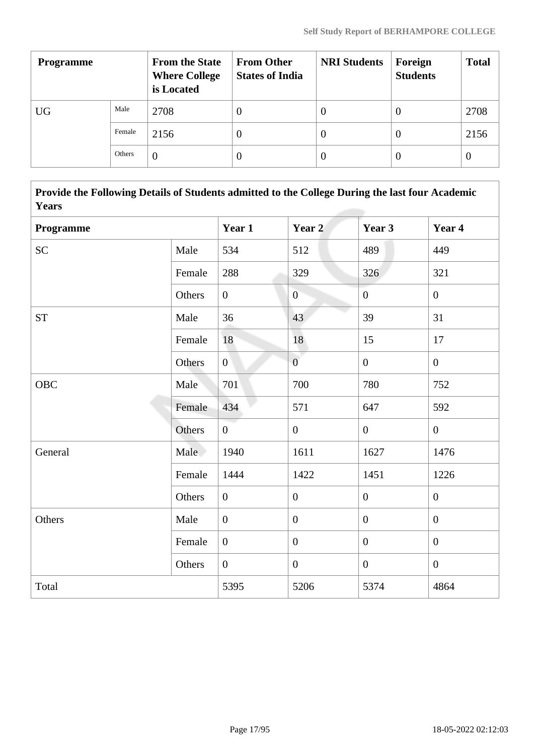| <b>Programme</b> |        | <b>From the State</b><br><b>Where College</b><br>is Located | <b>From Other</b><br><b>States of India</b> | <b>NRI Students</b> | Foreign<br><b>Students</b> | <b>Total</b> |
|------------------|--------|-------------------------------------------------------------|---------------------------------------------|---------------------|----------------------------|--------------|
| UG               | Male   | 2708                                                        | U                                           | 0                   | $\theta$                   | 2708         |
|                  | Female | 2156                                                        | O                                           | 0                   | $\theta$                   | 2156         |
|                  | Others | 0                                                           |                                             | 0                   | $\left($                   | $\theta$     |

 **Provide the Following Details of Students admitted to the College During the last four Academic Years**

| Programme  |        | Year 1           | Year 2           | Year 3           | Year 4           |
|------------|--------|------------------|------------------|------------------|------------------|
| <b>SC</b>  | Male   | 534              | 512              | 489              | 449              |
|            | Female | 288              | 329              | 326              | 321              |
|            | Others | $\boldsymbol{0}$ | $\overline{0}$   | $\boldsymbol{0}$ | $\overline{0}$   |
| <b>ST</b>  | Male   | 36               | 43               | 39               | 31               |
|            | Female | 18               | 18               | 15               | 17               |
|            | Others | $\overline{0}$   | $\overline{0}$   | $\overline{0}$   | $\mathbf{0}$     |
| <b>OBC</b> | Male   | 701              | 700              | 780              | 752              |
|            | Female | 434              | 571              | 647              | 592              |
|            | Others | $\overline{0}$   | $\overline{0}$   | $\mathbf{0}$     | $\mathbf{0}$     |
| General    | Male   | 1940             | 1611             | 1627             | 1476             |
|            | Female | 1444             | 1422             | 1451             | 1226             |
|            | Others | $\boldsymbol{0}$ | $\boldsymbol{0}$ | $\boldsymbol{0}$ | $\mathbf{0}$     |
| Others     | Male   | $\boldsymbol{0}$ | $\boldsymbol{0}$ | $\boldsymbol{0}$ | $\boldsymbol{0}$ |
|            | Female | $\mathbf{0}$     | $\boldsymbol{0}$ | $\overline{0}$   | $\mathbf{0}$     |
|            | Others | $\boldsymbol{0}$ | $\boldsymbol{0}$ | $\boldsymbol{0}$ | $\mathbf{0}$     |
| Total      |        | 5395             | 5206             | 5374             | 4864             |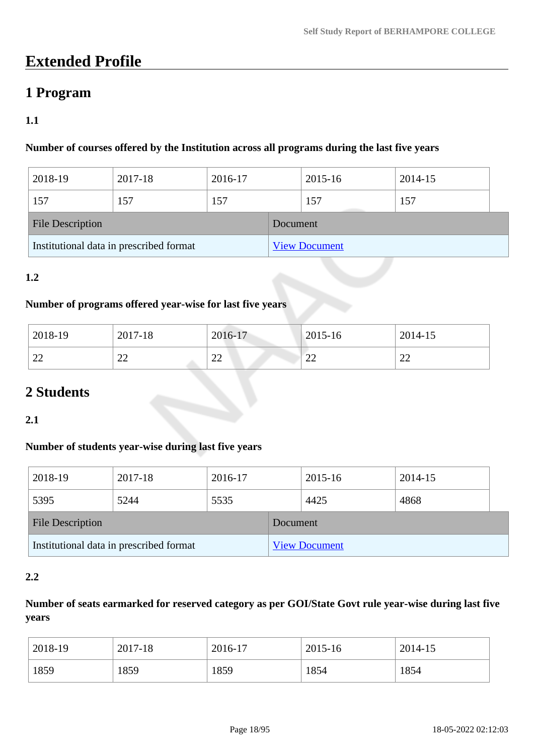# **Extended Profile**

# **1 Program**

# **1.1**

# **Number of courses offered by the Institution across all programs during the last five years**

| 2018-19                                 | 2017-18 | 2016-17 |          | 2015-16              | 2014-15 |  |
|-----------------------------------------|---------|---------|----------|----------------------|---------|--|
| 157                                     | 157     | 157     |          | 157                  | 157     |  |
| <b>File Description</b>                 |         |         | Document |                      |         |  |
| Institutional data in prescribed format |         |         |          | <b>View Document</b> |         |  |

### **1.2**

### **Number of programs offered year-wise for last five years**

| 2018-19                  | 2017-18                  | 2016-17                  | $2015 - 16$ | 2014-15 |
|--------------------------|--------------------------|--------------------------|-------------|---------|
| $\sim$                   | ົ                        | $\cap$                   | $\sim$      | $\sim$  |
| $\overline{\phantom{m}}$ | $\overline{\phantom{a}}$ | $\overline{\phantom{a}}$ | ∠∠          | ∠∠      |

# **2 Students**

### **2.1**

### **Number of students year-wise during last five years**

| 2018-19                                 | 2017-18 | 2016-17 |                      | 2015-16 | 2014-15 |  |
|-----------------------------------------|---------|---------|----------------------|---------|---------|--|
| 5395                                    | 5244    | 5535    |                      | 4425    | 4868    |  |
| <b>File Description</b>                 |         |         | Document             |         |         |  |
| Institutional data in prescribed format |         |         | <b>View Document</b> |         |         |  |

### **2.2**

# **Number of seats earmarked for reserved category as per GOI/State Govt rule year-wise during last five years**

| 2018-19 | 2017-18 | 2016-17 | 2015-16 | 2014-15 |
|---------|---------|---------|---------|---------|
| 1859    | 1859    | 1859    | 1854    | 1854    |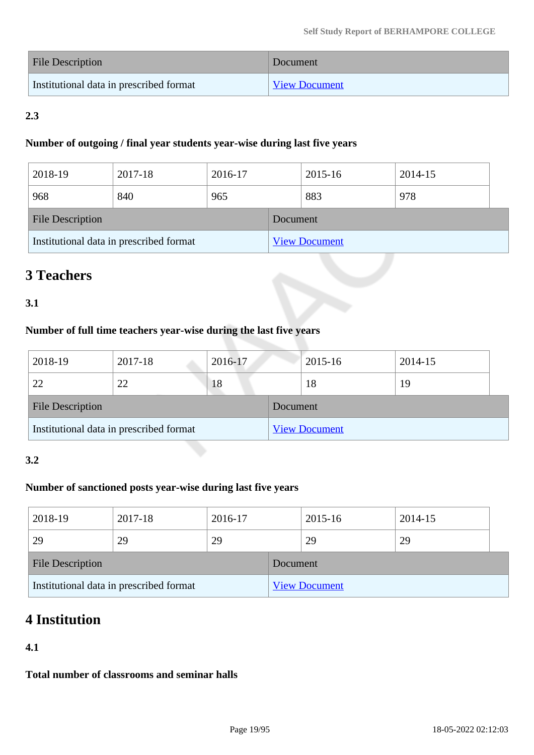| File Description                        | Document             |
|-----------------------------------------|----------------------|
| Institutional data in prescribed format | <b>View Document</b> |

# **2.3**

### **Number of outgoing / final year students year-wise during last five years**

| 2018-19                                 | 2017-18 | 2016-17 |                      | 2015-16 | 2014-15 |  |
|-----------------------------------------|---------|---------|----------------------|---------|---------|--|
| 968                                     | 840     | 965     |                      | 883     | 978     |  |
| <b>File Description</b>                 |         |         | Document             |         |         |  |
| Institutional data in prescribed format |         |         | <b>View Document</b> |         |         |  |

# **3 Teachers**

# **3.1**

# **Number of full time teachers year-wise during the last five years**

| 2018-19                                 | 2017-18 | 2016-17 |                      | 2015-16 | 2014-15 |  |
|-----------------------------------------|---------|---------|----------------------|---------|---------|--|
| 22                                      | 22      | 18      |                      | 18      | 19      |  |
| <b>File Description</b>                 |         |         | Document             |         |         |  |
| Institutional data in prescribed format |         |         | <b>View Document</b> |         |         |  |

# **3.2**

# **Number of sanctioned posts year-wise during last five years**

| 2018-19                                 | 2017-18 | 2016-17  |                      | 2015-16 | 2014-15 |  |
|-----------------------------------------|---------|----------|----------------------|---------|---------|--|
| 29                                      | 29      | 29       |                      | 29      | 29      |  |
| <b>File Description</b>                 |         | Document |                      |         |         |  |
| Institutional data in prescribed format |         |          | <b>View Document</b> |         |         |  |

# **4 Institution**

# **4.1**

**Total number of classrooms and seminar halls**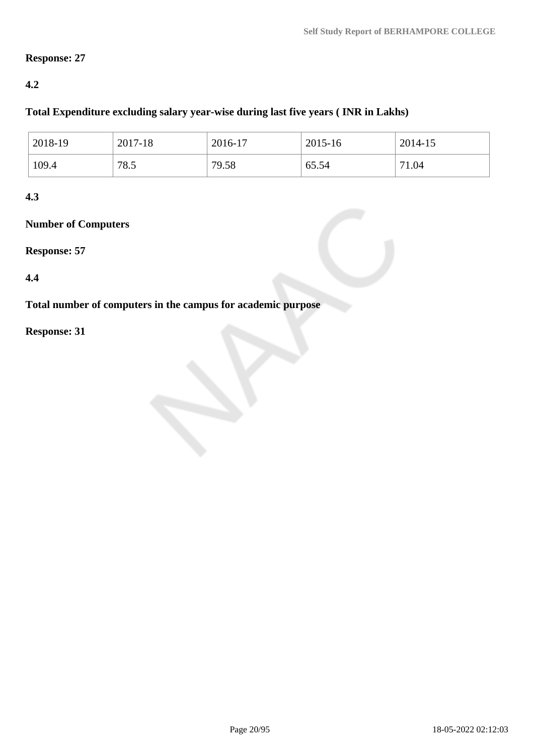### **Response: 27**

### **4.2**

### **Total Expenditure excluding salary year-wise during last five years ( INR in Lakhs)**

| 2018-19 | 2017-18 | 2016-17 | 2015-16 | 2014-15   |
|---------|---------|---------|---------|-----------|
| 109.4   | 78.5    | 79.58   | 65.54   | 1.04<br>⇁ |

### **4.3**

# **Number of Computers**

### **Response: 57**

### **4.4**

**Total number of computers in the campus for academic purpose**

# **Response: 31**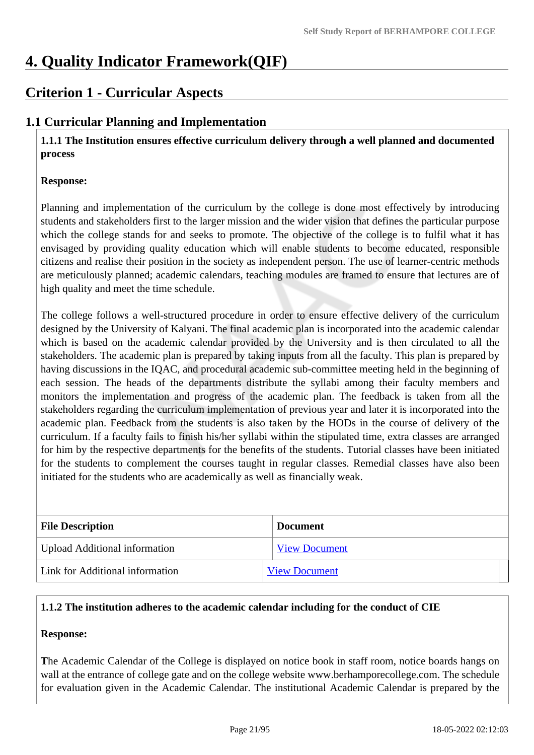# **4. Quality Indicator Framework(QIF)**

# **Criterion 1 - Curricular Aspects**

# **1.1 Curricular Planning and Implementation**

 **1.1.1 The Institution ensures effective curriculum delivery through a well planned and documented process**

### **Response:**

Planning and implementation of the curriculum by the college is done most effectively by introducing students and stakeholders first to the larger mission and the wider vision that defines the particular purpose which the college stands for and seeks to promote. The objective of the college is to fulfil what it has envisaged by providing quality education which will enable students to become educated, responsible citizens and realise their position in the society as independent person. The use of learner-centric methods are meticulously planned; academic calendars, teaching modules are framed to ensure that lectures are of high quality and meet the time schedule.

The college follows a well-structured procedure in order to ensure effective delivery of the curriculum designed by the University of Kalyani. The final academic plan is incorporated into the academic calendar which is based on the academic calendar provided by the University and is then circulated to all the stakeholders. The academic plan is prepared by taking inputs from all the faculty. This plan is prepared by having discussions in the IQAC, and procedural academic sub-committee meeting held in the beginning of each session. The heads of the departments distribute the syllabi among their faculty members and monitors the implementation and progress of the academic plan. The feedback is taken from all the stakeholders regarding the curriculum implementation of previous year and later it is incorporated into the academic plan. Feedback from the students is also taken by the HODs in the course of delivery of the curriculum. If a faculty fails to finish his/her syllabi within the stipulated time, extra classes are arranged for him by the respective departments for the benefits of the students. Tutorial classes have been initiated for the students to complement the courses taught in regular classes. Remedial classes have also been initiated for the students who are academically as well as financially weak.

| <b>File Description</b>              | <b>Document</b>      |
|--------------------------------------|----------------------|
| <b>Upload Additional information</b> | <b>View Document</b> |
| Link for Additional information      | <b>View Document</b> |

### **1.1.2 The institution adheres to the academic calendar including for the conduct of CIE**

### **Response:**

**T**he Academic Calendar of the College is displayed on notice book in staff room, notice boards hangs on wall at the entrance of college gate and on the college website www.berhamporecollege.com. The schedule for evaluation given in the Academic Calendar. The institutional Academic Calendar is prepared by the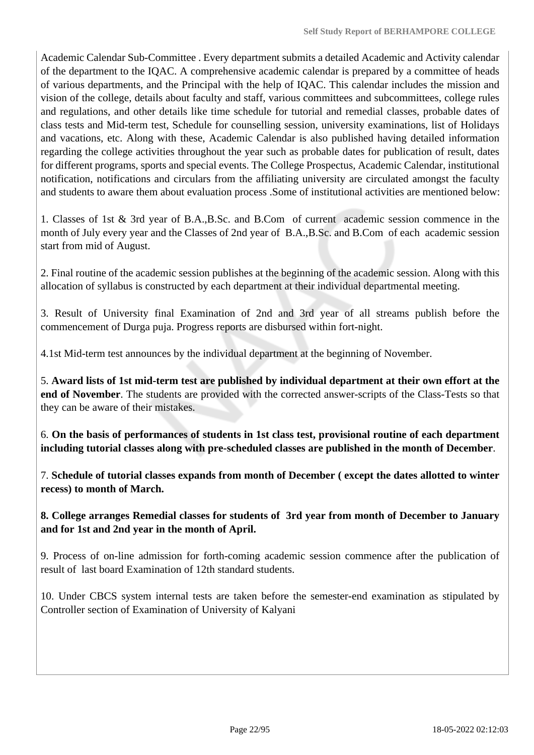Academic Calendar Sub-Committee . Every department submits a detailed Academic and Activity calendar of the department to the IQAC. A comprehensive academic calendar is prepared by a committee of heads of various departments, and the Principal with the help of IQAC. This calendar includes the mission and vision of the college, details about faculty and staff, various committees and subcommittees, college rules and regulations, and other details like time schedule for tutorial and remedial classes, probable dates of class tests and Mid-term test, Schedule for counselling session, university examinations, list of Holidays and vacations, etc. Along with these, Academic Calendar is also published having detailed information regarding the college activities throughout the year such as probable dates for publication of result, dates for different programs, sports and special events. The College Prospectus, Academic Calendar, institutional notification, notifications and circulars from the affiliating university are circulated amongst the faculty and students to aware them about evaluation process .Some of institutional activities are mentioned below:

1. Classes of 1st & 3rd year of B.A.,B.Sc. and B.Com of current academic session commence in the month of July every year and the Classes of 2nd year of B.A.,B.Sc. and B.Com of each academic session start from mid of August.

2. Final routine of the academic session publishes at the beginning of the academic session. Along with this allocation of syllabus is constructed by each department at their individual departmental meeting.

3. Result of University final Examination of 2nd and 3rd year of all streams publish before the commencement of Durga puja. Progress reports are disbursed within fort-night.

4.1st Mid-term test announces by the individual department at the beginning of November.

5. **Award lists of 1st mid-term test are published by individual department at their own effort at the end of November**. The students are provided with the corrected answer-scripts of the Class-Tests so that they can be aware of their mistakes.

6. **On the basis of performances of students in 1st class test, provisional routine of each department including tutorial classes along with pre-scheduled classes are published in the month of December**.

7. **Schedule of tutorial classes expands from month of December ( except the dates allotted to winter recess) to month of March.**

**8. College arranges Remedial classes for students of 3rd year from month of December to January and for 1st and 2nd year in the month of April.**

9. Process of on-line admission for forth-coming academic session commence after the publication of result of last board Examination of 12th standard students.

10. Under CBCS system internal tests are taken before the semester-end examination as stipulated by Controller section of Examination of University of Kalyani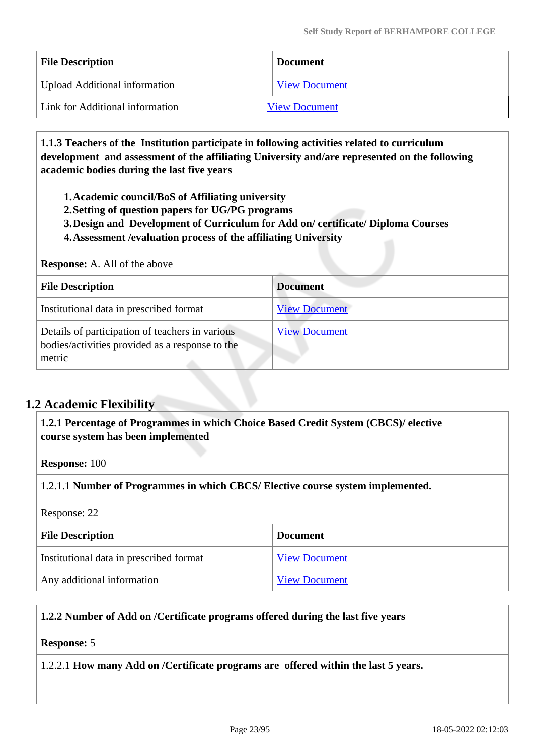| <b>File Description</b>              | <b>Document</b>      |
|--------------------------------------|----------------------|
| <b>Upload Additional information</b> | <b>View Document</b> |
| Link for Additional information      | <b>View Document</b> |

 **1.1.3 Teachers of the Institution participate in following activities related to curriculum development and assessment of the affiliating University and/are represented on the following academic bodies during the last five years** 

**1.Academic council/BoS of Affiliating university**

- **2.Setting of question papers for UG/PG programs**
- **3.Design and Development of Curriculum for Add on/ certificate/ Diploma Courses**
- **4.Assessment /evaluation process of the affiliating University**

#### **Response:** A. All of the above

| <b>File Description</b>                                                                                      | <b>Document</b>      |
|--------------------------------------------------------------------------------------------------------------|----------------------|
| Institutional data in prescribed format                                                                      | <b>View Document</b> |
| Details of participation of teachers in various<br>bodies/activities provided as a response to the<br>metric | <b>View Document</b> |

# **1.2 Academic Flexibility**

 **1.2.1 Percentage of Programmes in which Choice Based Credit System (CBCS)/ elective course system has been implemented** 

**Response:** 100

1.2.1.1 **Number of Programmes in which CBCS/ Elective course system implemented.**

#### Response: 22

| <b>File Description</b>                 | <b>Document</b>      |
|-----------------------------------------|----------------------|
| Institutional data in prescribed format | <b>View Document</b> |
| Any additional information              | <b>View Document</b> |

### **1.2.2 Number of Add on /Certificate programs offered during the last five years**

#### **Response:** 5

1.2.2.1 **How many Add on /Certificate programs are offered within the last 5 years.**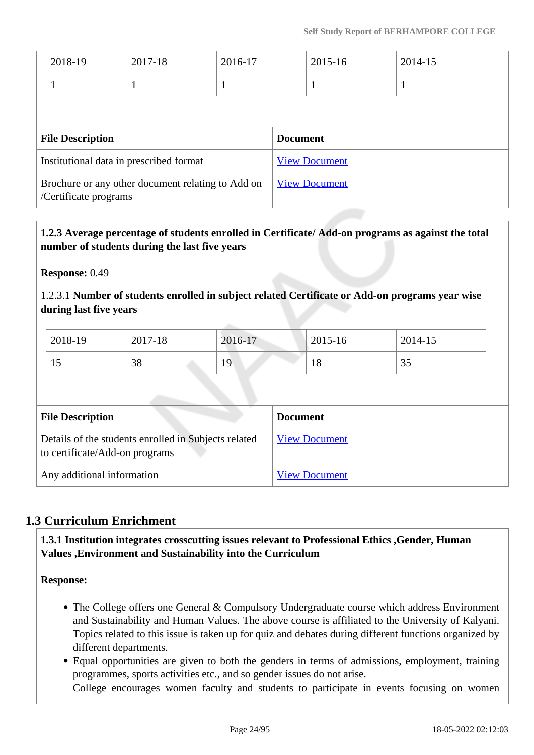| 2018-19                 | 2017-18                                 | 2016-17 |                 | 2015-16              | 2014-15 |
|-------------------------|-----------------------------------------|---------|-----------------|----------------------|---------|
|                         | -1                                      | H       |                 | 1                    |         |
|                         |                                         |         |                 |                      |         |
|                         |                                         |         |                 |                      |         |
| <b>File Description</b> |                                         |         | <b>Document</b> |                      |         |
|                         | Institutional data in prescribed format |         |                 | <b>View Document</b> |         |

# **1.2.3 Average percentage of students enrolled in Certificate/ Add-on programs as against the total number of students during the last five years**

**Response:** 0.49

1.2.3.1 **Number of students enrolled in subject related Certificate or Add-on programs year wise during last five years**

| 2018-19 | 2017-18 | 2016-17 | 2015-16 | 2014-15             |
|---------|---------|---------|---------|---------------------|
| ⊥J      | 38      | 19      | 10      | $\sim$ $\sim$<br>IJ |

| <b>File Description</b>                                                                | <b>Document</b>      |
|----------------------------------------------------------------------------------------|----------------------|
| Details of the students enrolled in Subjects related<br>to certificate/Add-on programs | <b>View Document</b> |
| Any additional information                                                             | <b>View Document</b> |

# **1.3 Curriculum Enrichment**

 **1.3.1 Institution integrates crosscutting issues relevant to Professional Ethics ,Gender, Human Values ,Environment and Sustainability into the Curriculum**

**Response:** 

- The College offers one General & Compulsory Undergraduate course which address Environment and Sustainability and Human Values. The above course is affiliated to the University of Kalyani. Topics related to this issue is taken up for quiz and debates during different functions organized by different departments.
- Equal opportunities are given to both the genders in terms of admissions, employment, training programmes, sports activities etc., and so gender issues do not arise.

College encourages women faculty and students to participate in events focusing on women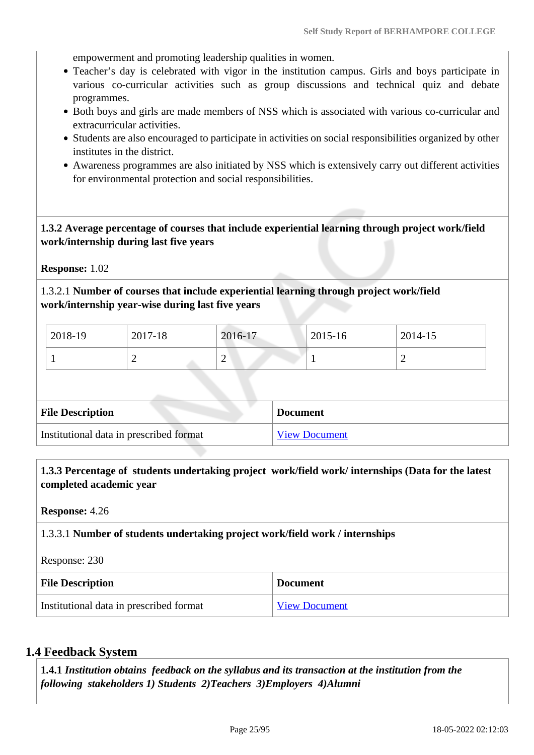empowerment and promoting leadership qualities in women.

- Teacher's day is celebrated with vigor in the institution campus. Girls and boys participate in various co-curricular activities such as group discussions and technical quiz and debate programmes.
- Both boys and girls are made members of NSS which is associated with various co-curricular and extracurricular activities.
- Students are also encouraged to participate in activities on social responsibilities organized by other institutes in the district.
- Awareness programmes are also initiated by NSS which is extensively carry out different activities for environmental protection and social responsibilities.

### **1.3.2 Average percentage of courses that include experiential learning through project work/field work/internship during last five years**

**Response:** 1.02

1.3.2.1 **Number of courses that include experiential learning through project work/field work/internship year-wise during last five years**

| 2018-19 | 2017-18 | 2016-17                  | 2015-16 | 2014-15 |
|---------|---------|--------------------------|---------|---------|
|         | ∽       | $\overline{\phantom{0}}$ |         | -       |

| <b>File Description</b>                 | <b>Document</b> |
|-----------------------------------------|-----------------|
| Institutional data in prescribed format | View Document   |

 **1.3.3 Percentage of students undertaking project work/field work/ internships (Data for the latest completed academic year**

**Response:** 4.26

1.3.3.1 **Number of students undertaking project work/field work / internships**

Response: 230

| <b>File Description</b>                 | <b>Document</b>      |
|-----------------------------------------|----------------------|
| Institutional data in prescribed format | <b>View Document</b> |

### **1.4 Feedback System**

 **1.4.1** *Institution obtains feedback on the syllabus and its transaction at the institution from the following stakeholders 1) Students 2)Teachers 3)Employers 4)Alumni*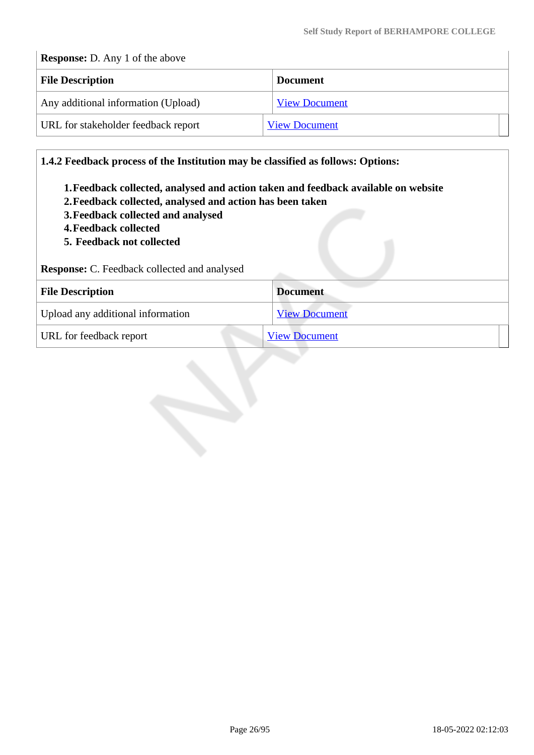## **Response:** D. Any 1 of the above

| <b>File Description</b>             | <b>Document</b>      |
|-------------------------------------|----------------------|
| Any additional information (Upload) | <b>View Document</b> |
| URL for stakeholder feedback report | <b>View Document</b> |

**1.4.2 Feedback process of the Institution may be classified as follows: Options:**

- **1.Feedback collected, analysed and action taken and feedback available on website**
- **2.Feedback collected, analysed and action has been taken**
- **3.Feedback collected and analysed**
- **4.Feedback collected**
- **5. Feedback not collected**

**Response:** C. Feedback collected and analysed

| <b>File Description</b>           | <b>Document</b>      |
|-----------------------------------|----------------------|
| Upload any additional information | <b>View Document</b> |
| URL for feedback report           | <b>View Document</b> |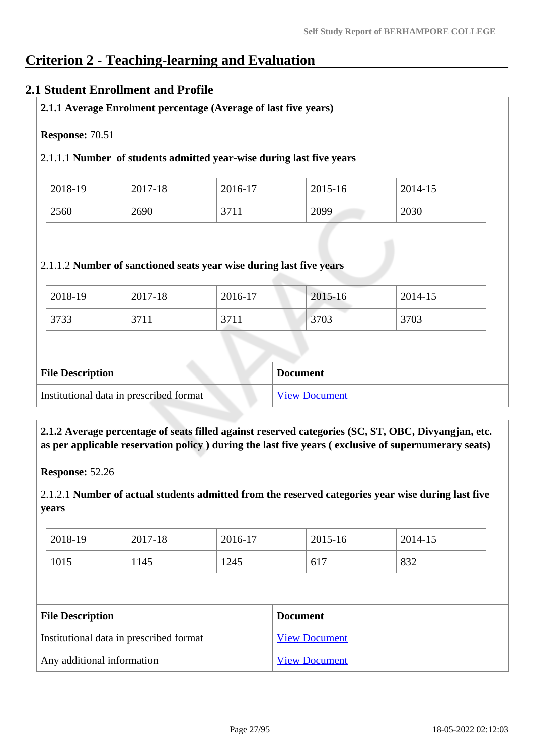# **Criterion 2 - Teaching-learning and Evaluation**

### **2.1 Student Enrollment and Profile**

| Response: 70.51 |         |                                                                      |         |         |
|-----------------|---------|----------------------------------------------------------------------|---------|---------|
|                 |         | 2.1.1.1 Number of students admitted year-wise during last five years |         |         |
| 2018-19         | 2017-18 | 2016-17                                                              | 2015-16 | 2014-15 |
| 2560            | 2690    | 3711                                                                 | 2099    | 2030    |
|                 |         | 2.1.1.2 Number of sanctioned seats year wise during last five years  |         |         |
| 2018-19         | 2017-18 | 2016-17                                                              | 2015-16 | 2014-15 |
| 3733            | 3711    | 3711                                                                 | 3703    | 3703    |
|                 |         |                                                                      |         |         |

 **2.1.2 Average percentage of seats filled against reserved categories (SC, ST, OBC, Divyangjan, etc. as per applicable reservation policy ) during the last five years ( exclusive of supernumerary seats)**

**Response:** 52.26

2.1.2.1 **Number of actual students admitted from the reserved categories year wise during last five years**

| 2018-19 | 2017-18 | 2016-17 | 2015-16 | 2014-15 |
|---------|---------|---------|---------|---------|
| 1015    | 1145    | 1245    | 617     | 832     |

| <b>File Description</b>                 | <b>Document</b>      |
|-----------------------------------------|----------------------|
| Institutional data in prescribed format | <b>View Document</b> |
| Any additional information              | <b>View Document</b> |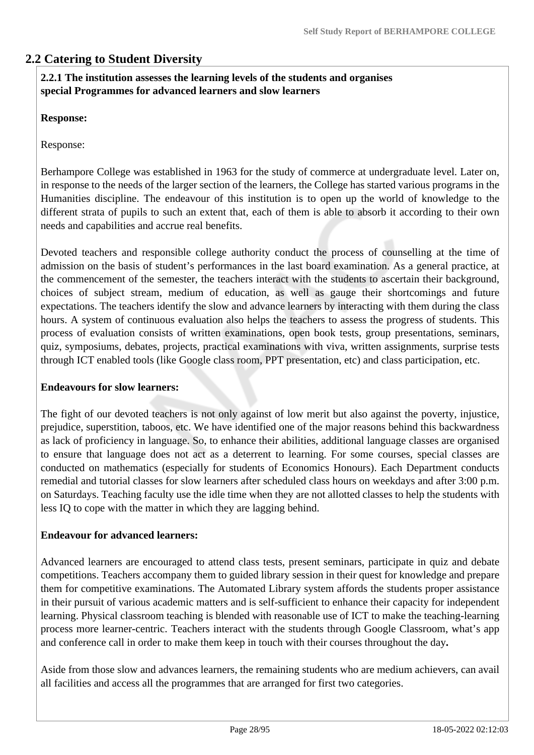# **2.2 Catering to Student Diversity**

### **2.2.1 The institution assesses the learning levels of the students and organises special Programmes for advanced learners and slow learners**

### **Response:**

Response:

Berhampore College was established in 1963 for the study of commerce at undergraduate level. Later on, in response to the needs of the larger section of the learners, the College has started various programs in the Humanities discipline. The endeavour of this institution is to open up the world of knowledge to the different strata of pupils to such an extent that, each of them is able to absorb it according to their own needs and capabilities and accrue real benefits.

Devoted teachers and responsible college authority conduct the process of counselling at the time of admission on the basis of student's performances in the last board examination. As a general practice, at the commencement of the semester, the teachers interact with the students to ascertain their background, choices of subject stream, medium of education, as well as gauge their shortcomings and future expectations. The teachers identify the slow and advance learners by interacting with them during the class hours. A system of continuous evaluation also helps the teachers to assess the progress of students. This process of evaluation consists of written examinations, open book tests, group presentations, seminars, quiz, symposiums, debates, projects, practical examinations with viva, written assignments, surprise tests through ICT enabled tools (like Google class room, PPT presentation, etc) and class participation, etc.

#### **Endeavours for slow learners:**

The fight of our devoted teachers is not only against of low merit but also against the poverty, injustice, prejudice, superstition, taboos, etc. We have identified one of the major reasons behind this backwardness as lack of proficiency in language. So, to enhance their abilities, additional language classes are organised to ensure that language does not act as a deterrent to learning. For some courses, special classes are conducted on mathematics (especially for students of Economics Honours). Each Department conducts remedial and tutorial classes for slow learners after scheduled class hours on weekdays and after 3:00 p.m. on Saturdays. Teaching faculty use the idle time when they are not allotted classes to help the students with less IQ to cope with the matter in which they are lagging behind.

### **Endeavour for advanced learners:**

Advanced learners are encouraged to attend class tests, present seminars, participate in quiz and debate competitions. Teachers accompany them to guided library session in their quest for knowledge and prepare them for competitive examinations. The Automated Library system affords the students proper assistance in their pursuit of various academic matters and is self-sufficient to enhance their capacity for independent learning. Physical classroom teaching is blended with reasonable use of ICT to make the teaching-learning process more learner-centric. Teachers interact with the students through Google Classroom, what's app and conference call in order to make them keep in touch with their courses throughout the day**.**

Aside from those slow and advances learners, the remaining students who are medium achievers, can avail all facilities and access all the programmes that are arranged for first two categories.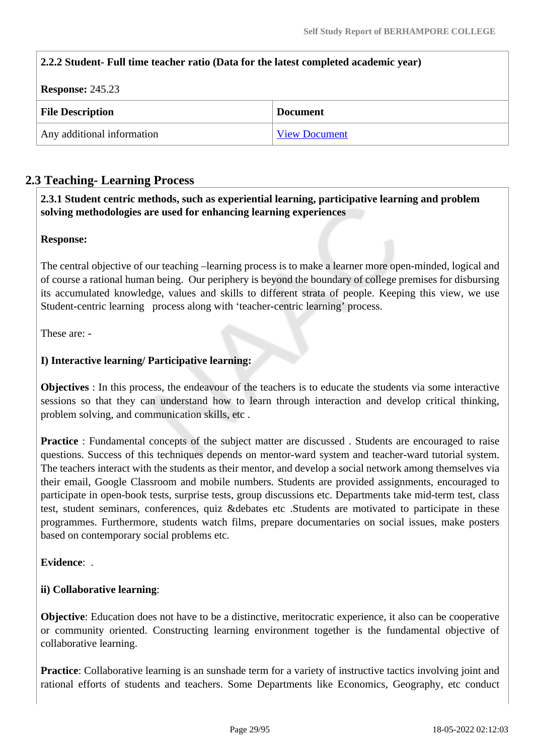### **2.2.2 Student- Full time teacher ratio (Data for the latest completed academic year)**

| <b>Response: 245.23</b>    |                      |  |  |
|----------------------------|----------------------|--|--|
| <b>File Description</b>    | <b>Document</b>      |  |  |
| Any additional information | <b>View Document</b> |  |  |

# **2.3 Teaching- Learning Process**

 **2.3.1 Student centric methods, such as experiential learning, participative learning and problem solving methodologies are used for enhancing learning experiences**

### **Response:**

The central objective of our teaching –learning process is to make a learner more open-minded, logical and of course a rational human being. Our periphery is beyond the boundary of college premises for disbursing its accumulated knowledge, values and skills to different strata of people. Keeping this view, we use Student-centric learning process along with 'teacher-centric learning' process.

These are: -

### **I) Interactive learning/ Participative learning:**

**Objectives** : In this process, the endeavour of the teachers is to educate the students via some interactive sessions so that they can understand how to learn through interaction and develop critical thinking, problem solving, and communication skills, etc .

**Practice**: Fundamental concepts of the subject matter are discussed. Students are encouraged to raise questions. Success of this techniques depends on mentor-ward system and teacher-ward tutorial system. The teachers interact with the students as their mentor, and develop a social network among themselves via their email, Google Classroom and mobile numbers. Students are provided assignments, encouraged to participate in open-book tests, surprise tests, group discussions etc. Departments take mid-term test, class test, student seminars, conferences, quiz &debates etc .Students are motivated to participate in these programmes. Furthermore, students watch films, prepare documentaries on social issues, make posters based on contemporary social problems etc.

#### **Evidence**: .

### **ii) Collaborative learning**:

**Objective**: Education does not have to be a distinctive, meritocratic experience, it also can be cooperative or community oriented. Constructing learning environment together is the fundamental objective of collaborative learning.

**Practice**: Collaborative learning is an sunshade term for a variety of instructive tactics involving joint and rational efforts of students and teachers. Some Departments like Economics, Geography, etc conduct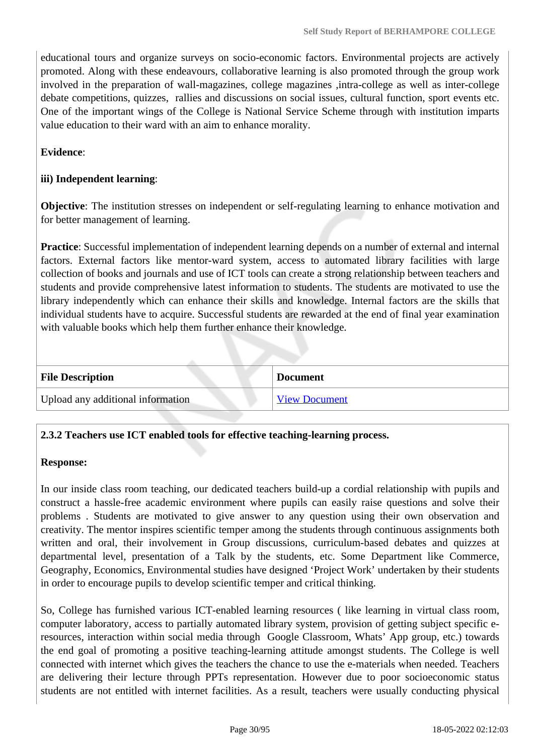educational tours and organize surveys on socio-economic factors. Environmental projects are actively promoted. Along with these endeavours, collaborative learning is also promoted through the group work involved in the preparation of wall-magazines, college magazines ,intra-college as well as inter-college debate competitions, quizzes, rallies and discussions on social issues, cultural function, sport events etc. One of the important wings of the College is National Service Scheme through with institution imparts value education to their ward with an aim to enhance morality.

**Evidence**:

### **iii) Independent learning**:

**Objective**: The institution stresses on independent or self-regulating learning to enhance motivation and for better management of learning.

**Practice**: Successful implementation of independent learning depends on a number of external and internal factors. External factors like mentor-ward system, access to automated library facilities with large collection of books and journals and use of ICT tools can create a strong relationship between teachers and students and provide comprehensive latest information to students. The students are motivated to use the library independently which can enhance their skills and knowledge. Internal factors are the skills that individual students have to acquire. Successful students are rewarded at the end of final year examination with valuable books which help them further enhance their knowledge.

| <b>File Description</b>           | <b>Document</b>      |
|-----------------------------------|----------------------|
| Upload any additional information | <b>View Document</b> |

# **2.3.2 Teachers use ICT enabled tools for effective teaching-learning process.**

#### **Response:**

In our inside class room teaching, our dedicated teachers build-up a cordial relationship with pupils and construct a hassle-free academic environment where pupils can easily raise questions and solve their problems . Students are motivated to give answer to any question using their own observation and creativity. The mentor inspires scientific temper among the students through continuous assignments both written and oral, their involvement in Group discussions, curriculum-based debates and quizzes at departmental level, presentation of a Talk by the students, etc. Some Department like Commerce, Geography, Economics, Environmental studies have designed 'Project Work' undertaken by their students in order to encourage pupils to develop scientific temper and critical thinking.

So, College has furnished various ICT-enabled learning resources ( like learning in virtual class room, computer laboratory, access to partially automated library system, provision of getting subject specific eresources, interaction within social media through Google Classroom, Whats' App group, etc.) towards the end goal of promoting a positive teaching-learning attitude amongst students. The College is well connected with internet which gives the teachers the chance to use the e-materials when needed. Teachers are delivering their lecture through PPTs representation. However due to poor socioeconomic status students are not entitled with internet facilities. As a result, teachers were usually conducting physical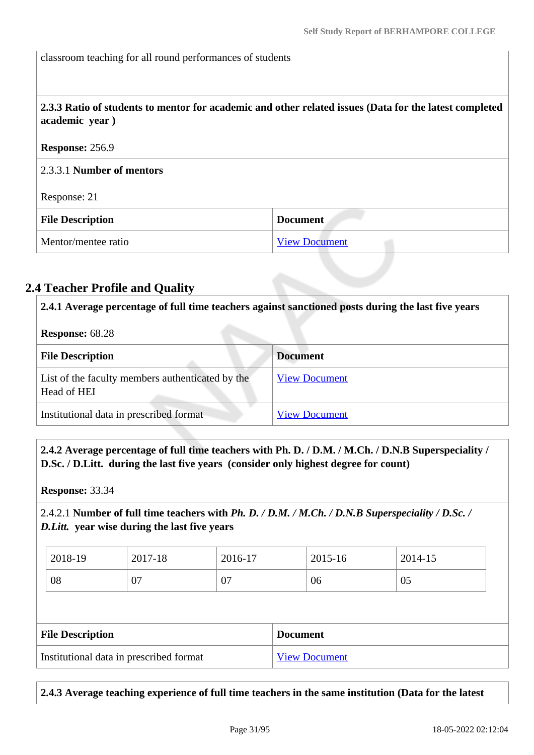classroom teaching for all round performances of students

 **2.3.3 Ratio of students to mentor for academic and other related issues (Data for the latest completed academic year )**

#### **Response:** 256.9

2.3.3.1 **Number of mentors**

#### Response: 21

| <b>File Description</b> | <b>Document</b>      |
|-------------------------|----------------------|
| Mentor/mentee ratio     | <b>View Document</b> |

# **2.4 Teacher Profile and Quality**

 **2.4.1 Average percentage of full time teachers against sanctioned posts during the last five years Response:** 68.28 **File Description Document** List of the faculty members authenticated by the Head of HEI [View Document](https://assessmentonline.naac.gov.in/storage/app/hei/SSR/103196/2.4.1_1631706057_4704.pdf) Institutional data in prescribed format [View Document](https://assessmentonline.naac.gov.in/storage/app/hei/SSR/103196/2.4.1_1631006089_4704.xlsx)

 **2.4.2 Average percentage of full time teachers with Ph. D. / D.M. / M.Ch. / D.N.B Superspeciality / D.Sc. / D.Litt. during the last five years (consider only highest degree for count)**

**Response:** 33.34

# 2.4.2.1 **Number of full time teachers with** *Ph. D. / D.M. / M.Ch. / D.N.B Superspeciality / D.Sc. / D.Litt.* **year wise during the last five years**

| 2018-19                                 | 2017-18 | 2016-17 |                 | 2015-16              |  | 2014-15 |  |
|-----------------------------------------|---------|---------|-----------------|----------------------|--|---------|--|
| 08                                      | 07      | 07      |                 | 06                   |  | 05      |  |
|                                         |         |         |                 |                      |  |         |  |
| <b>File Description</b>                 |         |         | <b>Document</b> |                      |  |         |  |
| Institutional data in prescribed format |         |         |                 | <b>View Document</b> |  |         |  |

**2.4.3 Average teaching experience of full time teachers in the same institution (Data for the latest**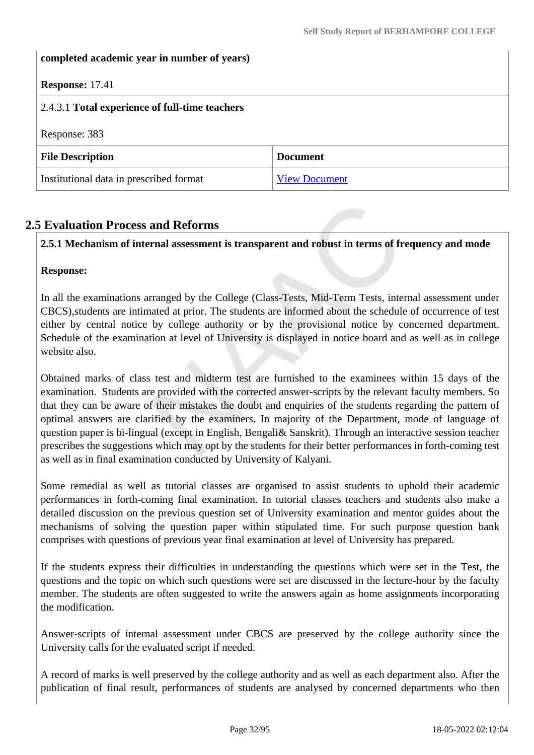### **completed academic year in number of years)**

### **Response:** 17.41

| 2.4.3.1 Total experience of full-time teachers |                      |  |
|------------------------------------------------|----------------------|--|
| Response: 383                                  |                      |  |
| <b>File Description</b>                        | <b>Document</b>      |  |
| Institutional data in prescribed format        | <b>View Document</b> |  |

### **2.5 Evaluation Process and Reforms**

### **2.5.1 Mechanism of internal assessment is transparent and robust in terms of frequency and mode**

#### **Response:**

In all the examinations arranged by the College (Class-Tests, Mid-Term Tests, internal assessment under CBCS),students are intimated at prior. The students are informed about the schedule of occurrence of test either by central notice by college authority or by the provisional notice by concerned department. Schedule of the examination at level of University is displayed in notice board and as well as in college website also.

Obtained marks of class test and midterm test are furnished to the examinees within 15 days of the examination. Students are provided with the corrected answer-scripts by the relevant faculty members. So that they can be aware of their mistakes the doubt and enquiries of the students regarding the pattern of optimal answers are clarified by the examiners**.** In majority of the Department, mode of language of question paper is bi-lingual (except in English, Bengali& Sanskrit). Through an interactive session teacher prescribes the suggestions which may opt by the students for their better performances in forth-coming test as well as in final examination conducted by University of Kalyani.

Some remedial as well as tutorial classes are organised to assist students to uphold their academic performances in forth-coming final examination. In tutorial classes teachers and students also make a detailed discussion on the previous question set of University examination and mentor guides about the mechanisms of solving the question paper within stipulated time. For such purpose question bank comprises with questions of previous year final examination at level of University has prepared.

If the students express their difficulties in understanding the questions which were set in the Test, the questions and the topic on which such questions were set are discussed in the lecture-hour by the faculty member. The students are often suggested to write the answers again as home assignments incorporating the modification.

Answer-scripts of internal assessment under CBCS are preserved by the college authority since the University calls for the evaluated script if needed.

A record of marks is well preserved by the college authority and as well as each department also. After the publication of final result, performances of students are analysed by concerned departments who then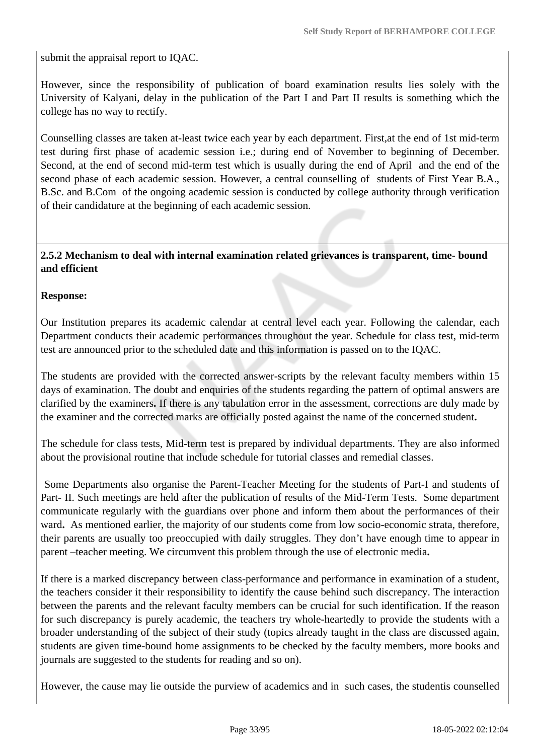submit the appraisal report to IQAC.

However, since the responsibility of publication of board examination results lies solely with the University of Kalyani, delay in the publication of the Part I and Part II results is something which the college has no way to rectify.

Counselling classes are taken at-least twice each year by each department. First,at the end of 1st mid-term test during first phase of academic session i.e.; during end of November to beginning of December. Second, at the end of second mid-term test which is usually during the end of April and the end of the second phase of each academic session. However, a central counselling of students of First Year B.A., B.Sc. and B.Com of the ongoing academic session is conducted by college authority through verification of their candidature at the beginning of each academic session.

### **2.5.2 Mechanism to deal with internal examination related grievances is transparent, time- bound and efficient**

### **Response:**

Our Institution prepares its academic calendar at central level each year. Following the calendar, each Department conducts their academic performances throughout the year. Schedule for class test, mid-term test are announced prior to the scheduled date and this information is passed on to the IQAC.

The students are provided with the corrected answer-scripts by the relevant faculty members within 15 days of examination. The doubt and enquiries of the students regarding the pattern of optimal answers are clarified by the examiners**.** If there is any tabulation error in the assessment, corrections are duly made by the examiner and the corrected marks are officially posted against the name of the concerned student**.**

The schedule for class tests, Mid-term test is prepared by individual departments. They are also informed about the provisional routine that include schedule for tutorial classes and remedial classes.

 Some Departments also organise the Parent-Teacher Meeting for the students of Part-I and students of Part- II. Such meetings are held after the publication of results of the Mid-Term Tests. Some department communicate regularly with the guardians over phone and inform them about the performances of their ward. As mentioned earlier, the majority of our students come from low socio-economic strata, therefore, their parents are usually too preoccupied with daily struggles. They don't have enough time to appear in parent –teacher meeting. We circumvent this problem through the use of electronic media**.**

If there is a marked discrepancy between class-performance and performance in examination of a student, the teachers consider it their responsibility to identify the cause behind such discrepancy. The interaction between the parents and the relevant faculty members can be crucial for such identification. If the reason for such discrepancy is purely academic, the teachers try whole-heartedly to provide the students with a broader understanding of the subject of their study (topics already taught in the class are discussed again, students are given time-bound home assignments to be checked by the faculty members, more books and journals are suggested to the students for reading and so on).

However, the cause may lie outside the purview of academics and in such cases, the studentis counselled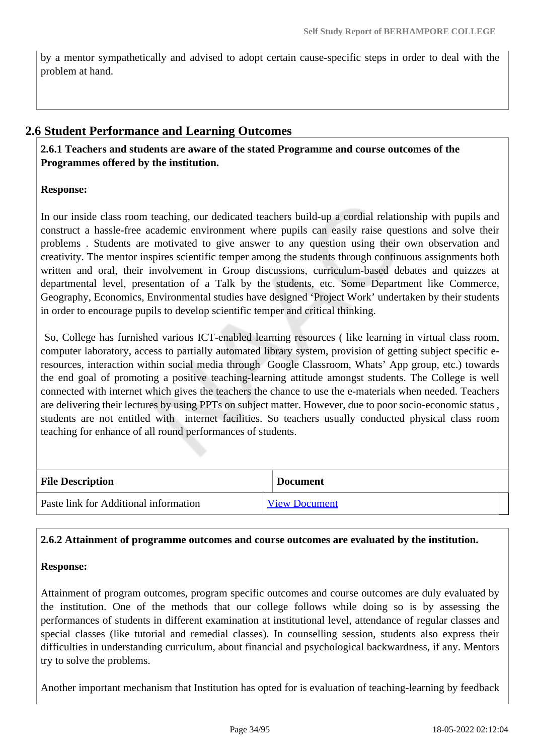by a mentor sympathetically and advised to adopt certain cause-specific steps in order to deal with the problem at hand.

### **2.6 Student Performance and Learning Outcomes**

 **2.6.1 Teachers and students are aware of the stated Programme and course outcomes of the Programmes offered by the institution.**

### **Response:**

In our inside class room teaching, our dedicated teachers build-up a cordial relationship with pupils and construct a hassle-free academic environment where pupils can easily raise questions and solve their problems . Students are motivated to give answer to any question using their own observation and creativity. The mentor inspires scientific temper among the students through continuous assignments both written and oral, their involvement in Group discussions, curriculum-based debates and quizzes at departmental level, presentation of a Talk by the students, etc. Some Department like Commerce, Geography, Economics, Environmental studies have designed 'Project Work' undertaken by their students in order to encourage pupils to develop scientific temper and critical thinking.

 So, College has furnished various ICT-enabled learning resources ( like learning in virtual class room, computer laboratory, access to partially automated library system, provision of getting subject specific eresources, interaction within social media through Google Classroom, Whats' App group, etc.) towards the end goal of promoting a positive teaching-learning attitude amongst students. The College is well connected with internet which gives the teachers the chance to use the e-materials when needed. Teachers are delivering their lectures by using PPTs on subject matter. However, due to poor socio-economic status , students are not entitled with internet facilities. So teachers usually conducted physical class room teaching for enhance of all round performances of students.

| <b>File Description</b>               | <b>Document</b>      |  |  |
|---------------------------------------|----------------------|--|--|
| Paste link for Additional information | <b>View Document</b> |  |  |

### **2.6.2 Attainment of programme outcomes and course outcomes are evaluated by the institution.**

### **Response:**

Attainment of program outcomes, program specific outcomes and course outcomes are duly evaluated by the institution. One of the methods that our college follows while doing so is by assessing the performances of students in different examination at institutional level, attendance of regular classes and special classes (like tutorial and remedial classes). In counselling session, students also express their difficulties in understanding curriculum, about financial and psychological backwardness, if any. Mentors try to solve the problems.

Another important mechanism that Institution has opted for is evaluation of teaching-learning by feedback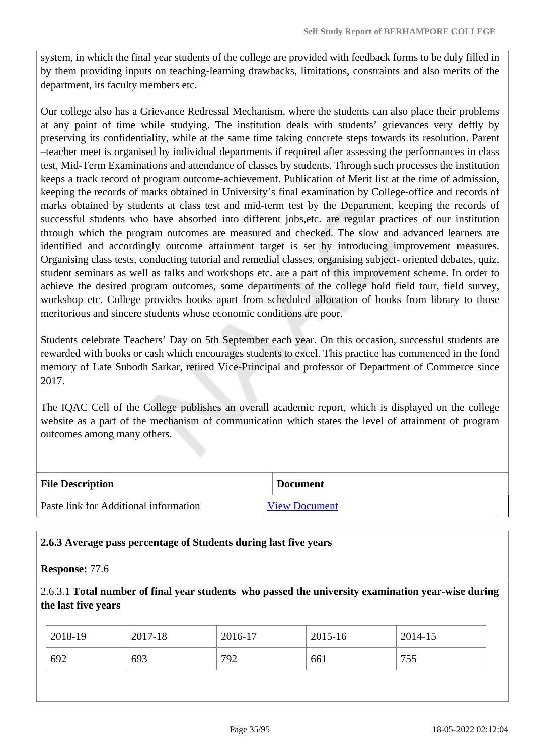system, in which the final year students of the college are provided with feedback forms to be duly filled in by them providing inputs on teaching-learning drawbacks, limitations, constraints and also merits of the department, its faculty members etc.

Our college also has a Grievance Redressal Mechanism, where the students can also place their problems at any point of time while studying. The institution deals with students' grievances very deftly by preserving its confidentiality, while at the same time taking concrete steps towards its resolution. Parent –teacher meet is organised by individual departments if required after assessing the performances in class test, Mid-Term Examinations and attendance of classes by students. Through such processes the institution keeps a track record of program outcome-achievement. Publication of Merit list at the time of admission, keeping the records of marks obtained in University's final examination by College-office and records of marks obtained by students at class test and mid-term test by the Department, keeping the records of successful students who have absorbed into different jobs,etc. are regular practices of our institution through which the program outcomes are measured and checked. The slow and advanced learners are identified and accordingly outcome attainment target is set by introducing improvement measures. Organising class tests, conducting tutorial and remedial classes, organising subject- oriented debates, quiz, student seminars as well as talks and workshops etc. are a part of this improvement scheme. In order to achieve the desired program outcomes, some departments of the college hold field tour, field survey, workshop etc. College provides books apart from scheduled allocation of books from library to those meritorious and sincere students whose economic conditions are poor.

Students celebrate Teachers' Day on 5th September each year. On this occasion, successful students are rewarded with books or cash which encourages students to excel. This practice has commenced in the fond memory of Late Subodh Sarkar, retired Vice-Principal and professor of Department of Commerce since 2017.

The IQAC Cell of the College publishes an overall academic report, which is displayed on the college website as a part of the mechanism of communication which states the level of attainment of program outcomes among many others.

| <b>File Description</b>               | <b>Document</b>      |  |
|---------------------------------------|----------------------|--|
| Paste link for Additional information | <b>View Document</b> |  |

### **2.6.3 Average pass percentage of Students during last five years**

#### **Response:** 77.6

2.6.3.1 **Total number of final year students who passed the university examination year-wise during the last five years**

| 2018-19 | 2017-18 | 2016-17 | 2015-16 | 2014-15    |
|---------|---------|---------|---------|------------|
| 692     | 693     | 792     | 661     | 755<br>ں ر |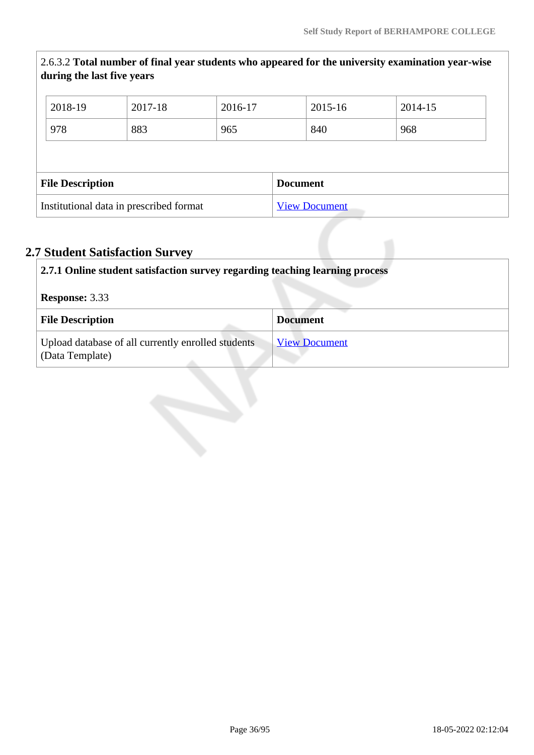|                                         | during the last five years |         |                      |  |                 | 2.6.3.2 Total number of final year students who appeared for the university examination year-wise |  |
|-----------------------------------------|----------------------------|---------|----------------------|--|-----------------|---------------------------------------------------------------------------------------------------|--|
|                                         | 2018-19                    | 2017-18 | 2016-17              |  | 2015-16         | 2014-15                                                                                           |  |
|                                         | 978                        | 883     | 965                  |  | 840             | 968                                                                                               |  |
|                                         |                            |         |                      |  |                 |                                                                                                   |  |
| <b>File Description</b>                 |                            |         |                      |  | <b>Document</b> |                                                                                                   |  |
| Institutional data in prescribed format |                            |         | <b>View Document</b> |  |                 |                                                                                                   |  |

# **2.7 Student Satisfaction Survey**

| 2.7.1 Online student satisfaction survey regarding teaching learning process |                      |  |  |
|------------------------------------------------------------------------------|----------------------|--|--|
| <b>Response: 3.33</b>                                                        |                      |  |  |
| <b>File Description</b>                                                      | <b>Document</b>      |  |  |
| Upload database of all currently enrolled students<br>(Data Template)        | <b>View Document</b> |  |  |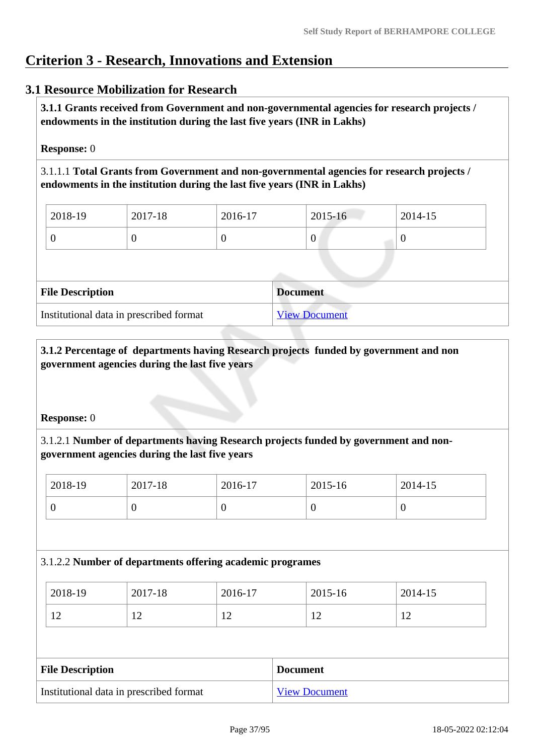# **Criterion 3 - Research, Innovations and Extension**

# **3.1 Resource Mobilization for Research**

 **3.1.1 Grants received from Government and non-governmental agencies for research projects / endowments in the institution during the last five years (INR in Lakhs)** 

#### **Response:** 0

3.1.1.1 **Total Grants from Government and non-governmental agencies for research projects / endowments in the institution during the last five years (INR in Lakhs)**

| $\frac{1}{2018-19}$ | $2017 - 18$ | 2016-17 | 2015-16 | $2014 - 15$ |
|---------------------|-------------|---------|---------|-------------|
|                     |             |         | 0       |             |

| <b>File Description</b>                 | <b>Document</b>      |
|-----------------------------------------|----------------------|
| Institutional data in prescribed format | <b>View Document</b> |

## **3.1.2 Percentage of departments having Research projects funded by government and non government agencies during the last five years**

#### **Response:** 0

# 3.1.2.1 **Number of departments having Research projects funded by government and nongovernment agencies during the last five years**

| 2018-19 | 2017-18 | 2016-17 | 2015-16 | 2014-15 |
|---------|---------|---------|---------|---------|
|         | ν       |         |         |         |

#### 3.1.2.2 **Number of departments offering academic programes**

| 2018-19             | 2017-18        | 2016-17        | 2015-16 | 2014-15  |
|---------------------|----------------|----------------|---------|----------|
| 1 <sub>2</sub><br>┸ | $\overline{1}$ | 1 <sub>0</sub> | ┸       | י י<br>∸ |

| <b>File Description</b>                 | <b>Document</b>      |
|-----------------------------------------|----------------------|
| Institutional data in prescribed format | <b>View Document</b> |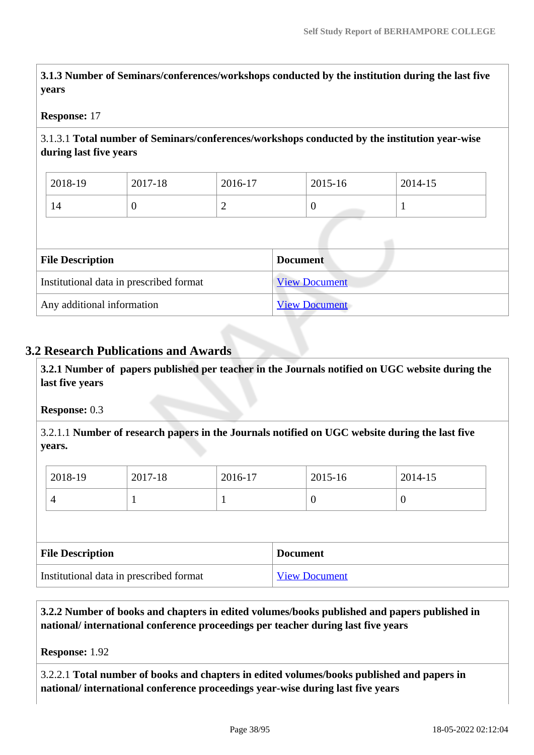**3.1.3 Number of Seminars/conferences/workshops conducted by the institution during the last five years**

#### **Response:** 17

## 3.1.3.1 **Total number of Seminars/conferences/workshops conducted by the institution year-wise during last five years**

| 2018-19 | 2017-18 | 2016-17                       | 2015-16 | 2014-15 |
|---------|---------|-------------------------------|---------|---------|
| 14      |         | ∼<br>$\overline{\phantom{0}}$ |         | -       |

| <b>File Description</b>                 | <b>Document</b>      |
|-----------------------------------------|----------------------|
| Institutional data in prescribed format | <b>View Document</b> |
| Any additional information              | <b>View Document</b> |

## **3.2 Research Publications and Awards**

 **3.2.1 Number of papers published per teacher in the Journals notified on UGC website during the last five years** 

#### **Response:** 0.3

3.2.1.1 **Number of research papers in the Journals notified on UGC website during the last five years.**

| 2018-19  | 2017-18 | 2016-17 | 2015-16 | 2014-15 |
|----------|---------|---------|---------|---------|
| $\Delta$ |         |         |         | ν       |

| <b>File Description</b>                 | <b>Document</b>      |
|-----------------------------------------|----------------------|
| Institutional data in prescribed format | <b>View Document</b> |

 **3.2.2 Number of books and chapters in edited volumes/books published and papers published in national/ international conference proceedings per teacher during last five years**

**Response:** 1.92

3.2.2.1 **Total number of books and chapters in edited volumes/books published and papers in national/ international conference proceedings year-wise during last five years**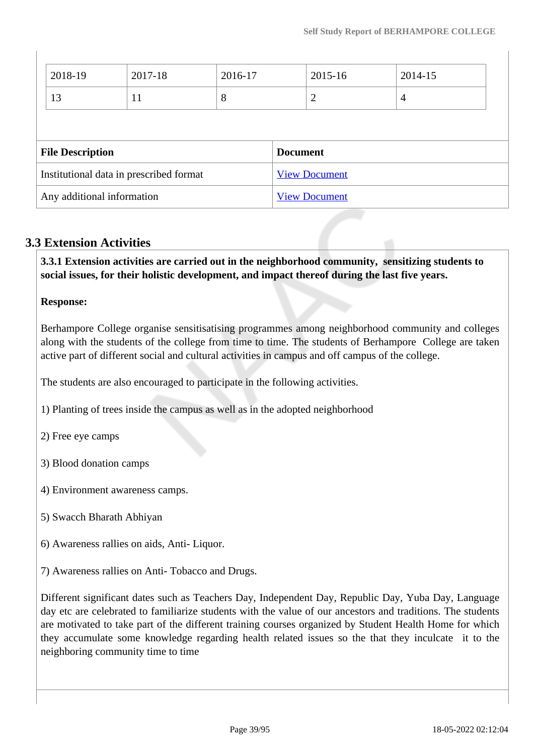| 2018-19                 | 2017-18                                 | 2016-17 |                 | 2015-16              | 2014-15        |  |
|-------------------------|-----------------------------------------|---------|-----------------|----------------------|----------------|--|
| 13                      | 11                                      | 8       |                 | 2                    | $\overline{4}$ |  |
|                         |                                         |         |                 |                      |                |  |
|                         |                                         |         |                 |                      |                |  |
| <b>File Description</b> |                                         |         | <b>Document</b> |                      |                |  |
|                         | Institutional data in prescribed format |         |                 | <b>View Document</b> |                |  |

## **3.3 Extension Activities**

 **3.3.1 Extension activities are carried out in the neighborhood community, sensitizing students to social issues, for their holistic development, and impact thereof during the last five years.**

#### **Response:**

Berhampore College organise sensitisatising programmes among neighborhood community and colleges along with the students of the college from time to time. The students of Berhampore College are taken active part of different social and cultural activities in campus and off campus of the college.

The students are also encouraged to participate in the following activities.

1) Planting of trees inside the campus as well as in the adopted neighborhood

2) Free eye camps

- 3) Blood donation camps
- 4) Environment awareness camps.
- 5) Swacch Bharath Abhiyan
- 6) Awareness rallies on aids, Anti- Liquor.
- 7) Awareness rallies on Anti- Tobacco and Drugs.

Different significant dates such as Teachers Day, Independent Day, Republic Day, Yuba Day, Language day etc are celebrated to familiarize students with the value of our ancestors and traditions. The students are motivated to take part of the different training courses organized by Student Health Home for which they accumulate some knowledge regarding health related issues so the that they inculcate it to the neighboring community time to time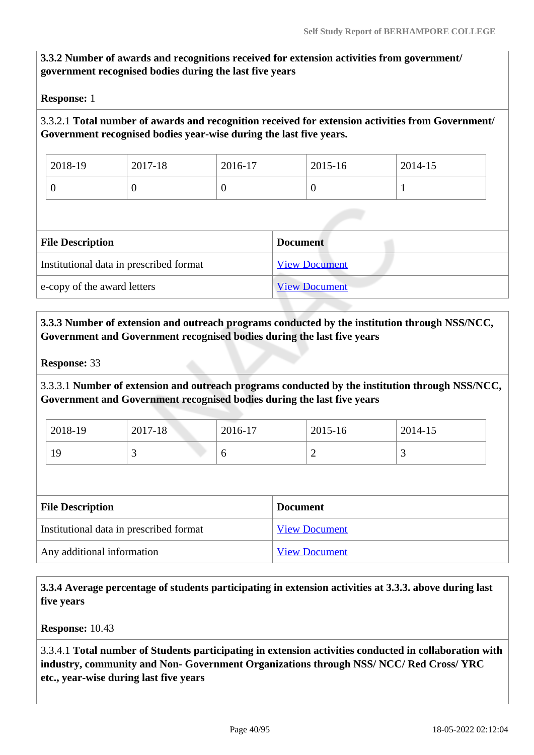# **3.3.2 Number of awards and recognitions received for extension activities from government/ government recognised bodies during the last five years**

**Response:** 1

# 3.3.2.1 **Total number of awards and recognition received for extension activities from Government/ Government recognised bodies year-wise during the last five years.**

| 2018-19 | 2017-18 | 2016-17 | 2015-16 | 2014-15 |
|---------|---------|---------|---------|---------|
| ິ       | ν       |         |         |         |

| <b>File Description</b>                 | <b>Document</b>      |
|-----------------------------------------|----------------------|
| Institutional data in prescribed format | <b>View Document</b> |
| e-copy of the award letters             | <b>View Document</b> |

 **3.3.3 Number of extension and outreach programs conducted by the institution through NSS/NCC, Government and Government recognised bodies during the last five years**

**Response:** 33

3.3.3.1 **Number of extension and outreach programs conducted by the institution through NSS/NCC, Government and Government recognised bodies during the last five years**

| 2018-19 | 2017-18  | 2016-17 | 2015-16 | 2014-15 |
|---------|----------|---------|---------|---------|
| 19      | <u>ب</u> | υ       | ∼       |         |

| <b>File Description</b>                 | <b>Document</b>      |
|-----------------------------------------|----------------------|
| Institutional data in prescribed format | <b>View Document</b> |
| Any additional information              | <b>View Document</b> |

 **3.3.4 Average percentage of students participating in extension activities at 3.3.3. above during last five years**

**Response:** 10.43

3.3.4.1 **Total number of Students participating in extension activities conducted in collaboration with industry, community and Non- Government Organizations through NSS/ NCC/ Red Cross/ YRC etc., year-wise during last five years**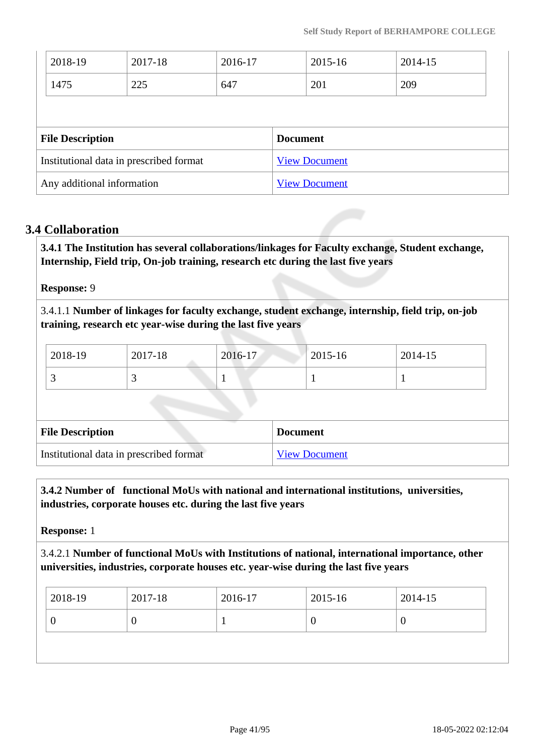| 2017-18<br>2018-19<br>2016-17 |                                         |     |     | 2015-16         | 2014-15              |     |
|-------------------------------|-----------------------------------------|-----|-----|-----------------|----------------------|-----|
|                               | 1475                                    | 225 | 647 |                 | 201                  | 209 |
|                               |                                         |     |     |                 |                      |     |
|                               |                                         |     |     |                 |                      |     |
|                               | <b>File Description</b>                 |     |     | <b>Document</b> |                      |     |
|                               | Institutional data in prescribed format |     |     |                 | <b>View Document</b> |     |

## **3.4 Collaboration**

 **3.4.1 The Institution has several collaborations/linkages for Faculty exchange, Student exchange, Internship, Field trip, On-job training, research etc during the last five years** 

#### **Response:** 9

3.4.1.1 **Number of linkages for faculty exchange, student exchange, internship, field trip, on-job training, research etc year-wise during the last five years**

| 2018-19 | 2017-18 | 2016-17 | 2015-16 | 2014-15 |
|---------|---------|---------|---------|---------|
|         | ັ       |         |         |         |

| <b>File Description</b>                 | <b>Document</b>      |
|-----------------------------------------|----------------------|
| Institutional data in prescribed format | <b>View Document</b> |

## **3.4.2 Number of functional MoUs with national and international institutions, universities, industries, corporate houses etc. during the last five years**

**Response:** 1

3.4.2.1 **Number of functional MoUs with Institutions of national, international importance, other universities, industries, corporate houses etc. year-wise during the last five years**

| U<br>ν | $ 2018-19 $ | 2017-18 | 2016-17 | 2015-16 | 2014-15 |
|--------|-------------|---------|---------|---------|---------|
|        |             |         |         |         |         |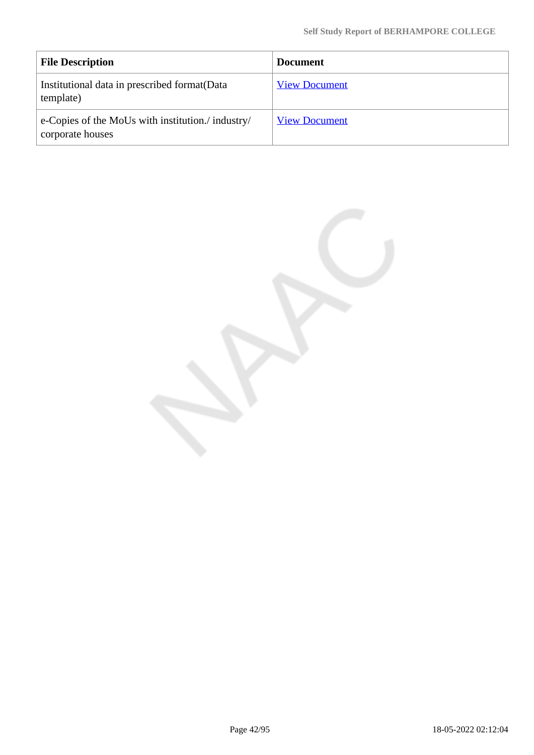| <b>File Description</b>                                               | <b>Document</b>      |
|-----------------------------------------------------------------------|----------------------|
| Institutional data in prescribed format (Data<br>template)            | <b>View Document</b> |
| e-Copies of the MoUs with institution./ industry/<br>corporate houses | <b>View Document</b> |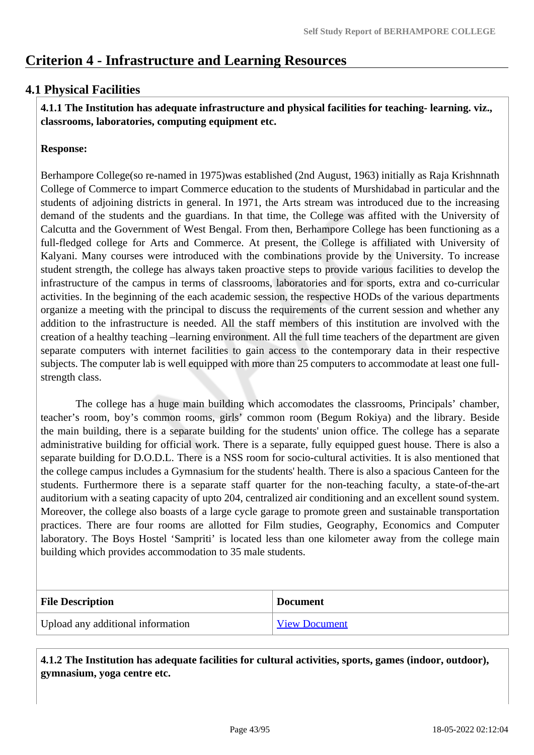# **Criterion 4 - Infrastructure and Learning Resources**

# **4.1 Physical Facilities**

 **4.1.1 The Institution has adequate infrastructure and physical facilities for teaching- learning. viz., classrooms, laboratories, computing equipment etc.** 

#### **Response:**

Berhampore College(so re-named in 1975)was established (2nd August, 1963) initially as Raja Krishnnath College of Commerce to impart Commerce education to the students of Murshidabad in particular and the students of adjoining districts in general. In 1971, the Arts stream was introduced due to the increasing demand of the students and the guardians. In that time, the College was affited with the University of Calcutta and the Government of West Bengal. From then, Berhampore College has been functioning as a full-fledged college for Arts and Commerce. At present, the College is affiliated with University of Kalyani. Many courses were introduced with the combinations provide by the University. To increase student strength, the college has always taken proactive steps to provide various facilities to develop the infrastructure of the campus in terms of classrooms, laboratories and for sports, extra and co-curricular activities. In the beginning of the each academic session, the respective HODs of the various departments organize a meeting with the principal to discuss the requirements of the current session and whether any addition to the infrastructure is needed. All the staff members of this institution are involved with the creation of a healthy teaching –learning environment. All the full time teachers of the department are given separate computers with internet facilities to gain access to the contemporary data in their respective subjects. The computer lab is well equipped with more than 25 computers to accommodate at least one fullstrength class.

 The college has a huge main building which accomodates the classrooms, Principals' chamber, teacher's room, boy's common rooms, girls' common room (Begum Rokiya) and the library. Beside the main building, there is a separate building for the students' union office. The college has a separate administrative building for official work. There is a separate, fully equipped guest house. There is also a separate building for D.O.D.L. There is a NSS room for socio-cultural activities. It is also mentioned that the college campus includes a Gymnasium for the students' health. There is also a spacious Canteen for the students. Furthermore there is a separate staff quarter for the non-teaching faculty, a state-of-the-art auditorium with a seating capacity of upto 204, centralized air conditioning and an excellent sound system. Moreover, the college also boasts of a large cycle garage to promote green and sustainable transportation practices. There are four rooms are allotted for Film studies, Geography, Economics and Computer laboratory. The Boys Hostel 'Sampriti' is located less than one kilometer away from the college main building which provides accommodation to 35 male students.

| <b>File Description</b>           | <b>Document</b>      |
|-----------------------------------|----------------------|
| Upload any additional information | <b>View Document</b> |

 **4.1.2 The Institution has adequate facilities for cultural activities, sports, games (indoor, outdoor), gymnasium, yoga centre etc.**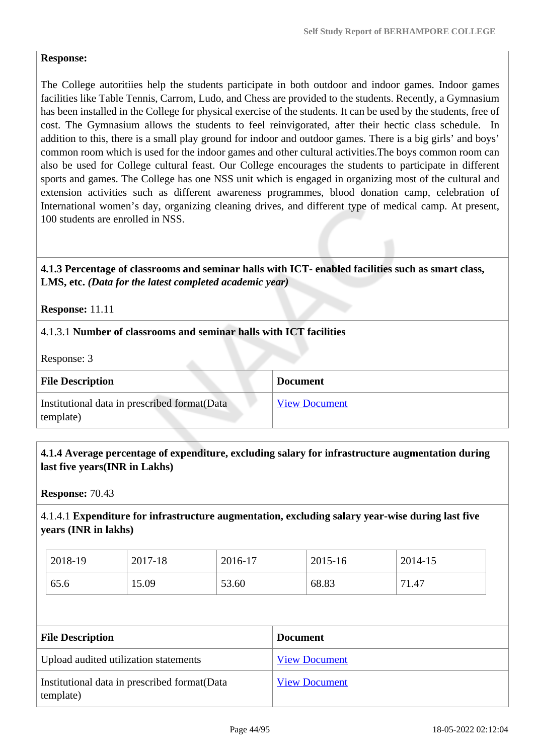## **Response:**

The College autoritiies help the students participate in both outdoor and indoor games. Indoor games facilities like Table Tennis, Carrom, Ludo, and Chess are provided to the students. Recently, a Gymnasium has been installed in the College for physical exercise of the students. It can be used by the students, free of cost. The Gymnasium allows the students to feel reinvigorated, after their hectic class schedule. In addition to this, there is a small play ground for indoor and outdoor games. There is a big girls' and boys' common room which is used for the indoor games and other cultural activities.The boys common room can also be used for College cultural feast. Our College encourages the students to participate in different sports and games. The College has one NSS unit which is engaged in organizing most of the cultural and extension activities such as different awareness programmes, blood donation camp, celebration of International women's day, organizing cleaning drives, and different type of medical camp. At present, 100 students are enrolled in NSS.

## **4.1.3 Percentage of classrooms and seminar halls with ICT- enabled facilities such as smart class, LMS, etc.** *(Data for the latest completed academic year)*

**Response:** 11.11

## 4.1.3.1 **Number of classrooms and seminar halls with ICT facilities**

Response: 3

| <b>File Description</b>                                    | <b>Document</b>      |
|------------------------------------------------------------|----------------------|
| Institutional data in prescribed format (Data<br>template) | <b>View Document</b> |

#### **4.1.4 Average percentage of expenditure, excluding salary for infrastructure augmentation during last five years(INR in Lakhs)**

**Response:** 70.43

# 4.1.4.1 **Expenditure for infrastructure augmentation, excluding salary year-wise during last five years (INR in lakhs)**

| 2018-19 | 2017-18 | 2016-17 | 2015-16 | 2014-15 |
|---------|---------|---------|---------|---------|
| 65.6    | 15.09   | 53.60   | 68.83   | 71.47   |

| <b>File Description</b>                                    | <b>Document</b>      |
|------------------------------------------------------------|----------------------|
| Upload audited utilization statements                      | <b>View Document</b> |
| Institutional data in prescribed format (Data<br>template) | <b>View Document</b> |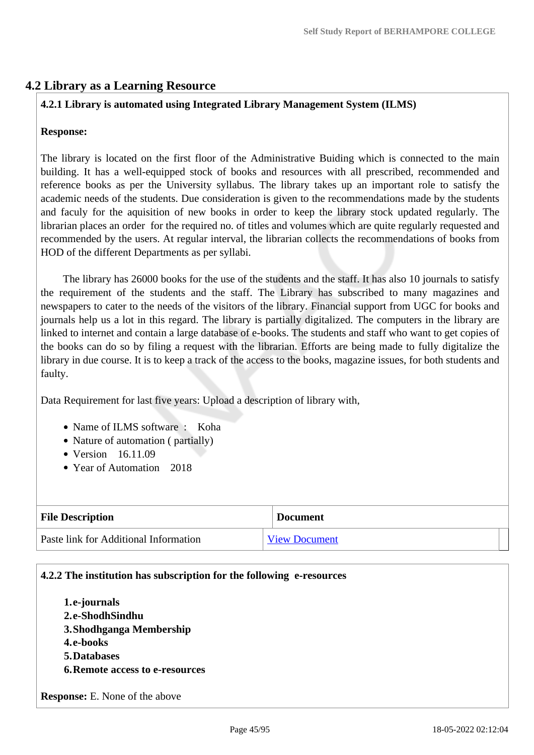# **4.2 Library as a Learning Resource**

# **4.2.1 Library is automated using Integrated Library Management System (ILMS)**

#### **Response:**

The library is located on the first floor of the Administrative Buiding which is connected to the main building. It has a well-equipped stock of books and resources with all prescribed, recommended and reference books as per the University syllabus. The library takes up an important role to satisfy the academic needs of the students. Due consideration is given to the recommendations made by the students and faculy for the aquisition of new books in order to keep the library stock updated regularly. The librarian places an order for the required no. of titles and volumes which are quite regularly requested and recommended by the users. At regular interval, the librarian collects the recommendations of books from HOD of the different Departments as per syllabi.

 The library has 26000 books for the use of the students and the staff. It has also 10 journals to satisfy the requirement of the students and the staff. The Library has subscribed to many magazines and newspapers to cater to the needs of the visitors of the library. Financial support from UGC for books and journals help us a lot in this regard. The library is partially digitalized. The computers in the library are linked to internet and contain a large database of e-books. The students and staff who want to get copies of the books can do so by filing a request with the librarian. Efforts are being made to fully digitalize the library in due course. It is to keep a track of the access to the books, magazine issues, for both students and faulty.

Data Requirement for last five years: Upload a description of library with,

- Name of ILMS software : Koha
- Nature of automation ( partially)
- Version 16.11.09
- Year of Automation 2018

| <b>File Description</b>               | <b>Document</b>      |  |
|---------------------------------------|----------------------|--|
| Paste link for Additional Information | <b>View Document</b> |  |

#### **4.2.2 The institution has subscription for the following e-resources**

**1.e-journals 2.e-ShodhSindhu 3.Shodhganga Membership 4.e-books 5.Databases 6.Remote access to e-resources**

**Response:** E. None of the above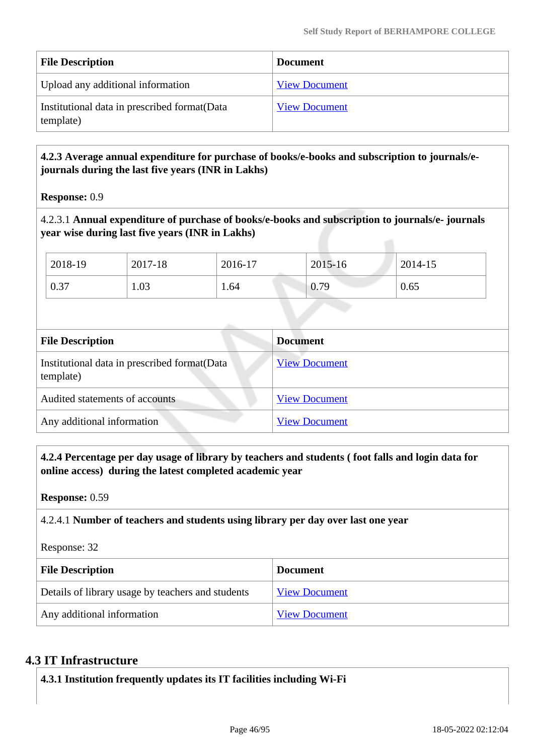| <b>File Description</b>                                    | <b>Document</b>      |
|------------------------------------------------------------|----------------------|
| Upload any additional information                          | <b>View Document</b> |
| Institutional data in prescribed format (Data<br>template) | <b>View Document</b> |

# **4.2.3 Average annual expenditure for purchase of books/e-books and subscription to journals/ejournals during the last five years (INR in Lakhs)**

**Response:** 0.9

4.2.3.1 **Annual expenditure of purchase of books/e-books and subscription to journals/e- journals year wise during last five years (INR in Lakhs)**

| 2018-19 | 2017-18 | 2016-17 | 2015-16 | 2014-15 |
|---------|---------|---------|---------|---------|
| 0.37    | 1.03    | 1.64    | 0.79    | 0.65    |

| <b>File Description</b>                                    | <b>Document</b>      |
|------------------------------------------------------------|----------------------|
| Institutional data in prescribed format (Data<br>template) | <b>View Document</b> |
| Audited statements of accounts                             | <b>View Document</b> |
| Any additional information                                 | <b>View Document</b> |

 **4.2.4 Percentage per day usage of library by teachers and students ( foot falls and login data for online access) during the latest completed academic year**

**Response:** 0.59

4.2.4.1 **Number of teachers and students using library per day over last one year**

Response: 32

| <b>File Description</b>                           | <b>Document</b>      |  |
|---------------------------------------------------|----------------------|--|
| Details of library usage by teachers and students | <b>View Document</b> |  |
| Any additional information                        | <b>View Document</b> |  |

#### **4.3 IT Infrastructure**

**4.3.1 Institution frequently updates its IT facilities including Wi-Fi**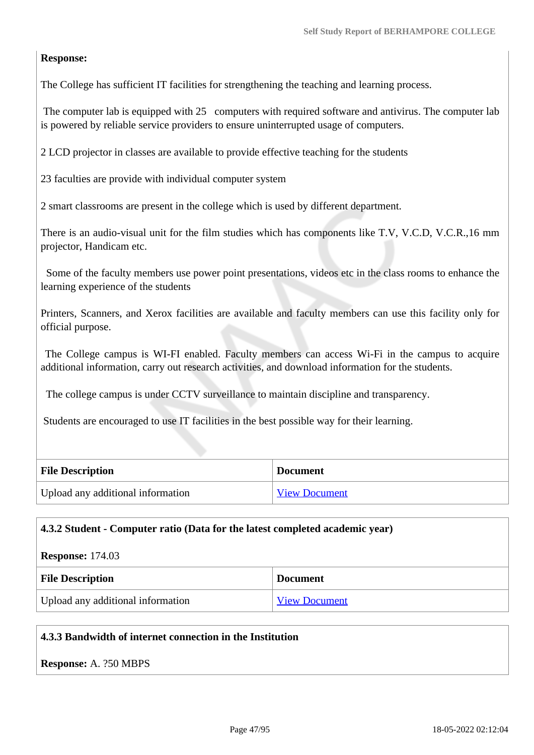## **Response:**

The College has sufficient IT facilities for strengthening the teaching and learning process.

The computer lab is equipped with 25 computers with required software and antivirus. The computer lab is powered by reliable service providers to ensure uninterrupted usage of computers.

2 LCD projector in classes are available to provide effective teaching for the students

23 faculties are provide with individual computer system

2 smart classrooms are present in the college which is used by different department.

There is an audio-visual unit for the film studies which has components like T.V, V.C.D, V.C.R.,16 mm projector, Handicam etc.

 Some of the faculty members use power point presentations, videos etc in the class rooms to enhance the learning experience of the students

Printers, Scanners, and Xerox facilities are available and faculty members can use this facility only for official purpose.

 The College campus is WI-FI enabled. Faculty members can access Wi-Fi in the campus to acquire additional information, carry out research activities, and download information for the students.

The college campus is under CCTV surveillance to maintain discipline and transparency.

Students are encouraged to use IT facilities in the best possible way for their learning.

| <b>File Description</b>           | <b>Document</b>      |
|-----------------------------------|----------------------|
| Upload any additional information | <b>View Document</b> |

#### **4.3.2 Student - Computer ratio (Data for the latest completed academic year)**

| <b>Response:</b> 174.03           |                      |
|-----------------------------------|----------------------|
| <b>File Description</b>           | <b>Document</b>      |
| Upload any additional information | <b>View Document</b> |

#### **4.3.3 Bandwidth of internet connection in the Institution**

**Response:** A. ?50 MBPS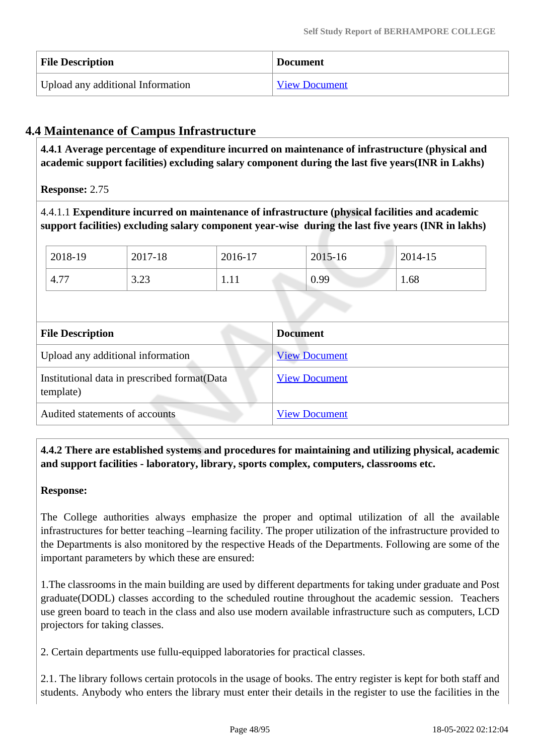| <b>File Description</b>           | <b>Document</b>      |
|-----------------------------------|----------------------|
| Upload any additional Information | <b>View Document</b> |

# **4.4 Maintenance of Campus Infrastructure**

 **4.4.1 Average percentage of expenditure incurred on maintenance of infrastructure (physical and academic support facilities) excluding salary component during the last five years(INR in Lakhs)**

**Response:** 2.75

4.4.1.1 **Expenditure incurred on maintenance of infrastructure (physical facilities and academic support facilities) excluding salary component year-wise during the last five years (INR in lakhs)**

| 2018-19       | 2017-18       | 2016-17 | 2015-16 | 2014-15 |
|---------------|---------------|---------|---------|---------|
| $4.7^{\circ}$ | 3.23<br>ر ∠.∠ | 1.11    | 0.99    | 1.68    |

| <b>File Description</b>                                    | <b>Document</b>      |
|------------------------------------------------------------|----------------------|
| Upload any additional information                          | <b>View Document</b> |
| Institutional data in prescribed format (Data<br>template) | <b>View Document</b> |
| Audited statements of accounts                             | <b>View Document</b> |

 **4.4.2 There are established systems and procedures for maintaining and utilizing physical, academic and support facilities - laboratory, library, sports complex, computers, classrooms etc.**

#### **Response:**

The College authorities always emphasize the proper and optimal utilization of all the available infrastructures for better teaching –learning facility. The proper utilization of the infrastructure provided to the Departments is also monitored by the respective Heads of the Departments. Following are some of the important parameters by which these are ensured:

1.The classrooms in the main building are used by different departments for taking under graduate and Post graduate(DODL) classes according to the scheduled routine throughout the academic session. Teachers use green board to teach in the class and also use modern available infrastructure such as computers, LCD projectors for taking classes.

2. Certain departments use fullu-equipped laboratories for practical classes.

2.1. The library follows certain protocols in the usage of books. The entry register is kept for both staff and students. Anybody who enters the library must enter their details in the register to use the facilities in the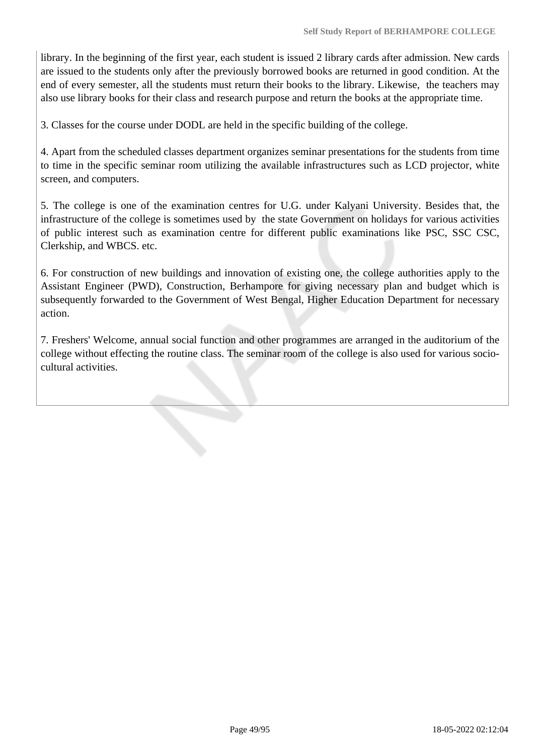library. In the beginning of the first year, each student is issued 2 library cards after admission. New cards are issued to the students only after the previously borrowed books are returned in good condition. At the end of every semester, all the students must return their books to the library. Likewise, the teachers may also use library books for their class and research purpose and return the books at the appropriate time.

3. Classes for the course under DODL are held in the specific building of the college.

4. Apart from the scheduled classes department organizes seminar presentations for the students from time to time in the specific seminar room utilizing the available infrastructures such as LCD projector, white screen, and computers.

5. The college is one of the examination centres for U.G. under Kalyani University. Besides that, the infrastructure of the college is sometimes used by the state Government on holidays for various activities of public interest such as examination centre for different public examinations like PSC, SSC CSC, Clerkship, and WBCS. etc.

6. For construction of new buildings and innovation of existing one, the college authorities apply to the Assistant Engineer (PWD), Construction, Berhampore for giving necessary plan and budget which is subsequently forwarded to the Government of West Bengal, Higher Education Department for necessary action.

7. Freshers' Welcome, annual social function and other programmes are arranged in the auditorium of the college without effecting the routine class. The seminar room of the college is also used for various sociocultural activities.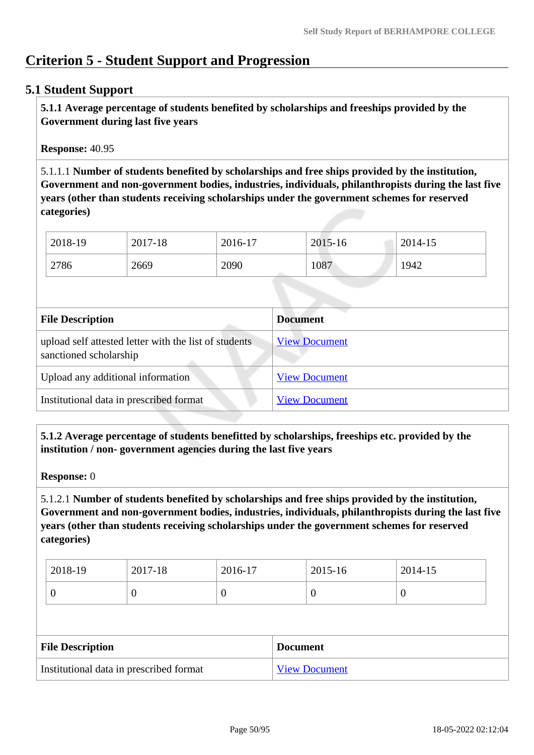# **Criterion 5 - Student Support and Progression**

## **5.1 Student Support**

 **5.1.1 Average percentage of students benefited by scholarships and freeships provided by the Government during last five years** 

**Response:** 40.95

5.1.1.1 **Number of students benefited by scholarships and free ships provided by the institution, Government and non-government bodies, industries, individuals, philanthropists during the last five years (other than students receiving scholarships under the government schemes for reserved categories)** 

| 2018-19 | 2017-18 | $2016-17$ | 2015-16 | 2014-15 |
|---------|---------|-----------|---------|---------|
| 2786    | 2669    | 2090      | 1087    | 1942    |

| <b>File Description</b>                                                         | <b>Document</b>      |
|---------------------------------------------------------------------------------|----------------------|
| upload self attested letter with the list of students<br>sanctioned scholarship | <b>View Document</b> |
| Upload any additional information                                               | <b>View Document</b> |
| Institutional data in prescribed format                                         | <b>View Document</b> |

 **5.1.2 Average percentage of students benefitted by scholarships, freeships etc. provided by the institution / non- government agencies during the last five years**

**Response:** 0

5.1.2.1 **Number of students benefited by scholarships and free ships provided by the institution, Government and non-government bodies, industries, individuals, philanthropists during the last five years (other than students receiving scholarships under the government schemes for reserved categories)** 

| 2018-19 | 2017-18 | 2016-17 | 2015-16 | 2014-15 |
|---------|---------|---------|---------|---------|
|         | ິ       |         |         |         |

| <b>File Description</b>                 | <b>Document</b>      |
|-----------------------------------------|----------------------|
| Institutional data in prescribed format | <b>View Document</b> |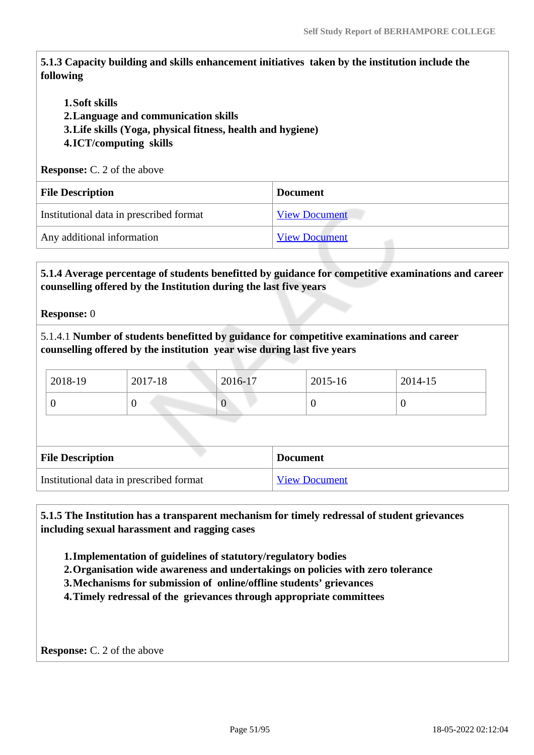**5.1.3 Capacity building and skills enhancement initiatives taken by the institution include the following**

- **1.Soft skills**
- **2.Language and communication skills**
- **3.Life skills (Yoga, physical fitness, health and hygiene)**
- **4.ICT/computing skills**

**Response:** C. 2 of the above

| <b>File Description</b>                 | <b>Document</b>      |
|-----------------------------------------|----------------------|
| Institutional data in prescribed format | <b>View Document</b> |
| Any additional information              | <b>View Document</b> |

 **5.1.4 Average percentage of students benefitted by guidance for competitive examinations and career counselling offered by the Institution during the last five years**

**Response:** 0

5.1.4.1 **Number of students benefitted by guidance for competitive examinations and career counselling offered by the institution year wise during last five years**

| $12018-19$ | 2017-18 | $2016 - 17$ | 2015-16 | $2014 - 15$ |
|------------|---------|-------------|---------|-------------|
|            |         |             |         |             |

| <b>File Description</b>                 | <b>Document</b>      |
|-----------------------------------------|----------------------|
| Institutional data in prescribed format | <b>View Document</b> |

 **5.1.5 The Institution has a transparent mechanism for timely redressal of student grievances including sexual harassment and ragging cases**

**1.Implementation of guidelines of statutory/regulatory bodies**

**2.Organisation wide awareness and undertakings on policies with zero tolerance**

**3.Mechanisms for submission of online/offline students' grievances**

**4.Timely redressal of the grievances through appropriate committees**

**Response:** C. 2 of the above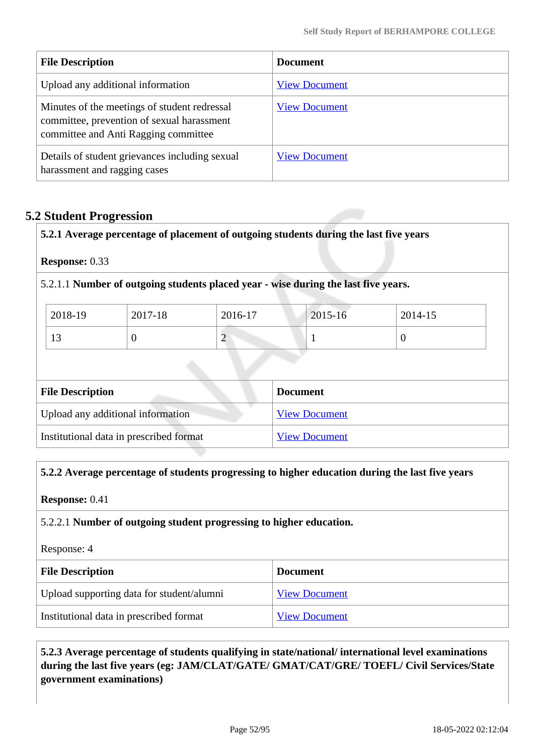| <b>File Description</b>                                                                                                            | <b>Document</b>      |
|------------------------------------------------------------------------------------------------------------------------------------|----------------------|
| Upload any additional information                                                                                                  | <b>View Document</b> |
| Minutes of the meetings of student redressal<br>committee, prevention of sexual harassment<br>committee and Anti Ragging committee | <b>View Document</b> |
| Details of student grievances including sexual<br>harassment and ragging cases                                                     | <b>View Document</b> |

# **5.2 Student Progression**

**5.2.1 Average percentage of placement of outgoing students during the last five years**

**Response:** 0.33

5.2.1.1 **Number of outgoing students placed year - wise during the last five years.**

| 2018-19       | 2017-18 | 2016-17 | $2015 - 16$ | 2014-15 |
|---------------|---------|---------|-------------|---------|
| $\sim$<br>1 J |         | ∼       |             |         |

| <b>File Description</b>                 | <b>Document</b>      |
|-----------------------------------------|----------------------|
| Upload any additional information       | <b>View Document</b> |
| Institutional data in prescribed format | <b>View Document</b> |

#### **5.2.2 Average percentage of students progressing to higher education during the last five years**

**Response:** 0.41

#### 5.2.2.1 **Number of outgoing student progressing to higher education.**

Response: 4

| <b>File Description</b>                   | <b>Document</b>      |
|-------------------------------------------|----------------------|
| Upload supporting data for student/alumni | <b>View Document</b> |
| Institutional data in prescribed format   | <b>View Document</b> |

 **5.2.3 Average percentage of students qualifying in state/national/ international level examinations during the last five years (eg: JAM/CLAT/GATE/ GMAT/CAT/GRE/ TOEFL/ Civil Services/State government examinations)**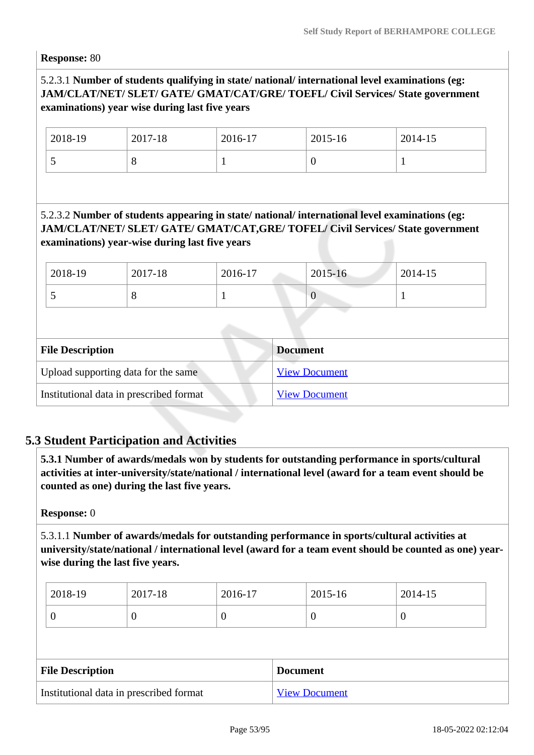**Response:** 80

# 5.2.3.1 **Number of students qualifying in state/ national/ international level examinations (eg: JAM/CLAT/NET/ SLET/ GATE/ GMAT/CAT/GRE/ TOEFL/ Civil Services/ State government examinations) year wise during last five years**

| 2018-19  | 2017-18 | 2016-17 | 2015-16 | 2014-15 |
|----------|---------|---------|---------|---------|
| <b>پ</b> | ◡       |         |         |         |

# 5.2.3.2 **Number of students appearing in state/ national/ international level examinations (eg: JAM/CLAT/NET/ SLET/ GATE/ GMAT/CAT,GRE/ TOFEL/ Civil Services/ State government examinations) year-wise during last five years**

| 2018-19 | 2017-18 | 2016-17 | 2015-16      | 2014-15 |
|---------|---------|---------|--------------|---------|
|         | ◡       |         | $\mathbf{U}$ |         |

| <b>File Description</b>                 | <b>Document</b>      |
|-----------------------------------------|----------------------|
| Upload supporting data for the same     | <b>View Document</b> |
| Institutional data in prescribed format | <b>View Document</b> |

# **5.3 Student Participation and Activities**

 **5.3.1 Number of awards/medals won by students for outstanding performance in sports/cultural activities at inter-university/state/national / international level (award for a team event should be counted as one) during the last five years.**

#### **Response:** 0

5.3.1.1 **Number of awards/medals for outstanding performance in sports/cultural activities at university/state/national / international level (award for a team event should be counted as one) yearwise during the last five years.**

| 2018-19 | 2017-18 | 2016-17 | $2015 - 16$ | 2014-15 |
|---------|---------|---------|-------------|---------|
|         |         | ν       | ິ           |         |

| <b>File Description</b>                 | <b>Document</b>      |
|-----------------------------------------|----------------------|
| Institutional data in prescribed format | <b>View Document</b> |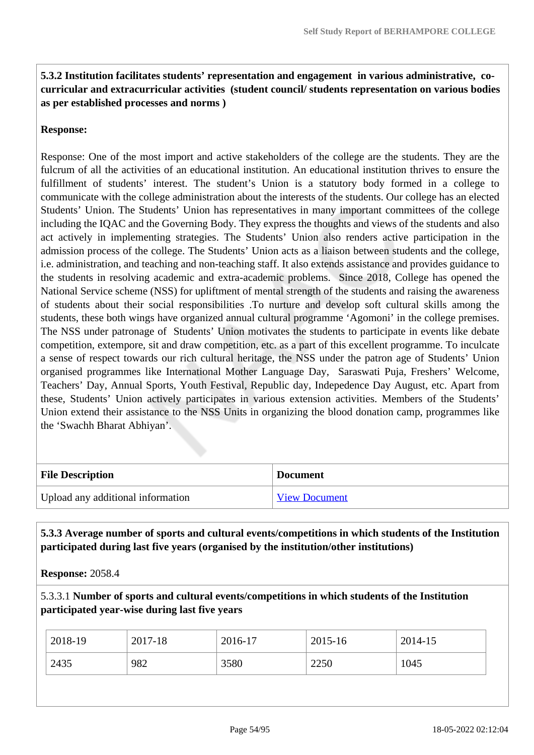## **5.3.2 Institution facilitates students' representation and engagement in various administrative, cocurricular and extracurricular activities (student council/ students representation on various bodies as per established processes and norms )**

### **Response:**

Response: One of the most import and active stakeholders of the college are the students. They are the fulcrum of all the activities of an educational institution. An educational institution thrives to ensure the fulfillment of students' interest. The student's Union is a statutory body formed in a college to communicate with the college administration about the interests of the students. Our college has an elected Students' Union. The Students' Union has representatives in many important committees of the college including the IQAC and the Governing Body. They express the thoughts and views of the students and also act actively in implementing strategies. The Students' Union also renders active participation in the admission process of the college. The Students' Union acts as a liaison between students and the college, i.e. administration, and teaching and non-teaching staff. It also extends assistance and provides guidance to the students in resolving academic and extra-academic problems. Since 2018, College has opened the National Service scheme (NSS) for upliftment of mental strength of the students and raising the awareness of students about their social responsibilities .To nurture and develop soft cultural skills among the students, these both wings have organized annual cultural programme 'Agomoni' in the college premises. The NSS under patronage of Students' Union motivates the students to participate in events like debate competition, extempore, sit and draw competition, etc. as a part of this excellent programme. To inculcate a sense of respect towards our rich cultural heritage, the NSS under the patron age of Students' Union organised programmes like International Mother Language Day, Saraswati Puja, Freshers' Welcome, Teachers' Day, Annual Sports, Youth Festival, Republic day, Indepedence Day August, etc. Apart from these, Students' Union actively participates in various extension activities. Members of the Students' Union extend their assistance to the NSS Units in organizing the blood donation camp, programmes like the 'Swachh Bharat Abhiyan'.

| <b>File Description</b>           | <b>Document</b>      |
|-----------------------------------|----------------------|
| Upload any additional information | <b>View Document</b> |

 **5.3.3 Average number of sports and cultural events/competitions in which students of the Institution participated during last five years (organised by the institution/other institutions)**

**Response:** 2058.4

5.3.3.1 **Number of sports and cultural events/competitions in which students of the Institution participated year-wise during last five years**

| 2018-19 | 2017-18 | 2016-17 | 2015-16 | 2014-15 |
|---------|---------|---------|---------|---------|
| 2435    | 982     | 3580    | 2250    | 1045    |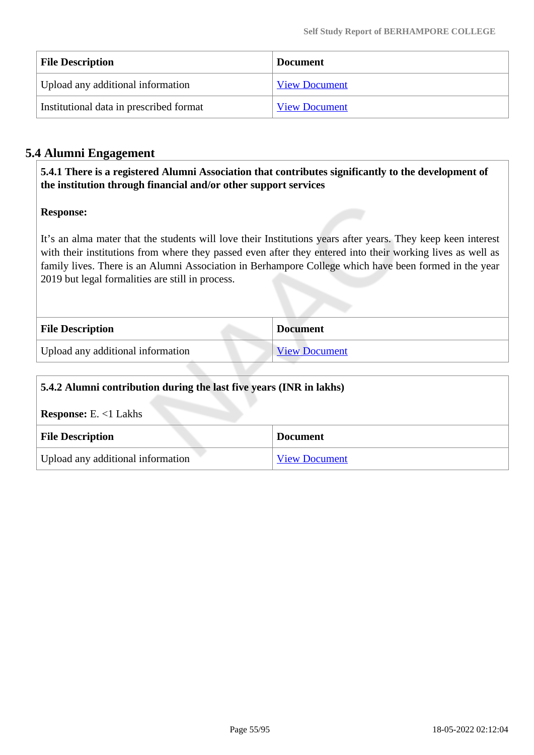| <b>File Description</b>                 | <b>Document</b>      |
|-----------------------------------------|----------------------|
| Upload any additional information       | <b>View Document</b> |
| Institutional data in prescribed format | <b>View Document</b> |

# **5.4 Alumni Engagement**

 **5.4.1 There is a registered Alumni Association that contributes significantly to the development of the institution through financial and/or other support services**

#### **Response:**

It's an alma mater that the students will love their Institutions years after years. They keep keen interest with their institutions from where they passed even after they entered into their working lives as well as family lives. There is an Alumni Association in Berhampore College which have been formed in the year 2019 but legal formalities are still in process.

| <b>File Description</b>           | <b>Document</b>      |
|-----------------------------------|----------------------|
| Upload any additional information | <b>View Document</b> |

| 5.4.2 Alumni contribution during the last five years (INR in lakhs) |                      |  |
|---------------------------------------------------------------------|----------------------|--|
| <b>Response:</b> E. $<1$ Lakhs                                      |                      |  |
| <b>File Description</b>                                             | <b>Document</b>      |  |
| Upload any additional information                                   | <b>View Document</b> |  |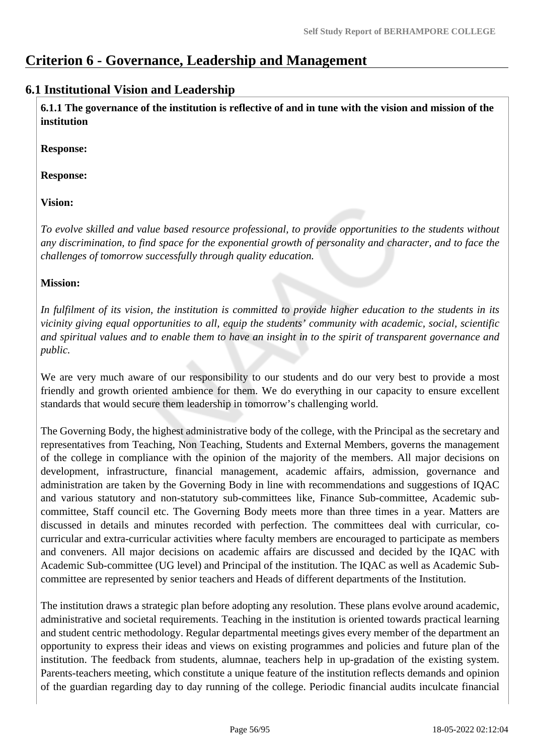# **Criterion 6 - Governance, Leadership and Management**

# **6.1 Institutional Vision and Leadership**

 **6.1.1 The governance of the institution is reflective of and in tune with the vision and mission of the institution**

**Response:** 

**Response:**

**Vision:**

*To evolve skilled and value based resource professional, to provide opportunities to the students without any discrimination, to find space for the exponential growth of personality and character, and to face the challenges of tomorrow successfully through quality education.*

## **Mission:**

*In fulfilment of its vision, the institution is committed to provide higher education to the students in its vicinity giving equal opportunities to all, equip the students' community with academic, social, scientific and spiritual values and to enable them to have an insight in to the spirit of transparent governance and public.*

We are very much aware of our responsibility to our students and do our very best to provide a most friendly and growth oriented ambience for them. We do everything in our capacity to ensure excellent standards that would secure them leadership in tomorrow's challenging world.

The Governing Body, the highest administrative body of the college, with the Principal as the secretary and representatives from Teaching, Non Teaching, Students and External Members, governs the management of the college in compliance with the opinion of the majority of the members. All major decisions on development, infrastructure, financial management, academic affairs, admission, governance and administration are taken by the Governing Body in line with recommendations and suggestions of IQAC and various statutory and non-statutory sub-committees like, Finance Sub-committee, Academic subcommittee, Staff council etc. The Governing Body meets more than three times in a year. Matters are discussed in details and minutes recorded with perfection. The committees deal with curricular, cocurricular and extra-curricular activities where faculty members are encouraged to participate as members and conveners. All major decisions on academic affairs are discussed and decided by the IQAC with Academic Sub-committee (UG level) and Principal of the institution. The IQAC as well as Academic Subcommittee are represented by senior teachers and Heads of different departments of the Institution.

The institution draws a strategic plan before adopting any resolution. These plans evolve around academic, administrative and societal requirements. Teaching in the institution is oriented towards practical learning and student centric methodology. Regular departmental meetings gives every member of the department an opportunity to express their ideas and views on existing programmes and policies and future plan of the institution. The feedback from students, alumnae, teachers help in up-gradation of the existing system. Parents-teachers meeting, which constitute a unique feature of the institution reflects demands and opinion of the guardian regarding day to day running of the college. Periodic financial audits inculcate financial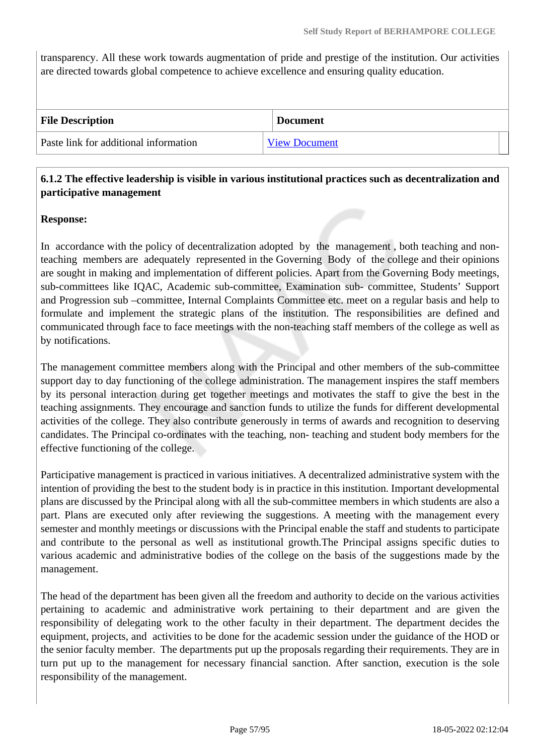transparency. All these work towards augmentation of pride and prestige of the institution. Our activities are directed towards global competence to achieve excellence and ensuring quality education.

| <b>File Description</b>               | <b>Document</b>      |
|---------------------------------------|----------------------|
| Paste link for additional information | <b>View Document</b> |

## **6.1.2 The effective leadership is visible in various institutional practices such as decentralization and participative management**

#### **Response:**

In accordance with the policy of decentralization adopted by the management, both teaching and nonteaching members are adequately represented in the Governing Body of the college and their opinions are sought in making and implementation of different policies. Apart from the Governing Body meetings, sub-committees like IQAC, Academic sub-committee, Examination sub- committee, Students' Support and Progression sub –committee, Internal Complaints Committee etc. meet on a regular basis and help to formulate and implement the strategic plans of the institution. The responsibilities are defined and communicated through face to face meetings with the non-teaching staff members of the college as well as by notifications.

The management committee members along with the Principal and other members of the sub-committee support day to day functioning of the college administration. The management inspires the staff members by its personal interaction during get together meetings and motivates the staff to give the best in the teaching assignments. They encourage and sanction funds to utilize the funds for different developmental activities of the college. They also contribute generously in terms of awards and recognition to deserving candidates. The Principal co-ordinates with the teaching, non- teaching and student body members for the effective functioning of the college.

Participative management is practiced in various initiatives. A decentralized administrative system with the intention of providing the best to the student body is in practice in this institution. Important developmental plans are discussed by the Principal along with all the sub-committee members in which students are also a part. Plans are executed only after reviewing the suggestions. A meeting with the management every semester and monthly meetings or discussions with the Principal enable the staff and students to participate and contribute to the personal as well as institutional growth.The Principal assigns specific duties to various academic and administrative bodies of the college on the basis of the suggestions made by the management.

The head of the department has been given all the freedom and authority to decide on the various activities pertaining to academic and administrative work pertaining to their department and are given the responsibility of delegating work to the other faculty in their department. The department decides the equipment, projects, and activities to be done for the academic session under the guidance of the HOD or the senior faculty member. The departments put up the proposals regarding their requirements. They are in turn put up to the management for necessary financial sanction. After sanction, execution is the sole responsibility of the management.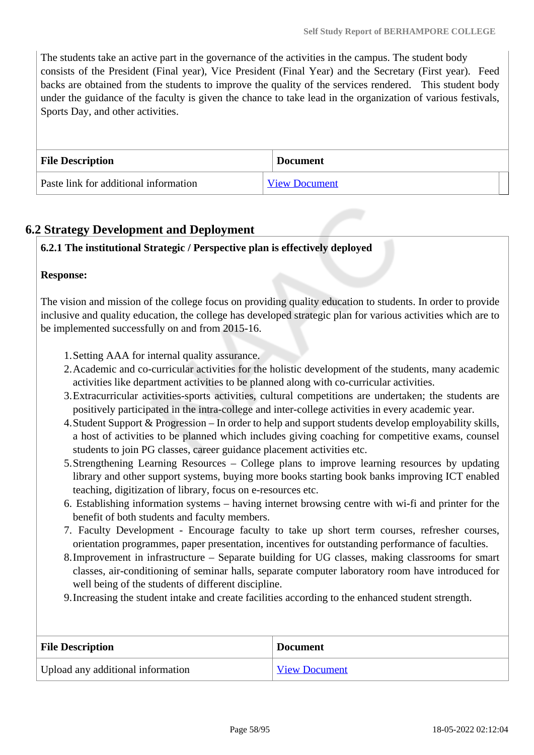The students take an active part in the governance of the activities in the campus. The student body consists of the President (Final year), Vice President (Final Year) and the Secretary (First year). Feed backs are obtained from the students to improve the quality of the services rendered. This student body under the guidance of the faculty is given the chance to take lead in the organization of various festivals, Sports Day, and other activities.

| <b>File Description</b>               | <b>Document</b>      |
|---------------------------------------|----------------------|
| Paste link for additional information | <b>View Document</b> |

# **6.2 Strategy Development and Deployment**

## **6.2.1 The institutional Strategic / Perspective plan is effectively deployed**

#### **Response:**

The vision and mission of the college focus on providing quality education to students. In order to provide inclusive and quality education, the college has developed strategic plan for various activities which are to be implemented successfully on and from 2015-16.

- 1.Setting AAA for internal quality assurance.
- 2.Academic and co-curricular activities for the holistic development of the students, many academic activities like department activities to be planned along with co-curricular activities.
- 3.Extracurricular activities-sports activities, cultural competitions are undertaken; the students are positively participated in the intra-college and inter-college activities in every academic year.
- 4.Student Support & Progression In order to help and support students develop employability skills, a host of activities to be planned which includes giving coaching for competitive exams, counsel students to join PG classes, career guidance placement activities etc.
- 5.Strengthening Learning Resources College plans to improve learning resources by updating library and other support systems, buying more books starting book banks improving ICT enabled teaching, digitization of library, focus on e-resources etc.
- 6. Establishing information systems having internet browsing centre with wi-fi and printer for the benefit of both students and faculty members.
- 7. Faculty Development Encourage faculty to take up short term courses, refresher courses, orientation programmes, paper presentation, incentives for outstanding performance of faculties.
- 8.Improvement in infrastructure Separate building for UG classes, making classrooms for smart classes, air-conditioning of seminar halls, separate computer laboratory room have introduced for well being of the students of different discipline.
- 9.Increasing the student intake and create facilities according to the enhanced student strength.

| <b>File Description</b>           | <b>Document</b>      |
|-----------------------------------|----------------------|
| Upload any additional information | <b>View Document</b> |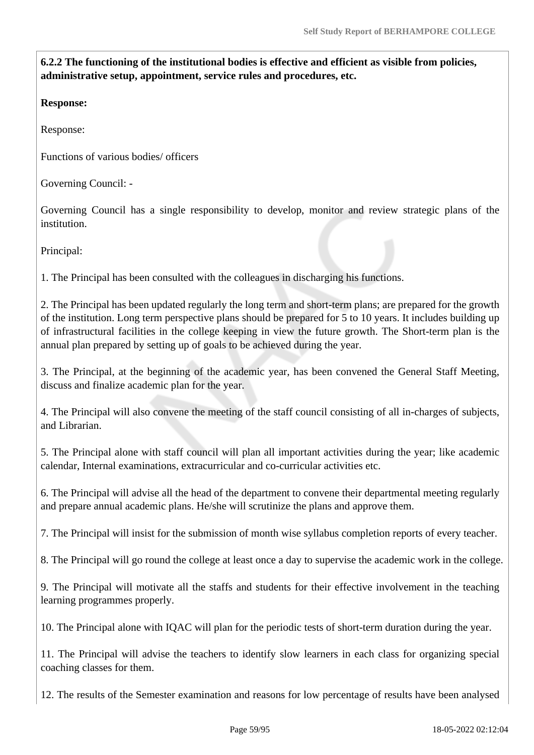**6.2.2 The functioning of the institutional bodies is effective and efficient as visible from policies, administrative setup, appointment, service rules and procedures, etc.**

**Response:** 

Response:

Functions of various bodies/ officers

Governing Council: -

Governing Council has a single responsibility to develop, monitor and review strategic plans of the institution.

Principal:

1. The Principal has been consulted with the colleagues in discharging his functions.

2. The Principal has been updated regularly the long term and short-term plans; are prepared for the growth of the institution. Long term perspective plans should be prepared for 5 to 10 years. It includes building up of infrastructural facilities in the college keeping in view the future growth. The Short-term plan is the annual plan prepared by setting up of goals to be achieved during the year.

3. The Principal, at the beginning of the academic year, has been convened the General Staff Meeting, discuss and finalize academic plan for the year.

4. The Principal will also convene the meeting of the staff council consisting of all in-charges of subjects, and Librarian.

5. The Principal alone with staff council will plan all important activities during the year; like academic calendar, Internal examinations, extracurricular and co-curricular activities etc.

6. The Principal will advise all the head of the department to convene their departmental meeting regularly and prepare annual academic plans. He/she will scrutinize the plans and approve them.

7. The Principal will insist for the submission of month wise syllabus completion reports of every teacher.

8. The Principal will go round the college at least once a day to supervise the academic work in the college.

9. The Principal will motivate all the staffs and students for their effective involvement in the teaching learning programmes properly.

10. The Principal alone with IQAC will plan for the periodic tests of short-term duration during the year.

11. The Principal will advise the teachers to identify slow learners in each class for organizing special coaching classes for them.

12. The results of the Semester examination and reasons for low percentage of results have been analysed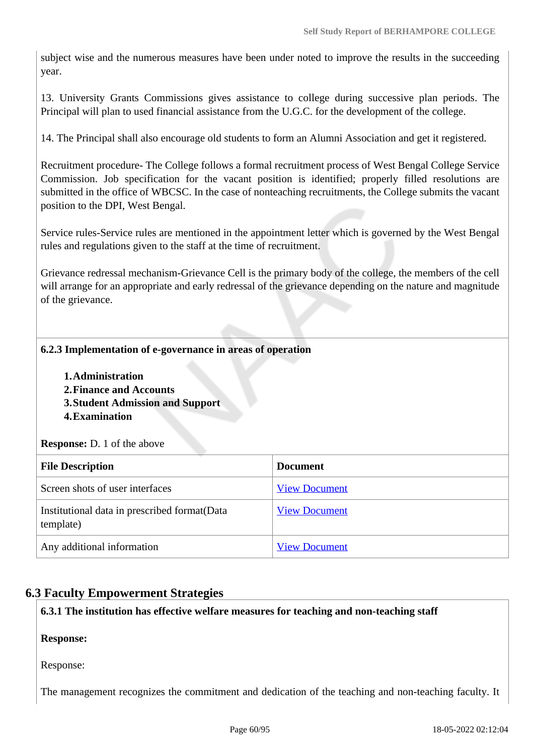subject wise and the numerous measures have been under noted to improve the results in the succeeding year.

13. University Grants Commissions gives assistance to college during successive plan periods. The Principal will plan to used financial assistance from the U.G.C. for the development of the college.

14. The Principal shall also encourage old students to form an Alumni Association and get it registered.

Recruitment procedure- The College follows a formal recruitment process of West Bengal College Service Commission. Job specification for the vacant position is identified; properly filled resolutions are submitted in the office of WBCSC. In the case of nonteaching recruitments, the College submits the vacant position to the DPI, West Bengal.

Service rules-Service rules are mentioned in the appointment letter which is governed by the West Bengal rules and regulations given to the staff at the time of recruitment.

Grievance redressal mechanism-Grievance Cell is the primary body of the college, the members of the cell will arrange for an appropriate and early redressal of the grievance depending on the nature and magnitude of the grievance.

#### **6.2.3 Implementation of e-governance in areas of operation**

- **1.Administration**
- **2.Finance and Accounts**
- **3.Student Admission and Support**
- **4.Examination**

**Response:** D. 1 of the above

| <b>File Description</b>                                    | <b>Document</b>      |
|------------------------------------------------------------|----------------------|
| Screen shots of user interfaces                            | <b>View Document</b> |
| Institutional data in prescribed format (Data<br>template) | <b>View Document</b> |
| Any additional information                                 | <b>View Document</b> |

# **6.3 Faculty Empowerment Strategies**

**6.3.1 The institution has effective welfare measures for teaching and non-teaching staff**

**Response:** 

Response:

The management recognizes the commitment and dedication of the teaching and non-teaching faculty. It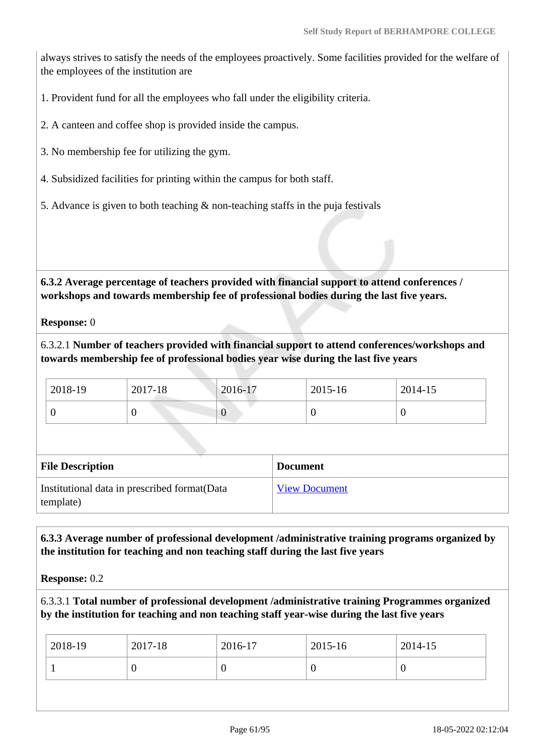always strives to satisfy the needs of the employees proactively. Some facilities provided for the welfare of the employees of the institution are

1. Provident fund for all the employees who fall under the eligibility criteria.

- 2. A canteen and coffee shop is provided inside the campus.
- 3. No membership fee for utilizing the gym.
- 4. Subsidized facilities for printing within the campus for both staff.
- 5. Advance is given to both teaching & non-teaching staffs in the puja festivals

 **6.3.2 Average percentage of teachers provided with financial support to attend conferences / workshops and towards membership fee of professional bodies during the last five years.**

**Response:** 0

6.3.2.1 **Number of teachers provided with financial support to attend conferences/workshops and towards membership fee of professional bodies year wise during the last five years**

| 2018-19 | 2017-18 | 2016-17 | 2015-16 | 2014-15 |
|---------|---------|---------|---------|---------|
|         |         |         |         |         |

| <b>File Description</b>                                    | <b>Document</b>      |
|------------------------------------------------------------|----------------------|
| Institutional data in prescribed format (Data<br>template) | <b>View Document</b> |

 **6.3.3 Average number of professional development /administrative training programs organized by the institution for teaching and non teaching staff during the last five years**

**Response:** 0.2

6.3.3.1 **Total number of professional development /administrative training Programmes organized by the institution for teaching and non teaching staff year-wise during the last five years**

| 0<br>υ | $12018-19$ | 2017-18 | 2016-17 | 2015-16 | 2014-15 |
|--------|------------|---------|---------|---------|---------|
|        |            |         |         |         |         |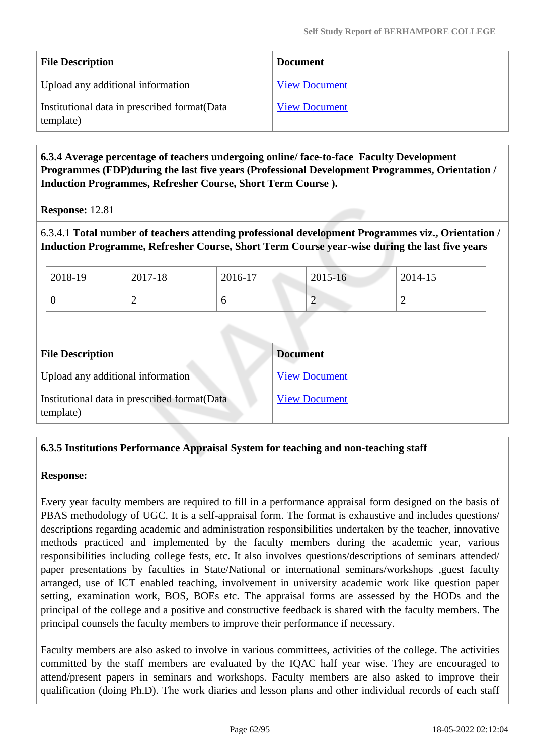| <b>File Description</b>                                    | <b>Document</b>      |
|------------------------------------------------------------|----------------------|
| Upload any additional information                          | <b>View Document</b> |
| Institutional data in prescribed format (Data<br>template) | <b>View Document</b> |

 **6.3.4 Average percentage of teachers undergoing online/ face-to-face Faculty Development Programmes (FDP)during the last five years (Professional Development Programmes, Orientation / Induction Programmes, Refresher Course, Short Term Course ).**

**Response:** 12.81

6.3.4.1 **Total number of teachers attending professional development Programmes viz., Orientation / Induction Programme, Refresher Course, Short Term Course year-wise during the last five years**

| 2018-19 | 2017-18 | 2016-17 | 2015-16 | 2014-15 |
|---------|---------|---------|---------|---------|
|         | ∸       | υ       | -       |         |

| <b>File Description</b>                                    | <b>Document</b>      |
|------------------------------------------------------------|----------------------|
| Upload any additional information                          | <b>View Document</b> |
| Institutional data in prescribed format (Data<br>template) | <b>View Document</b> |

# **6.3.5 Institutions Performance Appraisal System for teaching and non-teaching staff**

#### **Response:**

Every year faculty members are required to fill in a performance appraisal form designed on the basis of PBAS methodology of UGC. It is a self-appraisal form. The format is exhaustive and includes questions/ descriptions regarding academic and administration responsibilities undertaken by the teacher, innovative methods practiced and implemented by the faculty members during the academic year, various responsibilities including college fests, etc. It also involves questions/descriptions of seminars attended/ paper presentations by faculties in State/National or international seminars/workshops ,guest faculty arranged, use of ICT enabled teaching, involvement in university academic work like question paper setting, examination work, BOS, BOEs etc. The appraisal forms are assessed by the HODs and the principal of the college and a positive and constructive feedback is shared with the faculty members. The principal counsels the faculty members to improve their performance if necessary.

Faculty members are also asked to involve in various committees, activities of the college. The activities committed by the staff members are evaluated by the IQAC half year wise. They are encouraged to attend/present papers in seminars and workshops. Faculty members are also asked to improve their qualification (doing Ph.D). The work diaries and lesson plans and other individual records of each staff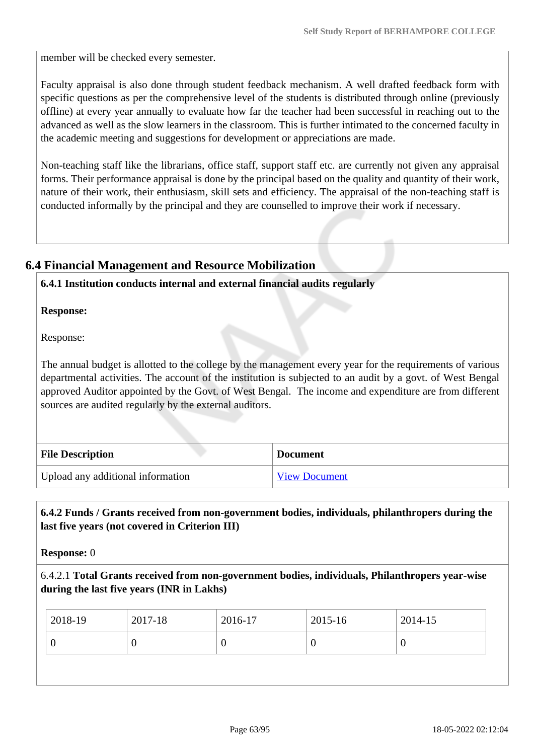member will be checked every semester.

Faculty appraisal is also done through student feedback mechanism. A well drafted feedback form with specific questions as per the comprehensive level of the students is distributed through online (previously offline) at every year annually to evaluate how far the teacher had been successful in reaching out to the advanced as well as the slow learners in the classroom. This is further intimated to the concerned faculty in the academic meeting and suggestions for development or appreciations are made.

Non-teaching staff like the librarians, office staff, support staff etc. are currently not given any appraisal forms. Their performance appraisal is done by the principal based on the quality and quantity of their work, nature of their work, their enthusiasm, skill sets and efficiency. The appraisal of the non-teaching staff is conducted informally by the principal and they are counselled to improve their work if necessary.

# **6.4 Financial Management and Resource Mobilization**

#### **6.4.1 Institution conducts internal and external financial audits regularly**

**Response:** 

Response:

The annual budget is allotted to the college by the management every year for the requirements of various departmental activities. The account of the institution is subjected to an audit by a govt. of West Bengal approved Auditor appointed by the Govt. of West Bengal. The income and expenditure are from different sources are audited regularly by the external auditors.

| <b>File Description</b>           | <b>Document</b>      |
|-----------------------------------|----------------------|
| Upload any additional information | <b>View Document</b> |

## **6.4.2 Funds / Grants received from non-government bodies, individuals, philanthropers during the last five years (not covered in Criterion III)**

**Response:** 0

6.4.2.1 **Total Grants received from non-government bodies, individuals, Philanthropers year-wise during the last five years (INR in Lakhs)**

| $ 2018-19\rangle$ | 2017-18 | 2016-17 | 2015-16  | 2014-15 |
|-------------------|---------|---------|----------|---------|
| v                 | 0       | U       | $\theta$ | U       |
|                   |         |         |          |         |
|                   |         |         |          |         |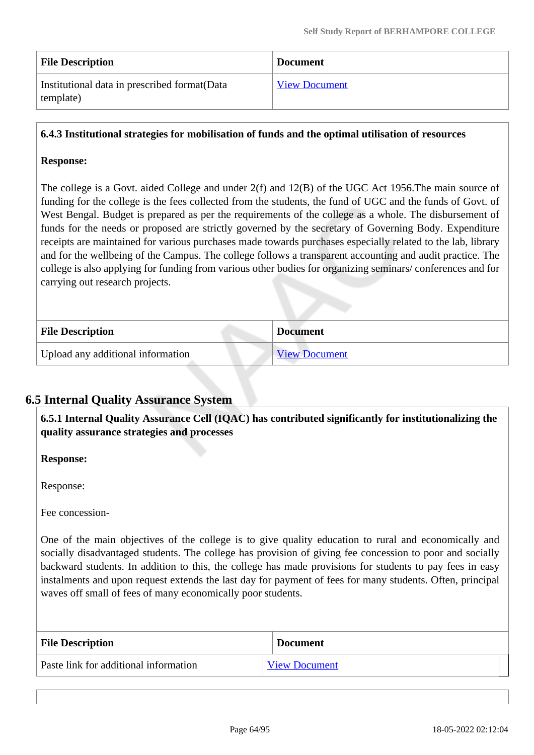| <b>File Description</b>                                    | <b>Document</b>      |
|------------------------------------------------------------|----------------------|
| Institutional data in prescribed format (Data<br>template) | <b>View Document</b> |

#### **6.4.3 Institutional strategies for mobilisation of funds and the optimal utilisation of resources**

#### **Response:**

The college is a Govt. aided College and under 2(f) and 12(B) of the UGC Act 1956.The main source of funding for the college is the fees collected from the students, the fund of UGC and the funds of Govt. of West Bengal. Budget is prepared as per the requirements of the college as a whole. The disbursement of funds for the needs or proposed are strictly governed by the secretary of Governing Body. Expenditure receipts are maintained for various purchases made towards purchases especially related to the lab, library and for the wellbeing of the Campus. The college follows a transparent accounting and audit practice. The college is also applying for funding from various other bodies for organizing seminars/ conferences and for carrying out research projects.

| <b>File Description</b>           | <b>Document</b>      |
|-----------------------------------|----------------------|
| Upload any additional information | <b>View Document</b> |

#### **6.5 Internal Quality Assurance System**

 **6.5.1 Internal Quality Assurance Cell (IQAC) has contributed significantly for institutionalizing the quality assurance strategies and processes**

**Response:** 

Response:

Fee concession-

One of the main objectives of the college is to give quality education to rural and economically and socially disadvantaged students. The college has provision of giving fee concession to poor and socially backward students. In addition to this, the college has made provisions for students to pay fees in easy instalments and upon request extends the last day for payment of fees for many students. Often, principal waves off small of fees of many economically poor students.

| <b>File Description</b>               | <b>Document</b>      |
|---------------------------------------|----------------------|
| Paste link for additional information | <b>View Document</b> |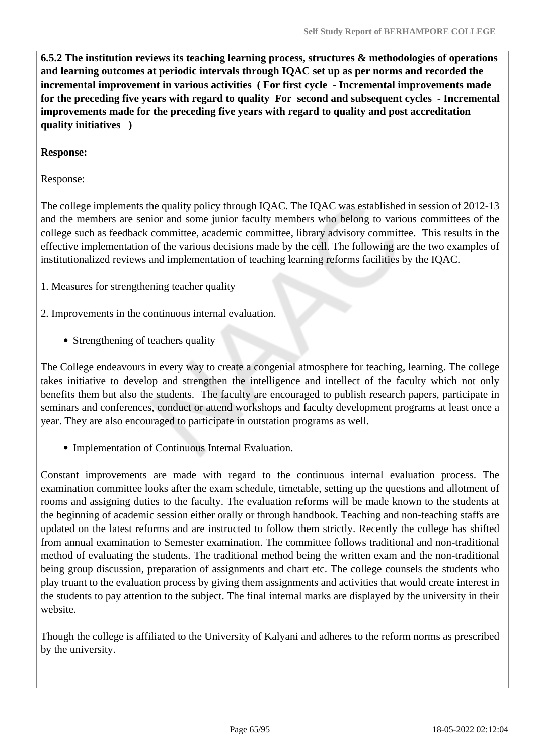**6.5.2 The institution reviews its teaching learning process, structures & methodologies of operations and learning outcomes at periodic intervals through IQAC set up as per norms and recorded the incremental improvement in various activities ( For first cycle - Incremental improvements made for the preceding five years with regard to quality For second and subsequent cycles - Incremental improvements made for the preceding five years with regard to quality and post accreditation quality initiatives )** 

#### **Response:**

Response:

The college implements the quality policy through IQAC. The IQAC was established in session of 2012-13 and the members are senior and some junior faculty members who belong to various committees of the college such as feedback committee, academic committee, library advisory committee. This results in the effective implementation of the various decisions made by the cell. The following are the two examples of institutionalized reviews and implementation of teaching learning reforms facilities by the IQAC.

1. Measures for strengthening teacher quality

- 2. Improvements in the continuous internal evaluation.
	- Strengthening of teachers quality

The College endeavours in every way to create a congenial atmosphere for teaching, learning. The college takes initiative to develop and strengthen the intelligence and intellect of the faculty which not only benefits them but also the students. The faculty are encouraged to publish research papers, participate in seminars and conferences, conduct or attend workshops and faculty development programs at least once a year. They are also encouraged to participate in outstation programs as well.

• Implementation of Continuous Internal Evaluation.

Constant improvements are made with regard to the continuous internal evaluation process. The examination committee looks after the exam schedule, timetable, setting up the questions and allotment of rooms and assigning duties to the faculty. The evaluation reforms will be made known to the students at the beginning of academic session either orally or through handbook. Teaching and non-teaching staffs are updated on the latest reforms and are instructed to follow them strictly. Recently the college has shifted from annual examination to Semester examination. The committee follows traditional and non-traditional method of evaluating the students. The traditional method being the written exam and the non-traditional being group discussion, preparation of assignments and chart etc. The college counsels the students who play truant to the evaluation process by giving them assignments and activities that would create interest in the students to pay attention to the subject. The final internal marks are displayed by the university in their website.

Though the college is affiliated to the University of Kalyani and adheres to the reform norms as prescribed by the university.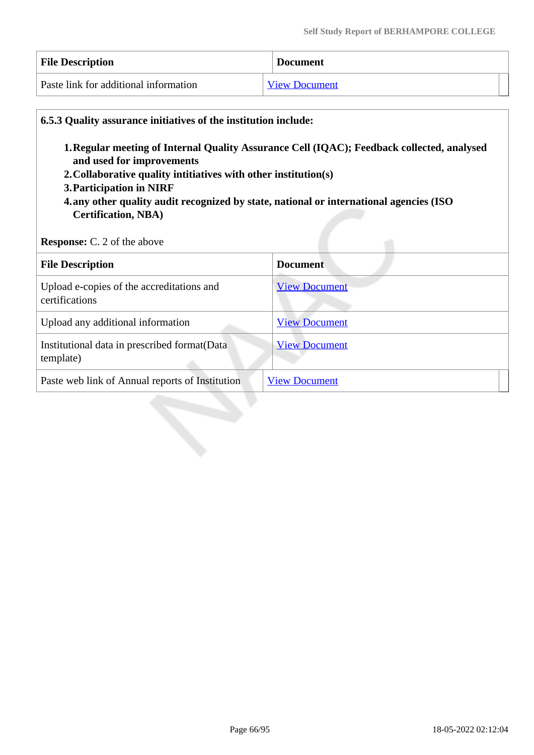| <b>File Description</b>               | <b>Document</b>      |
|---------------------------------------|----------------------|
| Paste link for additional information | <b>View Document</b> |

| 1. Regular meeting of Internal Quality Assurance Cell (IQAC); Feedback collected, analysed<br>and used for improvements<br>2. Collaborative quality intitiatives with other institution(s)<br>3. Participation in NIRF<br>4. any other quality audit recognized by state, national or international agencies (ISO<br><b>Certification, NBA)</b><br><b>Response:</b> C. 2 of the above |                      |
|---------------------------------------------------------------------------------------------------------------------------------------------------------------------------------------------------------------------------------------------------------------------------------------------------------------------------------------------------------------------------------------|----------------------|
| <b>File Description</b>                                                                                                                                                                                                                                                                                                                                                               | <b>Document</b>      |
| Upload e-copies of the accreditations and<br>certifications                                                                                                                                                                                                                                                                                                                           | <b>View Document</b> |
| Upload any additional information                                                                                                                                                                                                                                                                                                                                                     | <b>View Document</b> |
| Institutional data in prescribed format(Data<br>template)                                                                                                                                                                                                                                                                                                                             | <b>View Document</b> |
| Paste web link of Annual reports of Institution                                                                                                                                                                                                                                                                                                                                       | <b>View Document</b> |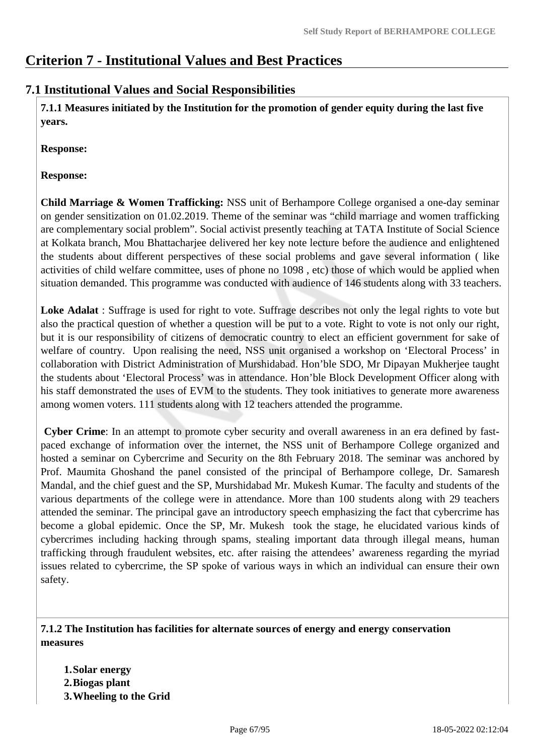# **Criterion 7 - Institutional Values and Best Practices**

# **7.1 Institutional Values and Social Responsibilities**

 **7.1.1 Measures initiated by the Institution for the promotion of gender equity during the last five years.**

**Response:** 

**Response:**

**Child Marriage & Women Trafficking:** NSS unit of Berhampore College organised a one-day seminar on gender sensitization on 01.02.2019. Theme of the seminar was "child marriage and women trafficking are complementary social problem". Social activist presently teaching at TATA Institute of Social Science at Kolkata branch, Mou Bhattacharjee delivered her key note lecture before the audience and enlightened the students about different perspectives of these social problems and gave several information ( like activities of child welfare committee, uses of phone no 1098 , etc) those of which would be applied when situation demanded. This programme was conducted with audience of 146 students along with 33 teachers.

**Loke Adalat** : Suffrage is used for right to vote. Suffrage describes not only the legal rights to vote but also the practical question of whether a question will be put to a vote. Right to vote is not only our right, but it is our responsibility of citizens of democratic country to elect an efficient government for sake of welfare of country. Upon realising the need, NSS unit organised a workshop on 'Electoral Process' in collaboration with District Administration of Murshidabad. Hon'ble SDO, Mr Dipayan Mukherjee taught the students about 'Electoral Process' was in attendance. Hon'ble Block Development Officer along with his staff demonstrated the uses of EVM to the students. They took initiatives to generate more awareness among women voters. 111 students along with 12 teachers attended the programme.

**Cyber Crime**: In an attempt to promote cyber security and overall awareness in an era defined by fastpaced exchange of information over the internet, the NSS unit of Berhampore College organized and hosted a seminar on Cybercrime and Security on the 8th February 2018. The seminar was anchored by Prof. Maumita Ghoshand the panel consisted of the principal of Berhampore college, Dr. Samaresh Mandal, and the chief guest and the SP, Murshidabad Mr. Mukesh Kumar. The faculty and students of the various departments of the college were in attendance. More than 100 students along with 29 teachers attended the seminar. The principal gave an introductory speech emphasizing the fact that cybercrime has become a global epidemic. Once the SP, Mr. Mukesh took the stage, he elucidated various kinds of cybercrimes including hacking through spams, stealing important data through illegal means, human trafficking through fraudulent websites, etc. after raising the attendees' awareness regarding the myriad issues related to cybercrime, the SP spoke of various ways in which an individual can ensure their own safety.

#### **7.1.2 The Institution has facilities for alternate sources of energy and energy conservation measures**

**1.Solar energy 2.Biogas plant 3.Wheeling to the Grid**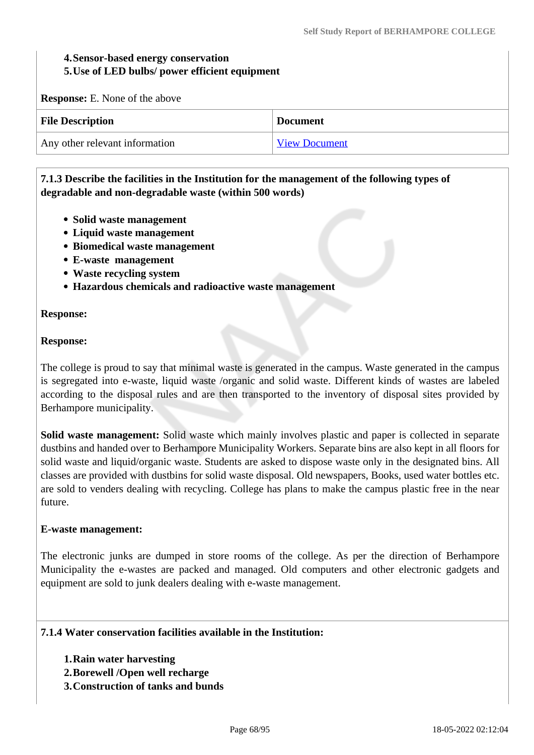#### **4.Sensor-based energy conservation 5.Use of LED bulbs/ power efficient equipment**

**Response:** E. None of the above

| <b>File Description</b>        | <b>Document</b>      |
|--------------------------------|----------------------|
| Any other relevant information | <b>View Document</b> |

### **7.1.3 Describe the facilities in the Institution for the management of the following types of degradable and non-degradable waste (within 500 words)**

- **Solid waste management**
- **Liquid waste management**
- **Biomedical waste management**
- **E-waste management**
- **Waste recycling system**
- **Hazardous chemicals and radioactive waste management**

#### **Response:**

#### **Response:**

The college is proud to say that minimal waste is generated in the campus. Waste generated in the campus is segregated into e-waste, liquid waste /organic and solid waste. Different kinds of wastes are labeled according to the disposal rules and are then transported to the inventory of disposal sites provided by Berhampore municipality.

**Solid waste management:** Solid waste which mainly involves plastic and paper is collected in separate dustbins and handed over to Berhampore Municipality Workers. Separate bins are also kept in all floors for solid waste and liquid/organic waste. Students are asked to dispose waste only in the designated bins. All classes are provided with dustbins for solid waste disposal. Old newspapers, Books, used water bottles etc. are sold to venders dealing with recycling. College has plans to make the campus plastic free in the near future.

#### **E-waste management:**

The electronic junks are dumped in store rooms of the college. As per the direction of Berhampore Municipality the e-wastes are packed and managed. Old computers and other electronic gadgets and equipment are sold to junk dealers dealing with e-waste management.

#### **7.1.4 Water conservation facilities available in the Institution:**

- **1.Rain water harvesting**
- **2.Borewell /Open well recharge**
- **3.Construction of tanks and bunds**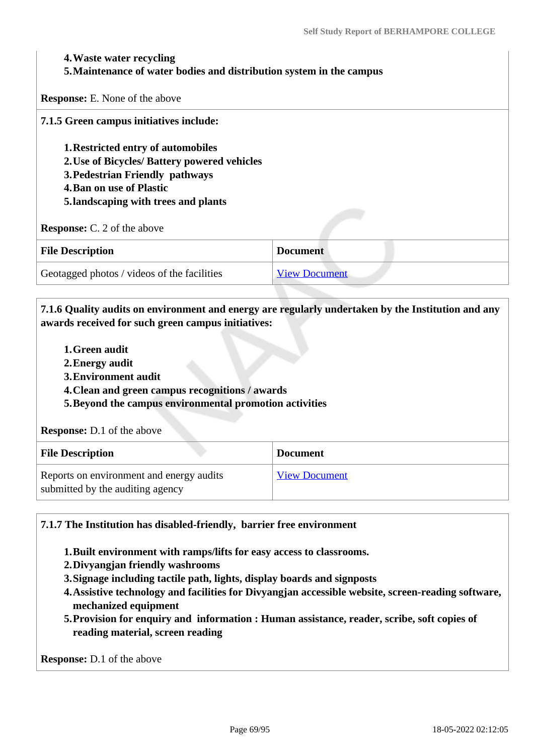#### **4.Waste water recycling**

#### **5.Maintenance of water bodies and distribution system in the campus**

**Response:** E. None of the above

**7.1.5 Green campus initiatives include:** 

**1.Restricted entry of automobiles** 

- **2.Use of Bicycles/ Battery powered vehicles**
- **3.Pedestrian Friendly pathways**
- **4.Ban on use of Plastic**
- **5.landscaping with trees and plants**

**Response:** C. 2 of the above

| <b>File Description</b>                     | <b>Document</b>      |
|---------------------------------------------|----------------------|
| Geotagged photos / videos of the facilities | <b>View Document</b> |

 **7.1.6 Quality audits on environment and energy are regularly undertaken by the Institution and any awards received for such green campus initiatives:**

- **1.Green audit**
- **2.Energy audit**
- **3.Environment audit**
- **4.Clean and green campus recognitions / awards**
- **5.Beyond the campus environmental promotion activities**

**Response:** D.1 of the above

| <b>File Description</b>                                                      | <b>Document</b>      |
|------------------------------------------------------------------------------|----------------------|
| Reports on environment and energy audits<br>submitted by the auditing agency | <b>View Document</b> |

**7.1.7 The Institution has disabled-friendly, barrier free environment** 

- **1.Built environment with ramps/lifts for easy access to classrooms.**
- **2.Divyangjan friendly washrooms**
- **3.Signage including tactile path, lights, display boards and signposts**
- **4.Assistive technology and facilities for Divyangjan accessible website, screen-reading software, mechanized equipment**
- **5.Provision for enquiry and information : Human assistance, reader, scribe, soft copies of reading material, screen reading**

**Response:** D.1 of the above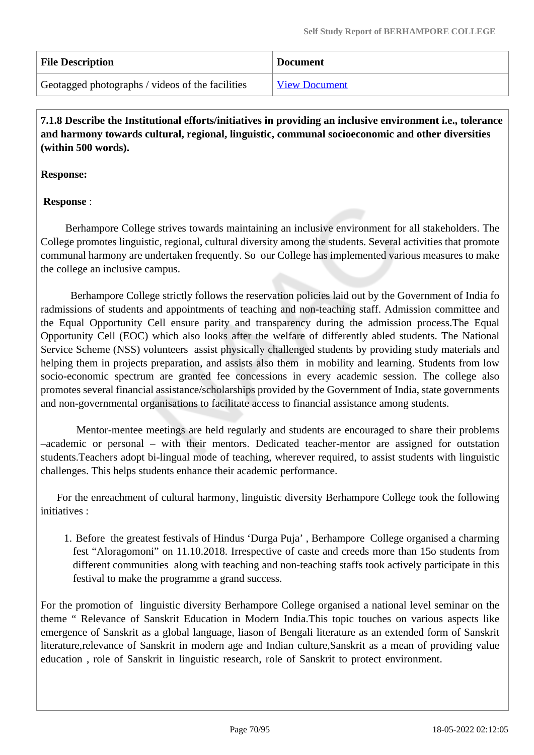| <b>File Description</b>                          | <b>Document</b>      |
|--------------------------------------------------|----------------------|
| Geotagged photographs / videos of the facilities | <b>View Document</b> |

 **7.1.8 Describe the Institutional efforts/initiatives in providing an inclusive environment i.e., tolerance and harmony towards cultural, regional, linguistic, communal socioeconomic and other diversities (within 500 words).**

**Response:** 

## **Response** :

 Berhampore College strives towards maintaining an inclusive environment for all stakeholders. The College promotes linguistic, regional, cultural diversity among the students. Several activities that promote communal harmony are undertaken frequently. So our College has implemented various measures to make the college an inclusive campus.

 Berhampore College strictly follows the reservation policies laid out by the Government of India fo radmissions of students and appointments of teaching and non-teaching staff. Admission committee and the Equal Opportunity Cell ensure parity and transparency during the admission process.The Equal Opportunity Cell (EOC) which also looks after the welfare of differently abled students. The National Service Scheme (NSS) volunteers assist physically challenged students by providing study materials and helping them in projects preparation, and assists also them in mobility and learning. Students from low socio-economic spectrum are granted fee concessions in every academic session. The college also promotes several financial assistance/scholarships provided by the Government of India, state governments and non-governmental organisations to facilitate access to financial assistance among students.

 Mentor-mentee meetings are held regularly and students are encouraged to share their problems –academic or personal – with their mentors. Dedicated teacher-mentor are assigned for outstation students.Teachers adopt bi-lingual mode of teaching, wherever required, to assist students with linguistic challenges. This helps students enhance their academic performance.

For the enreachment of cultural harmony, linguistic diversity Berhampore College took the following initiatives :

1. Before the greatest festivals of Hindus 'Durga Puja' , Berhampore College organised a charming fest "Aloragomoni" on 11.10.2018. Irrespective of caste and creeds more than 15o students from different communities along with teaching and non-teaching staffs took actively participate in this festival to make the programme a grand success.

For the promotion of linguistic diversity Berhampore College organised a national level seminar on the theme " Relevance of Sanskrit Education in Modern India.This topic touches on various aspects like emergence of Sanskrit as a global language, liason of Bengali literature as an extended form of Sanskrit literature,relevance of Sanskrit in modern age and Indian culture,Sanskrit as a mean of providing value education , role of Sanskrit in linguistic research, role of Sanskrit to protect environment.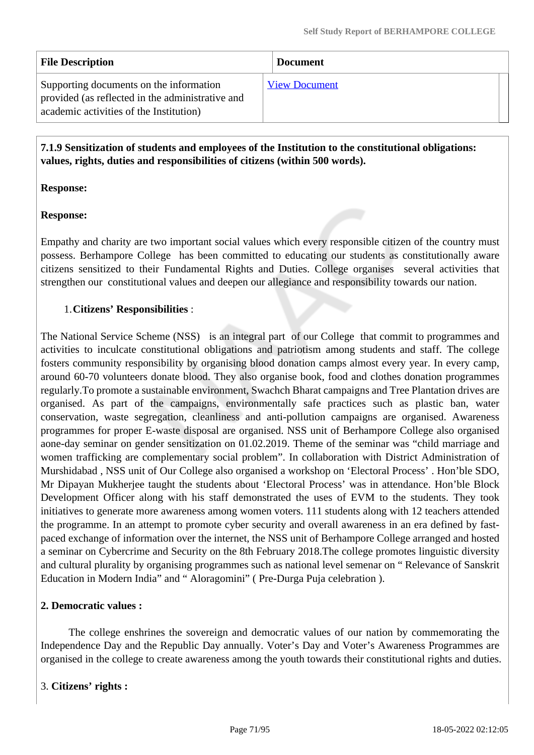| <b>File Description</b>                                                                                                                | <b>Document</b>      |
|----------------------------------------------------------------------------------------------------------------------------------------|----------------------|
| Supporting documents on the information<br>provided (as reflected in the administrative and<br>academic activities of the Institution) | <b>View Document</b> |

 **7.1.9 Sensitization of students and employees of the Institution to the constitutional obligations: values, rights, duties and responsibilities of citizens (within 500 words).**

#### **Response:**

#### **Response:**

Empathy and charity are two important social values which every responsible citizen of the country must possess. Berhampore College has been committed to educating our students as constitutionally aware citizens sensitized to their Fundamental Rights and Duties. College organises several activities that strengthen our constitutional values and deepen our allegiance and responsibility towards our nation.

#### 1.**Citizens' Responsibilities** :

The National Service Scheme (NSS) is an integral part of our College that commit to programmes and activities to inculcate constitutional obligations and patriotism among students and staff. The college fosters community responsibility by organising blood donation camps almost every year. In every camp, around 60-70 volunteers donate blood. They also organise book, food and clothes donation programmes regularly.To promote a sustainable environment, Swachch Bharat campaigns and Tree Plantation drives are organised. As part of the campaigns, environmentally safe practices such as plastic ban, water conservation, waste segregation, cleanliness and anti-pollution campaigns are organised. Awareness programmes for proper E-waste disposal are organised. NSS unit of Berhampore College also organised aone-day seminar on gender sensitization on 01.02.2019. Theme of the seminar was "child marriage and women trafficking are complementary social problem". In collaboration with District Administration of Murshidabad , NSS unit of Our College also organised a workshop on 'Electoral Process' . Hon'ble SDO, Mr Dipayan Mukherjee taught the students about 'Electoral Process' was in attendance. Hon'ble Block Development Officer along with his staff demonstrated the uses of EVM to the students. They took initiatives to generate more awareness among women voters. 111 students along with 12 teachers attended the programme. In an attempt to promote cyber security and overall awareness in an era defined by fastpaced exchange of information over the internet, the NSS unit of Berhampore College arranged and hosted a seminar on Cybercrime and Security on the 8th February 2018.The college promotes linguistic diversity and cultural plurality by organising programmes such as national level semenar on " Relevance of Sanskrit Education in Modern India" and " Aloragomini" ( Pre-Durga Puja celebration ).

#### **2. Democratic values :**

 The college enshrines the sovereign and democratic values of our nation by commemorating the Independence Day and the Republic Day annually. Voter's Day and Voter's Awareness Programmes are organised in the college to create awareness among the youth towards their constitutional rights and duties.

#### 3. **Citizens' rights :**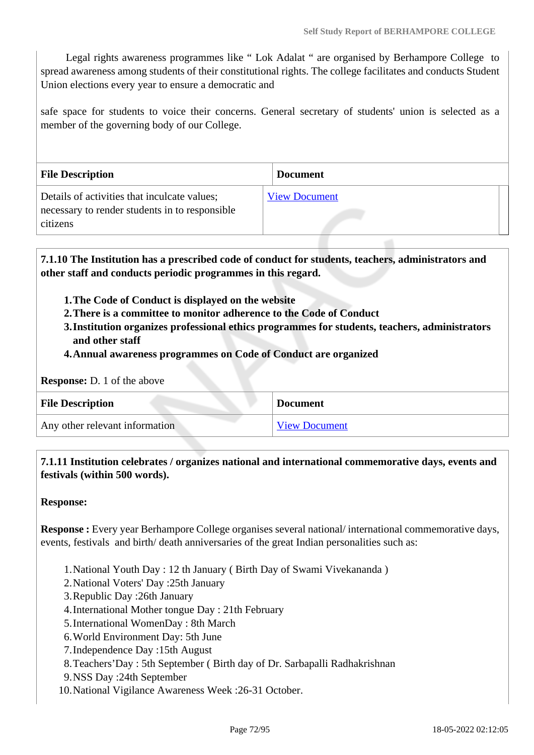Legal rights awareness programmes like " Lok Adalat " are organised by Berhampore College to spread awareness among students of their constitutional rights. The college facilitates and conducts Student Union elections every year to ensure a democratic and

safe space for students to voice their concerns. General secretary of students' union is selected as a member of the governing body of our College.

| <b>File Description</b>                                                                                    | <b>Document</b>      |  |
|------------------------------------------------------------------------------------------------------------|----------------------|--|
| Details of activities that inculcate values;<br>necessary to render students in to responsible<br>citizens | <b>View Document</b> |  |

 **7.1.10 The Institution has a prescribed code of conduct for students, teachers, administrators and other staff and conducts periodic programmes in this regard.** 

- **1.The Code of Conduct is displayed on the website**
- **2.There is a committee to monitor adherence to the Code of Conduct**
- **3.Institution organizes professional ethics programmes for students, teachers, administrators and other staff**
- **4.Annual awareness programmes on Code of Conduct are organized**

| <b>Response:</b> D. 1 of the above |  |  |  |  |  |
|------------------------------------|--|--|--|--|--|
|------------------------------------|--|--|--|--|--|

| <b>File Description</b>        | <b>Document</b>      |
|--------------------------------|----------------------|
| Any other relevant information | <b>View Document</b> |

 **7.1.11 Institution celebrates / organizes national and international commemorative days, events and festivals (within 500 words).**

**Response:** 

**Response :** Every year Berhampore College organises several national/international commemorative days, events, festivals and birth/ death anniversaries of the great Indian personalities such as:

- 1.National Youth Day : 12 th January ( Birth Day of Swami Vivekananda )
- 2.National Voters' Day :25th January
- 3.Republic Day :26th January
- 4.International Mother tongue Day : 21th February
- 5.International WomenDay : 8th March
- 6.World Environment Day: 5th June
- 7.Independence Day :15th August
- 8.Teachers'Day : 5th September ( Birth day of Dr. Sarbapalli Radhakrishnan
- 9.NSS Day :24th September
- 10.National Vigilance Awareness Week :26-31 October.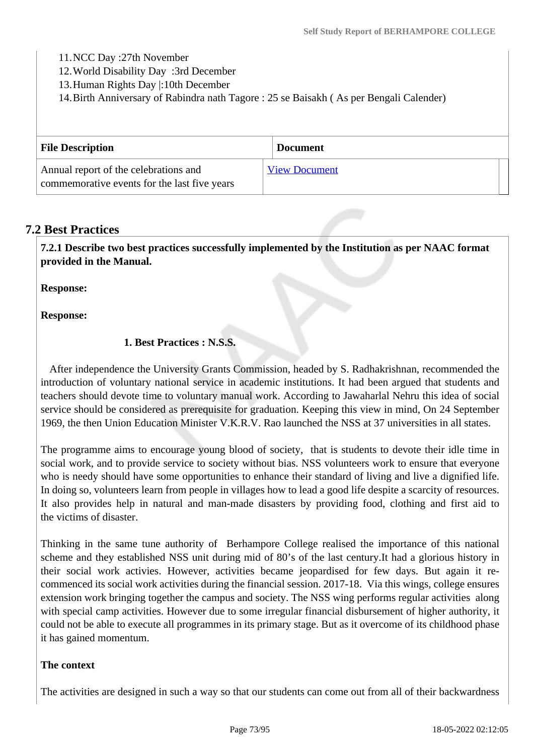11.NCC Day :27th November

12.World Disability Day :3rd December

13.Human Rights Day |:10th December

14.Birth Anniversary of Rabindra nath Tagore : 25 se Baisakh ( As per Bengali Calender)

| <b>File Description</b>                                                               | <b>Document</b>      |
|---------------------------------------------------------------------------------------|----------------------|
| Annual report of the celebrations and<br>commemorative events for the last five years | <b>View Document</b> |

## **7.2 Best Practices**

 **7.2.1 Describe two best practices successfully implemented by the Institution as per NAAC format provided in the Manual.**

**Response:** 

**Response:**

## **1. Best Practices : N.S.S.**

 After independence the University Grants Commission, headed by S. Radhakrishnan, recommended the introduction of voluntary national service in academic institutions. It had been argued that students and teachers should devote time to voluntary manual work. According to Jawaharlal Nehru this idea of social service should be considered as prerequisite for graduation. Keeping this view in mind, On 24 September 1969, the then Union Education Minister V.K.R.V. Rao launched the NSS at 37 universities in all states.

The programme aims to encourage young blood of society, that is students to devote their idle time in social work, and to provide service to society without bias. NSS volunteers work to ensure that everyone who is needy should have some opportunities to enhance their standard of living and live a dignified life. In doing so, volunteers learn from people in villages how to lead a good life despite a scarcity of resources. It also provides help in natural and man-made disasters by providing food, clothing and first aid to the victims of disaster.

Thinking in the same tune authority of Berhampore College realised the importance of this national scheme and they established NSS unit during mid of 80's of the last century.It had a glorious history in their social work activies. However, activities became jeopardised for few days. But again it recommenced its social work activities during the financial session. 2017-18. Via this wings, college ensures extension work bringing together the campus and society. The NSS wing performs regular activities along with special camp activities. However due to some irregular financial disbursement of higher authority, it could not be able to execute all programmes in its primary stage. But as it overcome of its childhood phase it has gained momentum.

### **The context**

The activities are designed in such a way so that our students can come out from all of their backwardness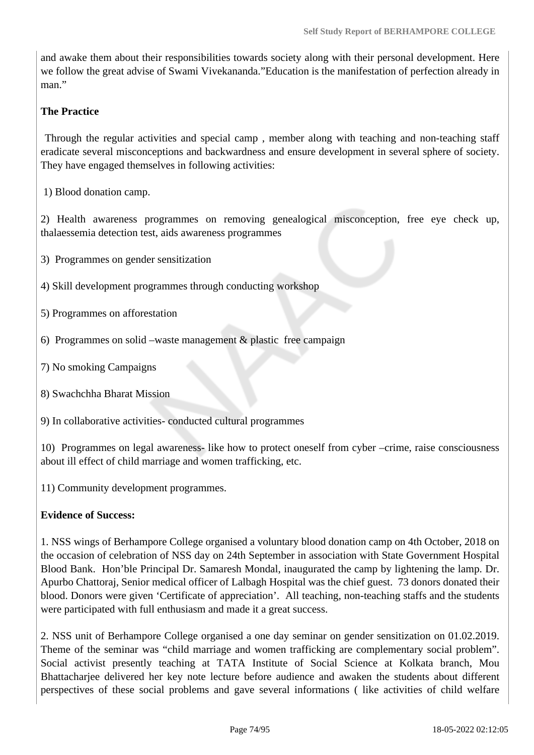and awake them about their responsibilities towards society along with their personal development. Here we follow the great advise of Swami Vivekananda."Education is the manifestation of perfection already in man."

### **The Practice**

 Through the regular activities and special camp , member along with teaching and non-teaching staff eradicate several misconceptions and backwardness and ensure development in several sphere of society. They have engaged themselves in following activities:

1) Blood donation camp.

2) Health awareness programmes on removing genealogical misconception, free eye check up, thalaessemia detection test, aids awareness programmes

3) Programmes on gender sensitization

4) Skill development programmes through conducting workshop

5) Programmes on afforestation

- 6) Programmes on solid –waste management  $&$  plastic free campaign
- 7) No smoking Campaigns
- 8) Swachchha Bharat Mission

9) In collaborative activities- conducted cultural programmes

10) Programmes on legal awareness- like how to protect oneself from cyber –crime, raise consciousness about ill effect of child marriage and women trafficking, etc.

11) Community development programmes.

### **Evidence of Success:**

1. NSS wings of Berhampore College organised a voluntary blood donation camp on 4th October, 2018 on the occasion of celebration of NSS day on 24th September in association with State Government Hospital Blood Bank. Hon'ble Principal Dr. Samaresh Mondal, inaugurated the camp by lightening the lamp. Dr. Apurbo Chattoraj, Senior medical officer of Lalbagh Hospital was the chief guest. 73 donors donated their blood. Donors were given 'Certificate of appreciation'. All teaching, non-teaching staffs and the students were participated with full enthusiasm and made it a great success.

2. NSS unit of Berhampore College organised a one day seminar on gender sensitization on 01.02.2019. Theme of the seminar was "child marriage and women trafficking are complementary social problem". Social activist presently teaching at TATA Institute of Social Science at Kolkata branch, Mou Bhattacharjee delivered her key note lecture before audience and awaken the students about different perspectives of these social problems and gave several informations ( like activities of child welfare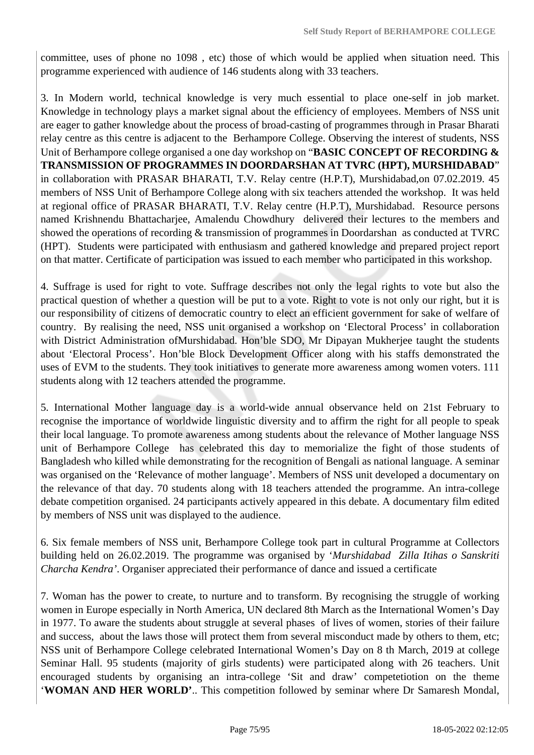committee, uses of phone no 1098 , etc) those of which would be applied when situation need. This programme experienced with audience of 146 students along with 33 teachers.

3. In Modern world, technical knowledge is very much essential to place one-self in job market. Knowledge in technology plays a market signal about the efficiency of employees. Members of NSS unit are eager to gather knowledge about the process of broad-casting of programmes through in Prasar Bharati relay centre as this centre is adjacent to the Berhampore College. Observing the interest of students, NSS Unit of Berhampore college organised a one day workshop on "**BASIC CONCEPT OF RECORDING & TRANSMISSION OF PROGRAMMES IN DOORDARSHAN AT TVRC (HPT), MURSHIDABAD**" in collaboration with PRASAR BHARATI, T.V. Relay centre (H.P.T), Murshidabad,on 07.02.2019. 45 members of NSS Unit of Berhampore College along with six teachers attended the workshop. It was held at regional office of PRASAR BHARATI, T.V. Relay centre (H.P.T), Murshidabad. Resource persons named Krishnendu Bhattacharjee, Amalendu Chowdhury delivered their lectures to the members and showed the operations of recording & transmission of programmes in Doordarshan as conducted at TVRC (HPT). Students were participated with enthusiasm and gathered knowledge and prepared project report on that matter. Certificate of participation was issued to each member who participated in this workshop.

4. Suffrage is used for right to vote. Suffrage describes not only the legal rights to vote but also the practical question of whether a question will be put to a vote. Right to vote is not only our right, but it is our responsibility of citizens of democratic country to elect an efficient government for sake of welfare of country. By realising the need, NSS unit organised a workshop on 'Electoral Process' in collaboration with District Administration ofMurshidabad. Hon'ble SDO, Mr Dipayan Mukherjee taught the students about 'Electoral Process'. Hon'ble Block Development Officer along with his staffs demonstrated the uses of EVM to the students. They took initiatives to generate more awareness among women voters. 111 students along with 12 teachers attended the programme.

5. International Mother language day is a world-wide annual observance held on 21st February to recognise the importance of worldwide linguistic diversity and to affirm the right for all people to speak their local language. To promote awareness among students about the relevance of Mother language NSS unit of Berhampore College has celebrated this day to memorialize the fight of those students of Bangladesh who killed while demonstrating for the recognition of Bengali as national language. A seminar was organised on the 'Relevance of mother language'. Members of NSS unit developed a documentary on the relevance of that day. 70 students along with 18 teachers attended the programme. An intra-college debate competition organised. 24 participants actively appeared in this debate. A documentary film edited by members of NSS unit was displayed to the audience.

6. Six female members of NSS unit, Berhampore College took part in cultural Programme at Collectors building held on 26.02.2019. The programme was organised by '*Murshidabad Zilla Itihas o Sanskriti Charcha Kendra'*. Organiser appreciated their performance of dance and issued a certificate

7. Woman has the power to create, to nurture and to transform. By recognising the struggle of working women in Europe especially in North America, UN declared 8th March as the International Women's Day in 1977. To aware the students about struggle at several phases of lives of women, stories of their failure and success, about the laws those will protect them from several misconduct made by others to them, etc; NSS unit of Berhampore College celebrated International Women's Day on 8 th March, 2019 at college Seminar Hall. 95 students (majority of girls students) were participated along with 26 teachers. Unit encouraged students by organising an intra-college 'Sit and draw' competetiotion on the theme '**WOMAN AND HER WORLD'**.. This competition followed by seminar where Dr Samaresh Mondal,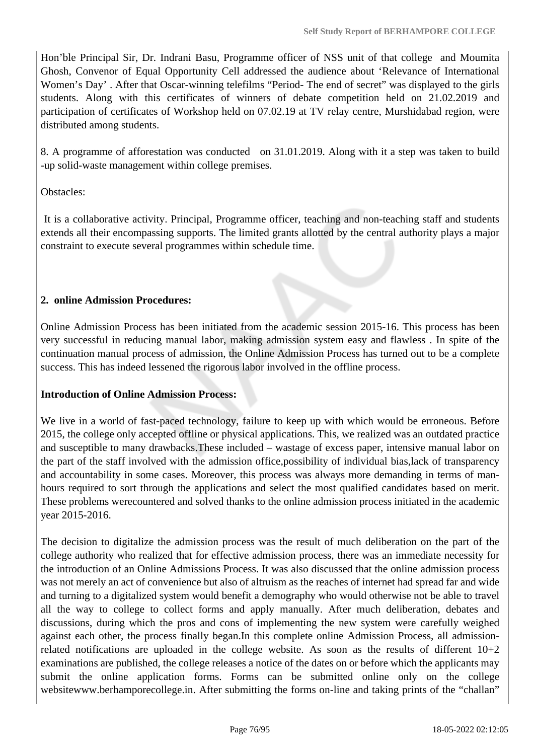Hon'ble Principal Sir, Dr. Indrani Basu, Programme officer of NSS unit of that college and Moumita Ghosh, Convenor of Equal Opportunity Cell addressed the audience about 'Relevance of International Women's Day' . After that Oscar-winning telefilms "Period- The end of secret" was displayed to the girls students. Along with this certificates of winners of debate competition held on 21.02.2019 and participation of certificates of Workshop held on 07.02.19 at TV relay centre, Murshidabad region, were distributed among students.

8. A programme of afforestation was conducted on 31.01.2019. Along with it a step was taken to build -up solid-waste management within college premises.

Obstacles:

 It is a collaborative activity. Principal, Programme officer, teaching and non-teaching staff and students extends all their encompassing supports. The limited grants allotted by the central authority plays a major constraint to execute several programmes within schedule time.

### **2. online Admission Procedures:**

Online Admission Process has been initiated from the academic session 2015-16. This process has been very successful in reducing manual labor, making admission system easy and flawless . In spite of the continuation manual process of admission, the Online Admission Process has turned out to be a complete success. This has indeed lessened the rigorous labor involved in the offline process.

### **Introduction of Online Admission Process:**

We live in a world of fast-paced technology, failure to keep up with which would be erroneous. Before 2015, the college only accepted offline or physical applications. This, we realized was an outdated practice and susceptible to many drawbacks.These included – wastage of excess paper, intensive manual labor on the part of the staff involved with the admission office,possibility of individual bias,lack of transparency and accountability in some cases. Moreover, this process was always more demanding in terms of manhours required to sort through the applications and select the most qualified candidates based on merit. These problems werecountered and solved thanks to the online admission process initiated in the academic year 2015-2016.

The decision to digitalize the admission process was the result of much deliberation on the part of the college authority who realized that for effective admission process, there was an immediate necessity for the introduction of an Online Admissions Process. It was also discussed that the online admission process was not merely an act of convenience but also of altruism as the reaches of internet had spread far and wide and turning to a digitalized system would benefit a demography who would otherwise not be able to travel all the way to college to collect forms and apply manually. After much deliberation, debates and discussions, during which the pros and cons of implementing the new system were carefully weighed against each other, the process finally began.In this complete online Admission Process, all admissionrelated notifications are uploaded in the college website. As soon as the results of different  $10+2$ examinations are published, the college releases a notice of the dates on or before which the applicants may submit the online application forms. Forms can be submitted online only on the college websitewww.berhamporecollege.in. After submitting the forms on-line and taking prints of the "challan"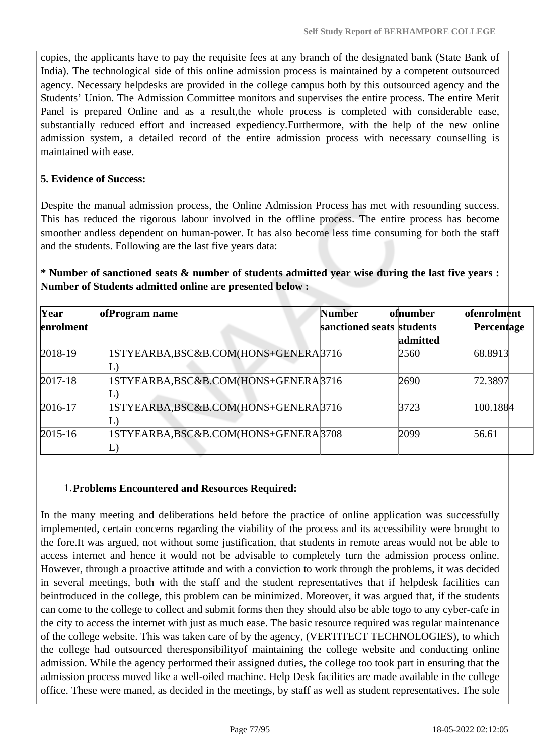copies, the applicants have to pay the requisite fees at any branch of the designated bank (State Bank of India). The technological side of this online admission process is maintained by a competent outsourced agency. Necessary helpdesks are provided in the college campus both by this outsourced agency and the Students' Union. The Admission Committee monitors and supervises the entire process. The entire Merit Panel is prepared Online and as a result,the whole process is completed with considerable ease, substantially reduced effort and increased expediency.Furthermore, with the help of the new online admission system, a detailed record of the entire admission process with necessary counselling is maintained with ease.

### **5. Evidence of Success:**

Despite the manual admission process, the Online Admission Process has met with resounding success. This has reduced the rigorous labour involved in the offline process. The entire process has become smoother andless dependent on human-power. It has also become less time consuming for both the staff and the students. Following are the last five years data:

## **\* Number of sanctioned seats & number of students admitted year wise during the last five years : Number of Students admitted online are presented below :**

| Year        | of Program name                                  | <b>Number</b>             | ofnumber | ofenrolment |
|-------------|--------------------------------------------------|---------------------------|----------|-------------|
| enrolment   |                                                  | sanctioned seats students |          | Percentage  |
|             |                                                  |                           | admitted |             |
| $2018-19$   | 1STYEARBA,BSC&B.COM(HONS+GENERA3716              |                           | 2560     | 68.8913     |
|             |                                                  |                           |          |             |
| $2017 - 18$ | 1STYEARBA, BSC&B.COM(HONS+GENERA <sup>3716</sup> |                           | 2690     | 72.3897     |
|             |                                                  |                           |          |             |
| 2016-17     | 1STYEARBA, BSC&B.COM(HONS+GENERA3716             |                           | 3723     | 100.1884    |
|             |                                                  |                           |          |             |
| $2015 - 16$ | 1STYEARBA, BSC&B.COM(HONS+GENERA3708             |                           | 2099     | 56.61       |
|             |                                                  |                           |          |             |

### 1.**Problems Encountered and Resources Required:**

In the many meeting and deliberations held before the practice of online application was successfully implemented, certain concerns regarding the viability of the process and its accessibility were brought to the fore.It was argued, not without some justification, that students in remote areas would not be able to access internet and hence it would not be advisable to completely turn the admission process online. However, through a proactive attitude and with a conviction to work through the problems, it was decided in several meetings, both with the staff and the student representatives that if helpdesk facilities can beintroduced in the college, this problem can be minimized. Moreover, it was argued that, if the students can come to the college to collect and submit forms then they should also be able togo to any cyber-cafe in the city to access the internet with just as much ease. The basic resource required was regular maintenance of the college website. This was taken care of by the agency, (VERTITECT TECHNOLOGIES), to which the college had outsourced theresponsibilityof maintaining the college website and conducting online admission. While the agency performed their assigned duties, the college too took part in ensuring that the admission process moved like a well-oiled machine. Help Desk facilities are made available in the college office. These were maned, as decided in the meetings, by staff as well as student representatives. The sole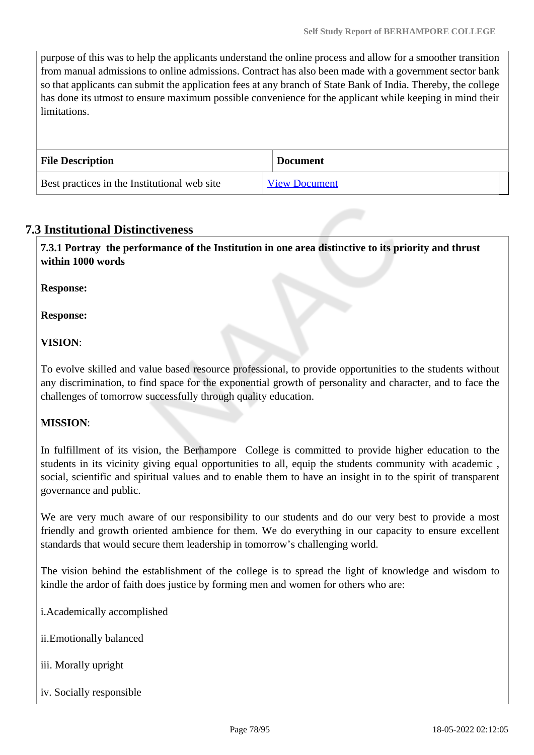purpose of this was to help the applicants understand the online process and allow for a smoother transition from manual admissions to online admissions. Contract has also been made with a government sector bank so that applicants can submit the application fees at any branch of State Bank of India. Thereby, the college has done its utmost to ensure maximum possible convenience for the applicant while keeping in mind their limitations.

| <b>File Description</b>                      | <b>Document</b>      |
|----------------------------------------------|----------------------|
| Best practices in the Institutional web site | <b>View Document</b> |

## **7.3 Institutional Distinctiveness**

 **7.3.1 Portray the performance of the Institution in one area distinctive to its priority and thrust within 1000 words**

**Response:** 

**Response:**

## **VISION**:

To evolve skilled and value based resource professional, to provide opportunities to the students without any discrimination, to find space for the exponential growth of personality and character, and to face the challenges of tomorrow successfully through quality education.

## **MISSION**:

In fulfillment of its vision, the Berhampore College is committed to provide higher education to the students in its vicinity giving equal opportunities to all, equip the students community with academic , social, scientific and spiritual values and to enable them to have an insight in to the spirit of transparent governance and public.

We are very much aware of our responsibility to our students and do our very best to provide a most friendly and growth oriented ambience for them. We do everything in our capacity to ensure excellent standards that would secure them leadership in tomorrow's challenging world.

The vision behind the establishment of the college is to spread the light of knowledge and wisdom to kindle the ardor of faith does justice by forming men and women for others who are:

i.Academically accomplished

ii.Emotionally balanced

- iii. Morally upright
- iv. Socially responsible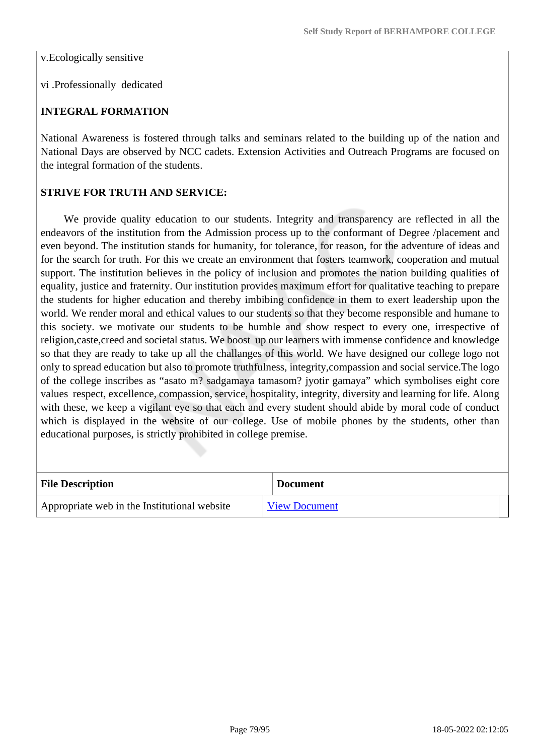v.Ecologically sensitive

vi .Professionally dedicated

### **INTEGRAL FORMATION**

National Awareness is fostered through talks and seminars related to the building up of the nation and National Days are observed by NCC cadets. Extension Activities and Outreach Programs are focused on the integral formation of the students.

### **STRIVE FOR TRUTH AND SERVICE:**

 We provide quality education to our students. Integrity and transparency are reflected in all the endeavors of the institution from the Admission process up to the conformant of Degree /placement and even beyond. The institution stands for humanity, for tolerance, for reason, for the adventure of ideas and for the search for truth. For this we create an environment that fosters teamwork, cooperation and mutual support. The institution believes in the policy of inclusion and promotes the nation building qualities of equality, justice and fraternity. Our institution provides maximum effort for qualitative teaching to prepare the students for higher education and thereby imbibing confidence in them to exert leadership upon the world. We render moral and ethical values to our students so that they become responsible and humane to this society. we motivate our students to be humble and show respect to every one, irrespective of religion,caste,creed and societal status. We boost up our learners with immense confidence and knowledge so that they are ready to take up all the challanges of this world. We have designed our college logo not only to spread education but also to promote truthfulness, integrity,compassion and social service.The logo of the college inscribes as "asato m? sadgamaya tamasom? jyotir gamaya" which symbolises eight core values respect, excellence, compassion, service, hospitality, integrity, diversity and learning for life. Along with these, we keep a vigilant eye so that each and every student should abide by moral code of conduct which is displayed in the website of our college. Use of mobile phones by the students, other than educational purposes, is strictly prohibited in college premise.

| <b>File Description</b>                      | <b>Document</b>      |
|----------------------------------------------|----------------------|
| Appropriate web in the Institutional website | <b>View Document</b> |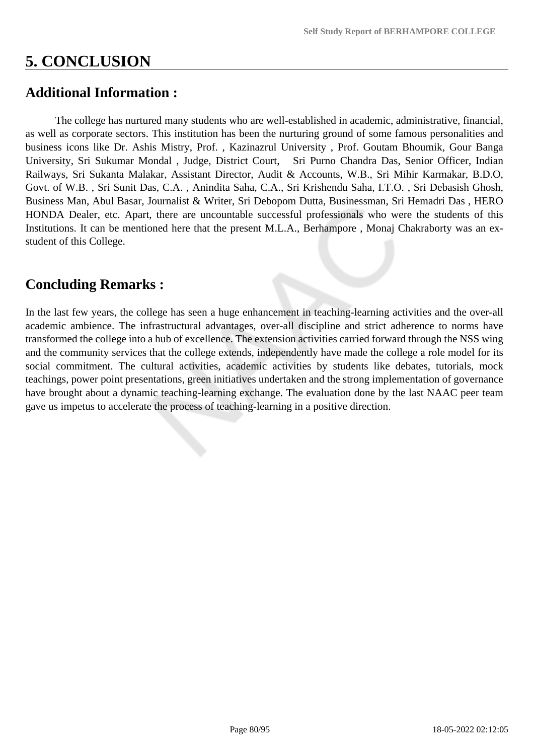# **5. CONCLUSION**

# **Additional Information :**

 The college has nurtured many students who are well-established in academic, administrative, financial, as well as corporate sectors. This institution has been the nurturing ground of some famous personalities and business icons like Dr. Ashis Mistry, Prof. , Kazinazrul University , Prof. Goutam Bhoumik, Gour Banga University, Sri Sukumar Mondal , Judge, District Court, Sri Purno Chandra Das, Senior Officer, Indian Railways, Sri Sukanta Malakar, Assistant Director, Audit & Accounts, W.B., Sri Mihir Karmakar, B.D.O, Govt. of W.B. , Sri Sunit Das, C.A. , Anindita Saha, C.A., Sri Krishendu Saha, I.T.O. , Sri Debasish Ghosh, Business Man, Abul Basar, Journalist & Writer, Sri Debopom Dutta, Businessman, Sri Hemadri Das , HERO HONDA Dealer, etc. Apart, there are uncountable successful professionals who were the students of this Institutions. It can be mentioned here that the present M.L.A., Berhampore , Monaj Chakraborty was an exstudent of this College.

# **Concluding Remarks :**

In the last few years, the college has seen a huge enhancement in teaching-learning activities and the over-all academic ambience. The infrastructural advantages, over-all discipline and strict adherence to norms have transformed the college into a hub of excellence. The extension activities carried forward through the NSS wing and the community services that the college extends, independently have made the college a role model for its social commitment. The cultural activities, academic activities by students like debates, tutorials, mock teachings, power point presentations, green initiatives undertaken and the strong implementation of governance have brought about a dynamic teaching-learning exchange. The evaluation done by the last NAAC peer team gave us impetus to accelerate the process of teaching-learning in a positive direction.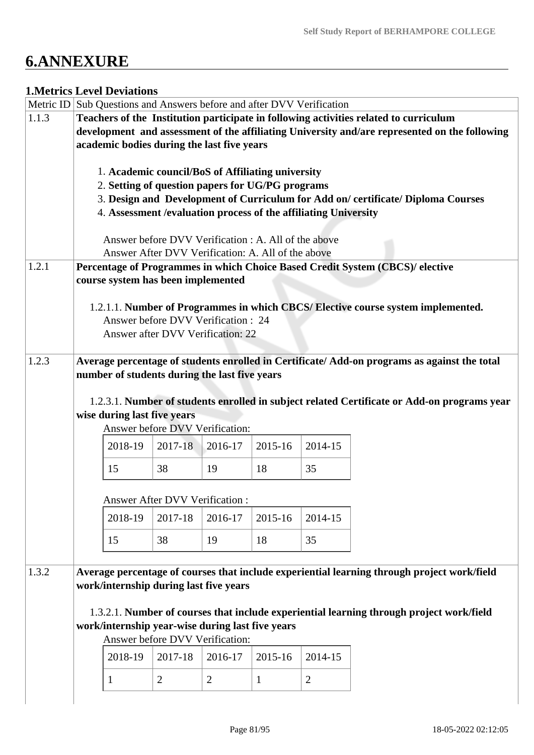# **6.ANNEXURE**

## **1.Metrics Level Deviations**

|       | Metric ID Sub Questions and Answers before and after DVV Verification                         |                                                      |                |                |              |                                                                  |                                                                                             |  |
|-------|-----------------------------------------------------------------------------------------------|------------------------------------------------------|----------------|----------------|--------------|------------------------------------------------------------------|---------------------------------------------------------------------------------------------|--|
| 1.1.3 |                                                                                               |                                                      |                |                |              |                                                                  | Teachers of the Institution participate in following activities related to curriculum       |  |
|       | development and assessment of the affiliating University and/are represented on the following |                                                      |                |                |              |                                                                  |                                                                                             |  |
|       | academic bodies during the last five years                                                    |                                                      |                |                |              |                                                                  |                                                                                             |  |
|       |                                                                                               |                                                      |                |                |              |                                                                  |                                                                                             |  |
|       |                                                                                               | 1. Academic council/BoS of Affiliating university    |                |                |              |                                                                  |                                                                                             |  |
|       |                                                                                               | 2. Setting of question papers for UG/PG programs     |                |                |              |                                                                  |                                                                                             |  |
|       |                                                                                               |                                                      |                |                |              |                                                                  | 3. Design and Development of Curriculum for Add on/certificate/Diploma Courses              |  |
|       |                                                                                               |                                                      |                |                |              | 4. Assessment / evaluation process of the affiliating University |                                                                                             |  |
|       |                                                                                               |                                                      |                |                |              |                                                                  |                                                                                             |  |
|       |                                                                                               | Answer before DVV Verification : A. All of the above |                |                |              |                                                                  |                                                                                             |  |
|       |                                                                                               | Answer After DVV Verification: A. All of the above   |                |                |              |                                                                  |                                                                                             |  |
| 1.2.1 |                                                                                               |                                                      |                |                |              |                                                                  | Percentage of Programmes in which Choice Based Credit System (CBCS)/ elective               |  |
|       |                                                                                               | course system has been implemented                   |                |                |              |                                                                  |                                                                                             |  |
|       |                                                                                               |                                                      |                |                |              |                                                                  |                                                                                             |  |
|       |                                                                                               |                                                      |                |                |              |                                                                  | 1.2.1.1. Number of Programmes in which CBCS/ Elective course system implemented.            |  |
|       |                                                                                               | Answer before DVV Verification : 24                  |                |                |              |                                                                  |                                                                                             |  |
|       |                                                                                               | Answer after DVV Verification: 22                    |                |                |              |                                                                  |                                                                                             |  |
|       |                                                                                               |                                                      |                |                |              |                                                                  |                                                                                             |  |
| 1.2.3 |                                                                                               |                                                      |                |                |              |                                                                  | Average percentage of students enrolled in Certificate/Add-on programs as against the total |  |
|       |                                                                                               | number of students during the last five years        |                |                |              |                                                                  |                                                                                             |  |
|       |                                                                                               |                                                      |                |                |              |                                                                  |                                                                                             |  |
|       |                                                                                               |                                                      |                |                |              |                                                                  | 1.2.3.1. Number of students enrolled in subject related Certificate or Add-on programs year |  |
|       |                                                                                               | wise during last five years                          |                |                |              |                                                                  |                                                                                             |  |
|       |                                                                                               | Answer before DVV Verification:                      |                |                |              |                                                                  |                                                                                             |  |
|       |                                                                                               | 2018-19                                              | 2017-18        | 2016-17        | 2015-16      | 2014-15                                                          |                                                                                             |  |
|       |                                                                                               | 15                                                   | 38             | 19             | 18           | 35                                                               |                                                                                             |  |
|       |                                                                                               |                                                      |                |                |              |                                                                  |                                                                                             |  |
|       |                                                                                               |                                                      |                |                |              |                                                                  |                                                                                             |  |
|       |                                                                                               | <b>Answer After DVV Verification:</b>                |                |                |              |                                                                  |                                                                                             |  |
|       |                                                                                               | 2018-19                                              | 2017-18        | 2016-17        | 2015-16      | 2014-15                                                          |                                                                                             |  |
|       |                                                                                               |                                                      |                |                |              |                                                                  |                                                                                             |  |
|       |                                                                                               | 15                                                   | 38             | 19             | 18           | 35                                                               |                                                                                             |  |
|       |                                                                                               |                                                      |                |                |              |                                                                  |                                                                                             |  |
| 1.3.2 |                                                                                               |                                                      |                |                |              |                                                                  | Average percentage of courses that include experiential learning through project work/field |  |
|       |                                                                                               | work/internship during last five years               |                |                |              |                                                                  |                                                                                             |  |
|       |                                                                                               |                                                      |                |                |              |                                                                  |                                                                                             |  |
|       |                                                                                               |                                                      |                |                |              |                                                                  | 1.3.2.1. Number of courses that include experiential learning through project work/field    |  |
|       |                                                                                               | work/internship year-wise during last five years     |                |                |              |                                                                  |                                                                                             |  |
|       |                                                                                               | Answer before DVV Verification:                      |                |                |              |                                                                  |                                                                                             |  |
|       |                                                                                               | 2018-19                                              | 2017-18        | 2016-17        | 2015-16      | 2014-15                                                          |                                                                                             |  |
|       |                                                                                               |                                                      |                |                |              |                                                                  |                                                                                             |  |
|       |                                                                                               | $\mathbf{1}$                                         | $\overline{2}$ | $\overline{2}$ | $\mathbf{1}$ | $\overline{2}$                                                   |                                                                                             |  |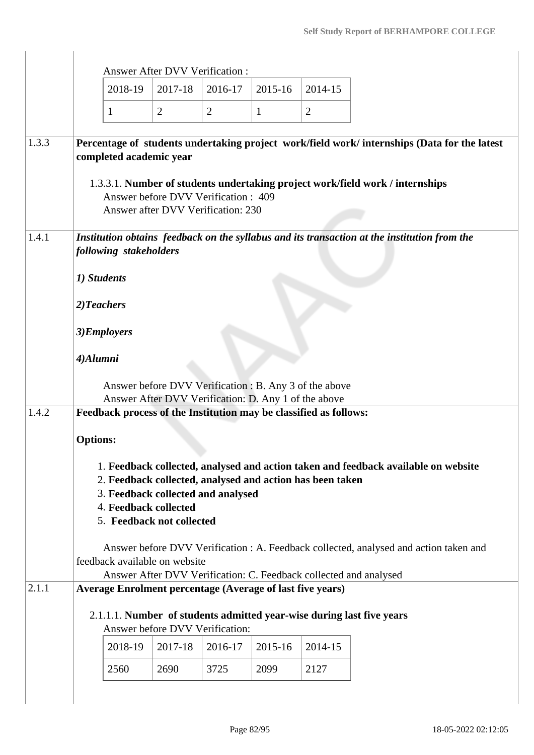|       |                        |         |                                                    | <b>Answer After DVV Verification:</b>                                                                          |              |                |                                                                                                                                                            |
|-------|------------------------|---------|----------------------------------------------------|----------------------------------------------------------------------------------------------------------------|--------------|----------------|------------------------------------------------------------------------------------------------------------------------------------------------------------|
|       |                        | 2018-19 | 2017-18                                            | 2016-17                                                                                                        | 2015-16      | 2014-15        |                                                                                                                                                            |
|       | 1                      |         | $\overline{2}$                                     | $\overline{2}$                                                                                                 | $\mathbf{1}$ | $\overline{2}$ |                                                                                                                                                            |
| 1.3.3 |                        |         | completed academic year                            |                                                                                                                |              |                | Percentage of students undertaking project work/field work/ internships (Data for the latest                                                               |
|       |                        |         |                                                    | Answer before DVV Verification: 409<br>Answer after DVV Verification: 230                                      |              |                | 1.3.3.1. Number of students undertaking project work/field work / internships                                                                              |
| 1.4.1 | following stakeholders |         |                                                    |                                                                                                                |              |                | Institution obtains feedback on the syllabus and its transaction at the institution from the                                                               |
|       | 1) Students            |         |                                                    |                                                                                                                |              |                |                                                                                                                                                            |
|       | 2)Teachers             |         |                                                    |                                                                                                                |              |                |                                                                                                                                                            |
|       | 3)Employers            |         |                                                    |                                                                                                                |              |                |                                                                                                                                                            |
|       | 4)Alumni               |         |                                                    |                                                                                                                |              |                |                                                                                                                                                            |
|       |                        |         |                                                    | Answer before DVV Verification : B. Any 3 of the above<br>Answer After DVV Verification: D. Any 1 of the above |              |                |                                                                                                                                                            |
| 1.4.2 |                        |         |                                                    | Feedback process of the Institution may be classified as follows:                                              |              |                |                                                                                                                                                            |
|       | <b>Options:</b>        |         |                                                    |                                                                                                                |              |                |                                                                                                                                                            |
|       |                        |         | 4. Feedback collected<br>5. Feedback not collected | 2. Feedback collected, analysed and action has been taken<br>3. Feedback collected and analysed                |              |                | 1. Feedback collected, analysed and action taken and feedback available on website                                                                         |
|       |                        |         | feedback available on website                      |                                                                                                                |              |                | Answer before DVV Verification : A. Feedback collected, analysed and action taken and<br>Answer After DVV Verification: C. Feedback collected and analysed |
| 2.1.1 |                        |         |                                                    | <b>Average Enrolment percentage (Average of last five years)</b>                                               |              |                |                                                                                                                                                            |
|       |                        |         |                                                    | Answer before DVV Verification:                                                                                |              |                | 2.1.1.1. Number of students admitted year-wise during last five years                                                                                      |
|       |                        | 2018-19 | 2017-18                                            | 2016-17                                                                                                        | 2015-16      | 2014-15        |                                                                                                                                                            |
|       |                        | 2560    | 2690                                               | 3725                                                                                                           | 2099         | 2127           |                                                                                                                                                            |
|       |                        |         |                                                    |                                                                                                                |              |                |                                                                                                                                                            |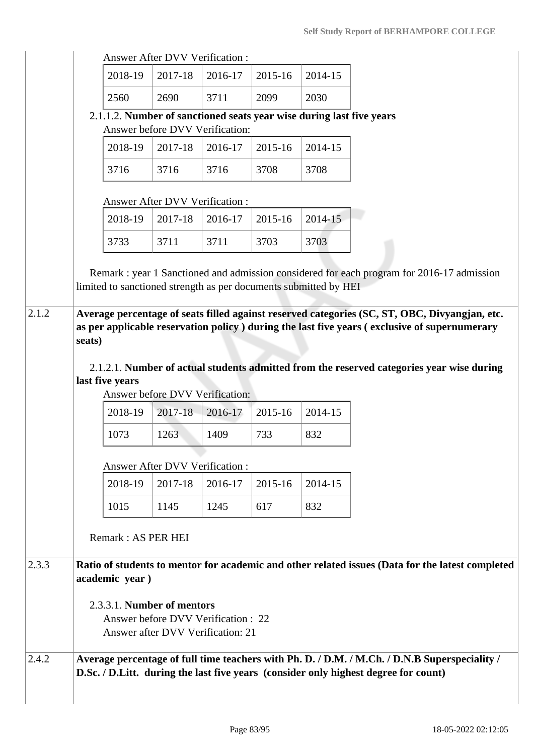|       |                                                                      |                                       | <b>Answer After DVV Verification:</b> |         |         |                                                                                                                                                                                                |
|-------|----------------------------------------------------------------------|---------------------------------------|---------------------------------------|---------|---------|------------------------------------------------------------------------------------------------------------------------------------------------------------------------------------------------|
|       | 2018-19                                                              | 2017-18                               | 2016-17                               | 2015-16 | 2014-15 |                                                                                                                                                                                                |
|       | 2560                                                                 | 2690                                  | 3711                                  | 2099    | 2030    |                                                                                                                                                                                                |
|       | 2.1.1.2. Number of sanctioned seats year wise during last five years |                                       | Answer before DVV Verification:       |         |         |                                                                                                                                                                                                |
|       | 2018-19                                                              | 2017-18                               | 2016-17                               | 2015-16 | 2014-15 |                                                                                                                                                                                                |
|       |                                                                      |                                       |                                       |         |         |                                                                                                                                                                                                |
|       | 3716                                                                 | 3716                                  | 3716                                  | 3708    | 3708    |                                                                                                                                                                                                |
|       |                                                                      | Answer After DVV Verification :       |                                       |         |         |                                                                                                                                                                                                |
|       | 2018-19                                                              | 2017-18                               | 2016-17                               | 2015-16 | 2014-15 |                                                                                                                                                                                                |
|       | 3733                                                                 | 3711                                  | 3711                                  | 3703    | 3703    |                                                                                                                                                                                                |
|       |                                                                      |                                       |                                       |         |         |                                                                                                                                                                                                |
|       | limited to sanctioned strength as per documents submitted by HEI     |                                       |                                       |         |         | Remark : year 1 Sanctioned and admission considered for each program for 2016-17 admission                                                                                                     |
|       |                                                                      |                                       |                                       |         |         |                                                                                                                                                                                                |
| 2.1.2 |                                                                      |                                       |                                       |         |         | Average percentage of seats filled against reserved categories (SC, ST, OBC, Divyangjan, etc.<br>as per applicable reservation policy ) during the last five years (exclusive of supernumerary |
|       | seats)                                                               |                                       |                                       |         |         |                                                                                                                                                                                                |
|       |                                                                      |                                       |                                       |         |         | 2.1.2.1. Number of actual students admitted from the reserved categories year wise during                                                                                                      |
|       | last five years                                                      |                                       |                                       |         |         |                                                                                                                                                                                                |
|       |                                                                      |                                       | Answer before DVV Verification:       |         |         |                                                                                                                                                                                                |
|       | 2018-19                                                              | 2017-18                               | 2016-17                               | 2015-16 | 2014-15 |                                                                                                                                                                                                |
|       | 1073                                                                 | 1263                                  | 1409                                  | 733     | 832     |                                                                                                                                                                                                |
|       |                                                                      | <b>Answer After DVV Verification:</b> |                                       |         |         |                                                                                                                                                                                                |
|       | 2018-19                                                              | 2017-18                               | 2016-17                               | 2015-16 | 2014-15 |                                                                                                                                                                                                |
|       | 1015                                                                 | 1145                                  | 1245                                  | 617     | 832     |                                                                                                                                                                                                |
|       |                                                                      |                                       |                                       |         |         |                                                                                                                                                                                                |
|       | Remark: AS PER HEI                                                   |                                       |                                       |         |         |                                                                                                                                                                                                |
| 2.3.3 |                                                                      |                                       |                                       |         |         | Ratio of students to mentor for academic and other related issues (Data for the latest completed                                                                                               |
|       | academic year)                                                       |                                       |                                       |         |         |                                                                                                                                                                                                |
|       | 2.3.3.1. Number of mentors                                           |                                       |                                       |         |         |                                                                                                                                                                                                |
|       |                                                                      |                                       | Answer before DVV Verification : 22   |         |         |                                                                                                                                                                                                |
|       |                                                                      |                                       | Answer after DVV Verification: 21     |         |         |                                                                                                                                                                                                |
| 2.4.2 |                                                                      |                                       |                                       |         |         | Average percentage of full time teachers with Ph. D. / D.M. / M.Ch. / D.N.B Superspeciality /                                                                                                  |
|       |                                                                      |                                       |                                       |         |         | D.Sc. / D.Litt. during the last five years (consider only highest degree for count)                                                                                                            |
|       |                                                                      |                                       |                                       |         |         |                                                                                                                                                                                                |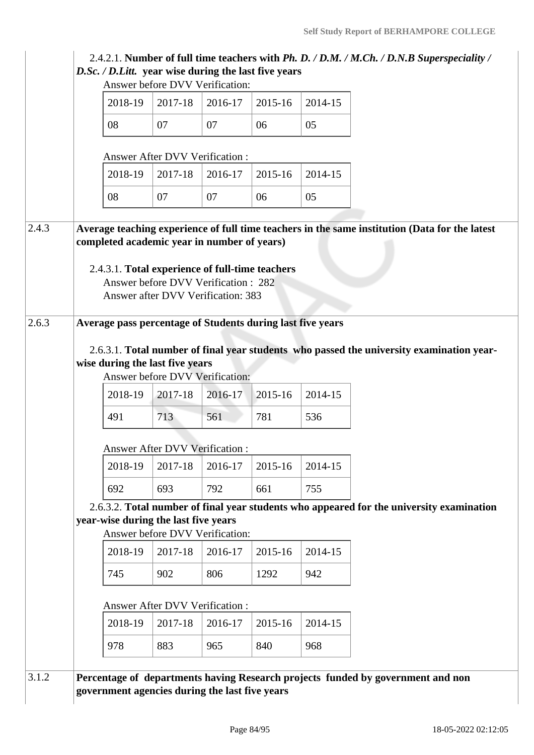|       |                                                                                                                                                                                                  | Answer before DVV Verification:                                           |                |                |                |  |  |
|-------|--------------------------------------------------------------------------------------------------------------------------------------------------------------------------------------------------|---------------------------------------------------------------------------|----------------|----------------|----------------|--|--|
|       | 2018-19                                                                                                                                                                                          | 2017-18                                                                   | 2016-17        | 2015-16        | 2014-15        |  |  |
|       | 08                                                                                                                                                                                               | 07                                                                        | 07             | 06             | 05             |  |  |
|       |                                                                                                                                                                                                  | <b>Answer After DVV Verification:</b>                                     |                |                |                |  |  |
|       | 2018-19                                                                                                                                                                                          | 2017-18                                                                   | 2016-17        | 2015-16        | 2014-15        |  |  |
|       | 08                                                                                                                                                                                               | 07                                                                        | 07             | 06             | 05             |  |  |
| 2.4.3 | Average teaching experience of full time teachers in the same institution (Data for the latest<br>completed academic year in number of years)<br>2.4.3.1. Total experience of full-time teachers | Answer before DVV Verification: 282<br>Answer after DVV Verification: 383 |                |                |                |  |  |
| 2.6.3 | Average pass percentage of Students during last five years                                                                                                                                       |                                                                           |                |                |                |  |  |
|       |                                                                                                                                                                                                  |                                                                           |                |                |                |  |  |
|       | 2018-19<br>491                                                                                                                                                                                   | 2017-18<br>713                                                            | 2016-17<br>561 | 2015-16<br>781 | 2014-15<br>536 |  |  |
|       |                                                                                                                                                                                                  |                                                                           |                |                |                |  |  |
|       | 2018-19                                                                                                                                                                                          | Answer After DVV Verification :<br>2017-18                                | 2016-17        | 2015-16        | 2014-15        |  |  |
|       | 692                                                                                                                                                                                              | 693                                                                       | 792            | 661            | 755            |  |  |
|       | 2.6.3.2. Total number of final year students who appeared for the university examination                                                                                                         |                                                                           |                |                |                |  |  |
|       | year-wise during the last five years                                                                                                                                                             |                                                                           |                |                |                |  |  |
|       | 2018-19                                                                                                                                                                                          | Answer before DVV Verification:<br>2017-18                                | 2016-17        | 2015-16        | 2014-15        |  |  |
|       | 745                                                                                                                                                                                              | 902                                                                       | 806            | 1292           | 942            |  |  |
|       |                                                                                                                                                                                                  |                                                                           |                |                |                |  |  |
|       | 2018-19                                                                                                                                                                                          | Answer After DVV Verification:<br>2017-18                                 | 2016-17        | 2015-16        | 2014-15        |  |  |
|       | 978                                                                                                                                                                                              | 883                                                                       | 965            | 840            | 968            |  |  |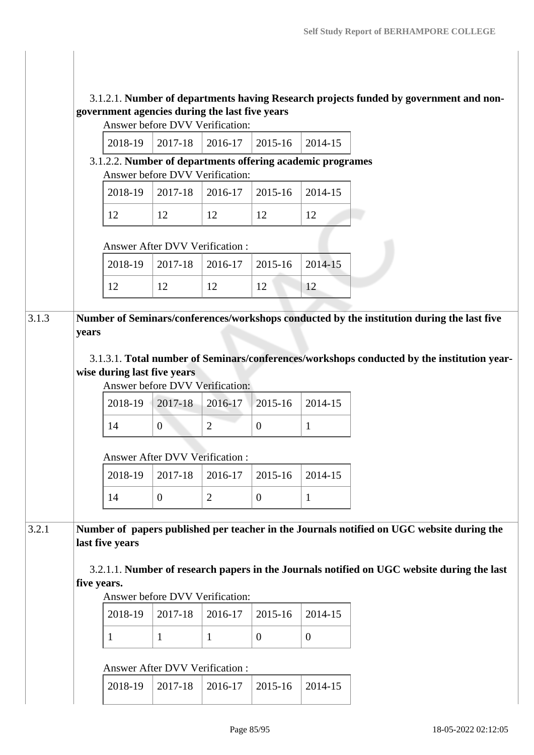## 3.1.2.1. **Number of departments having Research projects funded by government and nongovernment agencies during the last five years**

| Answer before DVV Verification: |  |
|---------------------------------|--|
|---------------------------------|--|

|  |  | $\vert$ 2018-19 $\vert$ 2017-18 $\vert$ 2016-17 $\vert$ 2015-16 $\vert$ 2014-15 |  |  |  |
|--|--|---------------------------------------------------------------------------------|--|--|--|
|--|--|---------------------------------------------------------------------------------|--|--|--|

 3.1.2.2. **Number of departments offering academic programes** Answer before DVV Verification:

|  | $2018-19$   2017-18   2016-17   2015-16   2014-15 |  |
|--|---------------------------------------------------|--|
|  |                                                   |  |

### Answer After DVV Verification :

|  | $2018-19$ 2017-18 2016-17 2015-16 2014-15 |  |
|--|-------------------------------------------|--|
|  |                                           |  |

## 3.1.3 **Number of Seminars/conferences/workshops conducted by the institution during the last five years**

 3.1.3.1. **Total number of Seminars/conferences/workshops conducted by the institution yearwise during last five years** 

Answer before DVV Verification:

|  | $2018-19$   $2017-18$   $2016-17$   $2015-16$   $2014-15$ |  |
|--|-----------------------------------------------------------|--|
|  |                                                           |  |

### Answer After DVV Verification :

|  | $2018-19$   2017-18   2016-17   2015-16   2014-15 |  |
|--|---------------------------------------------------|--|
|  |                                                   |  |

## 3.2.1 **Number of papers published per teacher in the Journals notified on UGC website during the last five years**

 3.2.1.1. **Number of research papers in the Journals notified on UGC website during the last five years.**

### Answer before DVV Verification:

|  | $\mid$ 2018-19 $\mid$ 2017-18 $\mid$ 2016-17 $\mid$ 2015-16 $\mid$ 2014-15 |  |  |
|--|----------------------------------------------------------------------------|--|--|
|  |                                                                            |  |  |

### Answer After DVV Verification :

|--|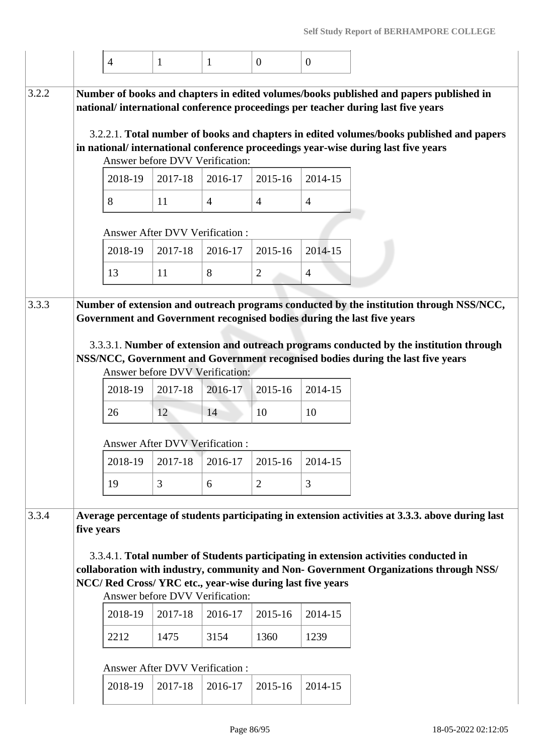|       |            | $\overline{4}$                                                                                                                                                       | 1                             | 1                             | $\overline{0}$                             | $\overline{0}$                |                                                                                                                                                                                                                                                                                                                                                             |
|-------|------------|----------------------------------------------------------------------------------------------------------------------------------------------------------------------|-------------------------------|-------------------------------|--------------------------------------------|-------------------------------|-------------------------------------------------------------------------------------------------------------------------------------------------------------------------------------------------------------------------------------------------------------------------------------------------------------------------------------------------------------|
| 3.2.2 |            | Answer before DVV Verification:<br>2018-19                                                                                                                           | 2017-18                       | 2016-17                       | 2015-16                                    | 2014-15                       | Number of books and chapters in edited volumes/books published and papers published in<br>national/international conference proceedings per teacher during last five years<br>3.2.2.1. Total number of books and chapters in edited volumes/books published and papers<br>in national/international conference proceedings year-wise during last five years |
|       |            | 8                                                                                                                                                                    | 11                            | $\overline{4}$                | $\overline{4}$                             | $\overline{4}$                |                                                                                                                                                                                                                                                                                                                                                             |
|       |            | <b>Answer After DVV Verification:</b>                                                                                                                                |                               |                               |                                            |                               |                                                                                                                                                                                                                                                                                                                                                             |
|       |            | 2018-19                                                                                                                                                              | 2017-18                       | 2016-17                       | 2015-16                                    | 2014-15                       |                                                                                                                                                                                                                                                                                                                                                             |
|       |            | 13                                                                                                                                                                   | 11                            | 8                             | $\overline{2}$                             | $\overline{4}$                |                                                                                                                                                                                                                                                                                                                                                             |
| 3.3.3 |            | Answer before DVV Verification:<br>2018-19<br>26<br><b>Answer After DVV Verification:</b><br>2018-19<br>19                                                           | 2017-18<br>12<br>2017-18<br>3 | 2016-17<br>14<br>2016-17<br>6 | 2015-16<br>10<br>2015-16<br>$\overline{2}$ | 2014-15<br>10<br>2014-15<br>3 | Number of extension and outreach programs conducted by the institution through NSS/NCC,<br>Government and Government recognised bodies during the last five years<br>3.3.3.1. Number of extension and outreach programs conducted by the institution through<br>NSS/NCC, Government and Government recognised bodies during the last five years             |
| 3.3.4 | five years | NCC/ Red Cross/ YRC etc., year-wise during last five years<br>Answer before DVV Verification:<br>2018-19<br>2212<br><b>Answer After DVV Verification:</b><br>2018-19 | 2017-18<br>1475<br>2017-18    | 2016-17<br>3154<br>2016-17    | 2015-16<br>1360<br>2015-16                 | 2014-15<br>1239<br>2014-15    | Average percentage of students participating in extension activities at 3.3.3. above during last<br>3.3.4.1. Total number of Students participating in extension activities conducted in<br>collaboration with industry, community and Non- Government Organizations through NSS/                                                                           |
|       |            |                                                                                                                                                                      |                               |                               |                                            |                               |                                                                                                                                                                                                                                                                                                                                                             |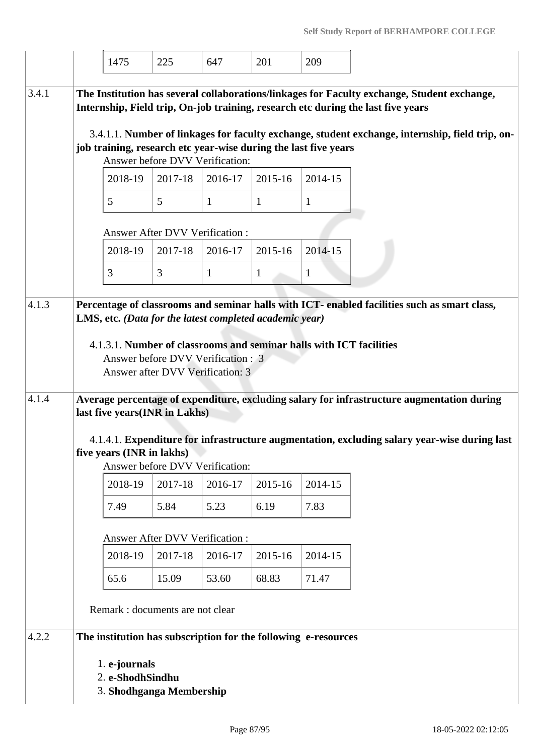|       | 1475                                                          | 225     | 647                                                                    | 201     | 209                                                                 |                                                                                                                                                                                 |
|-------|---------------------------------------------------------------|---------|------------------------------------------------------------------------|---------|---------------------------------------------------------------------|---------------------------------------------------------------------------------------------------------------------------------------------------------------------------------|
| 3.4.1 |                                                               |         |                                                                        |         |                                                                     | The Institution has several collaborations/linkages for Faculty exchange, Student exchange,<br>Internship, Field trip, On-job training, research etc during the last five years |
|       |                                                               |         | Answer before DVV Verification:                                        |         | job training, research etc year-wise during the last five years     | 3.4.1.1. Number of linkages for faculty exchange, student exchange, internship, field trip, on-                                                                                 |
|       | 2018-19                                                       | 2017-18 | 2016-17                                                                | 2015-16 | 2014-15                                                             |                                                                                                                                                                                 |
|       | 5                                                             | 5       | 1                                                                      | 1       | 1                                                                   |                                                                                                                                                                                 |
|       | <b>Answer After DVV Verification:</b>                         |         |                                                                        |         |                                                                     |                                                                                                                                                                                 |
|       | 2018-19                                                       | 2017-18 | 2016-17                                                                | 2015-16 | 2014-15                                                             |                                                                                                                                                                                 |
|       | 3                                                             | 3       | $\mathbf{1}$                                                           | 1       | 1                                                                   |                                                                                                                                                                                 |
| 4.1.3 |                                                               |         | LMS, etc. (Data for the latest completed academic year)                |         | 4.1.3.1. Number of classrooms and seminar halls with ICT facilities | Percentage of classrooms and seminar halls with ICT- enabled facilities such as smart class,                                                                                    |
|       |                                                               |         | Answer before DVV Verification : 3<br>Answer after DVV Verification: 3 |         |                                                                     |                                                                                                                                                                                 |
| 4.1.4 | last five years(INR in Lakhs)                                 |         |                                                                        |         |                                                                     | Average percentage of expenditure, excluding salary for infrastructure augmentation during                                                                                      |
|       | five years (INR in lakhs)                                     |         |                                                                        |         |                                                                     | 4.1.4.1. Expenditure for infrastructure augmentation, excluding salary year-wise during last                                                                                    |
|       |                                                               |         | Answer before DVV Verification:                                        |         |                                                                     |                                                                                                                                                                                 |
|       | 2018-19                                                       | 2017-18 | 2016-17                                                                | 2015-16 | 2014-15                                                             |                                                                                                                                                                                 |
|       | 7.49                                                          | 5.84    | 5.23                                                                   | 6.19    | 7.83                                                                |                                                                                                                                                                                 |
|       | <b>Answer After DVV Verification:</b>                         |         |                                                                        |         |                                                                     |                                                                                                                                                                                 |
|       | 2018-19                                                       | 2017-18 | 2016-17                                                                | 2015-16 | 2014-15                                                             |                                                                                                                                                                                 |
|       | 65.6                                                          | 15.09   | 53.60                                                                  | 68.83   | 71.47                                                               |                                                                                                                                                                                 |
|       | Remark : documents are not clear                              |         |                                                                        |         |                                                                     |                                                                                                                                                                                 |
| 4.2.2 |                                                               |         |                                                                        |         | The institution has subscription for the following e-resources      |                                                                                                                                                                                 |
|       | 1. e-journals<br>2. e-ShodhSindhu<br>3. Shodhganga Membership |         |                                                                        |         |                                                                     |                                                                                                                                                                                 |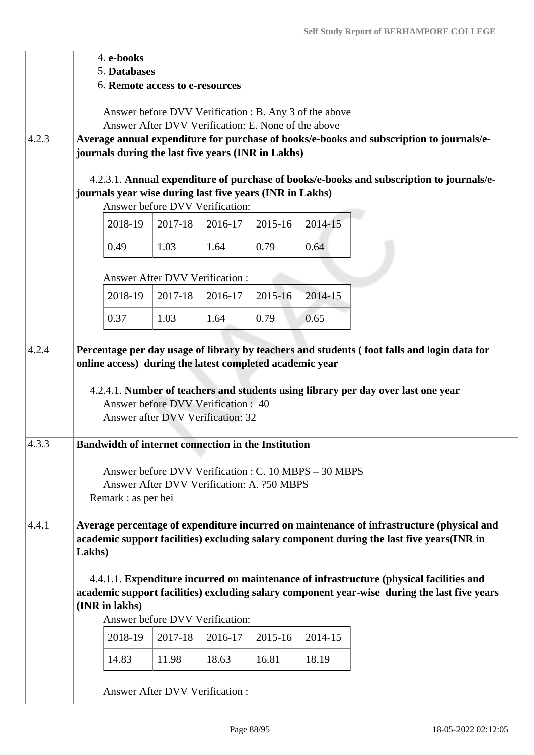|       | 4. e-books                                                                                                                                    |                                                                                                                                                                                 |         |         |         |                                                                                                                                                                                                                                                                                   |
|-------|-----------------------------------------------------------------------------------------------------------------------------------------------|---------------------------------------------------------------------------------------------------------------------------------------------------------------------------------|---------|---------|---------|-----------------------------------------------------------------------------------------------------------------------------------------------------------------------------------------------------------------------------------------------------------------------------------|
|       | 5. Databases                                                                                                                                  |                                                                                                                                                                                 |         |         |         |                                                                                                                                                                                                                                                                                   |
|       |                                                                                                                                               | 6. Remote access to e-resources                                                                                                                                                 |         |         |         |                                                                                                                                                                                                                                                                                   |
|       |                                                                                                                                               | Answer before DVV Verification : B. Any 3 of the above                                                                                                                          |         |         |         |                                                                                                                                                                                                                                                                                   |
|       |                                                                                                                                               | Answer After DVV Verification: E. None of the above                                                                                                                             |         |         |         |                                                                                                                                                                                                                                                                                   |
| 4.2.3 |                                                                                                                                               |                                                                                                                                                                                 |         |         |         | Average annual expenditure for purchase of books/e-books and subscription to journals/e-                                                                                                                                                                                          |
|       | journals during the last five years (INR in Lakhs)                                                                                            |                                                                                                                                                                                 |         |         |         |                                                                                                                                                                                                                                                                                   |
|       |                                                                                                                                               |                                                                                                                                                                                 |         |         |         |                                                                                                                                                                                                                                                                                   |
|       |                                                                                                                                               |                                                                                                                                                                                 |         |         |         | 4.2.3.1. Annual expenditure of purchase of books/e-books and subscription to journals/e-                                                                                                                                                                                          |
|       | journals year wise during last five years (INR in Lakhs)                                                                                      | Answer before DVV Verification:                                                                                                                                                 |         |         |         |                                                                                                                                                                                                                                                                                   |
|       | 2018-19                                                                                                                                       | 2017-18                                                                                                                                                                         | 2016-17 | 2015-16 | 2014-15 |                                                                                                                                                                                                                                                                                   |
|       |                                                                                                                                               |                                                                                                                                                                                 |         |         |         |                                                                                                                                                                                                                                                                                   |
|       | 0.49                                                                                                                                          | 1.03                                                                                                                                                                            | 1.64    | 0.79    | 0.64    |                                                                                                                                                                                                                                                                                   |
|       |                                                                                                                                               | <b>Answer After DVV Verification:</b>                                                                                                                                           |         |         |         |                                                                                                                                                                                                                                                                                   |
|       | 2018-19                                                                                                                                       | 2017-18                                                                                                                                                                         | 2016-17 | 2015-16 | 2014-15 |                                                                                                                                                                                                                                                                                   |
|       |                                                                                                                                               |                                                                                                                                                                                 |         |         |         |                                                                                                                                                                                                                                                                                   |
|       | 0.37                                                                                                                                          | 1.03                                                                                                                                                                            | 1.64    | 0.79    | 0.65    |                                                                                                                                                                                                                                                                                   |
| 4.3.3 | online access) during the latest completed academic year<br><b>Bandwidth of internet connection in the Institution</b><br>Remark : as per hei | Answer before DVV Verification : 40<br>Answer after DVV Verification: 32<br>Answer before DVV Verification : C. 10 MBPS – 30 MBPS<br>Answer After DVV Verification: A. 250 MBPS |         |         |         | 4.2.4.1. Number of teachers and students using library per day over last one year                                                                                                                                                                                                 |
| 4.4.1 | Lakhs)                                                                                                                                        |                                                                                                                                                                                 |         |         |         | Average percentage of expenditure incurred on maintenance of infrastructure (physical and<br>academic support facilities) excluding salary component during the last five years(INR in<br>4.4.1.1. Expenditure incurred on maintenance of infrastructure (physical facilities and |
|       | (INR in lakhs)                                                                                                                                | Answer before DVV Verification:                                                                                                                                                 |         |         |         | academic support facilities) excluding salary component year-wise during the last five years                                                                                                                                                                                      |
|       | 2018-19                                                                                                                                       | 2017-18                                                                                                                                                                         | 2016-17 | 2015-16 | 2014-15 |                                                                                                                                                                                                                                                                                   |
|       | 14.83                                                                                                                                         | 11.98                                                                                                                                                                           | 18.63   | 16.81   | 18.19   |                                                                                                                                                                                                                                                                                   |
|       |                                                                                                                                               |                                                                                                                                                                                 |         |         |         |                                                                                                                                                                                                                                                                                   |
|       |                                                                                                                                               | <b>Answer After DVV Verification:</b>                                                                                                                                           |         |         |         |                                                                                                                                                                                                                                                                                   |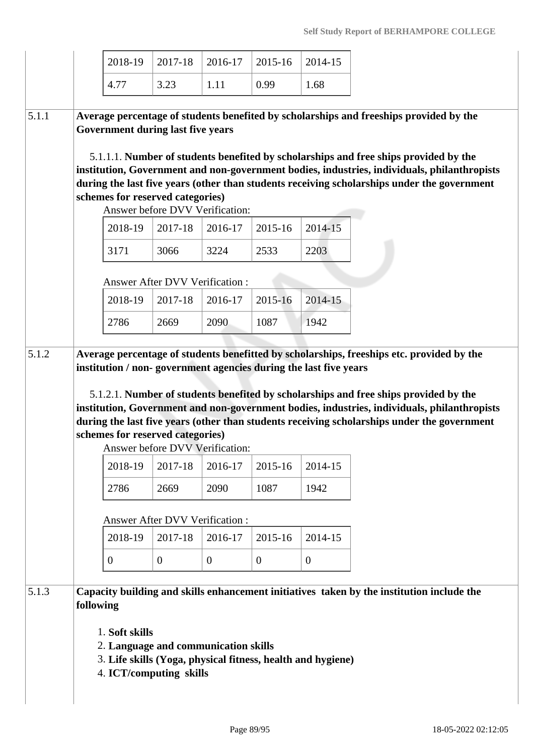| 2018-19                                                                                                                                                                                                                                                                                                                                                                                                                                                                             | 2017-18                    | 2016-17                                                                                         | 2015-16                    | 2014-15                    |
|-------------------------------------------------------------------------------------------------------------------------------------------------------------------------------------------------------------------------------------------------------------------------------------------------------------------------------------------------------------------------------------------------------------------------------------------------------------------------------------|----------------------------|-------------------------------------------------------------------------------------------------|----------------------------|----------------------------|
| 4.77                                                                                                                                                                                                                                                                                                                                                                                                                                                                                | 3.23                       | 1.11                                                                                            | 0.99                       | 1.68                       |
| Average percentage of students benefited by scholarships and freeships provided by the<br>Government during last five years<br>5.1.1.1. Number of students benefited by scholarships and free ships provided by the<br>institution, Government and non-government bodies, industries, individuals, philanthropists<br>during the last five years (other than students receiving scholarships under the government<br>schemes for reserved categories)<br>2018-19<br>3171<br>2018-19 | 2017-18<br>3066<br>2017-18 | Answer before DVV Verification:<br>2016-17<br>3224<br>Answer After DVV Verification:<br>2016-17 | 2015-16<br>2533<br>2015-16 | 2014-15<br>2203<br>2014-15 |
|                                                                                                                                                                                                                                                                                                                                                                                                                                                                                     |                            |                                                                                                 |                            |                            |
| 2786                                                                                                                                                                                                                                                                                                                                                                                                                                                                                | 2669                       | 2090                                                                                            | 1087                       | 1942                       |
| Average percentage of students benefitted by scholarships, freeships etc. provided by the<br>institution / non-government agencies during the last five years                                                                                                                                                                                                                                                                                                                       |                            |                                                                                                 |                            |                            |
| 5.1.2.1. Number of students benefited by scholarships and free ships provided by the<br>institution, Government and non-government bodies, industries, individuals, philanthropists<br>during the last five years (other than students receiving scholarships under the government<br>schemes for reserved categories)                                                                                                                                                              |                            | Answer before DVV Verification:                                                                 |                            |                            |
| 2018-19                                                                                                                                                                                                                                                                                                                                                                                                                                                                             | 2017-18                    | 2016-17                                                                                         | 2015-16                    | 2014-15                    |
| 2786                                                                                                                                                                                                                                                                                                                                                                                                                                                                                | 2669                       | 2090                                                                                            | 1087                       | 1942                       |
|                                                                                                                                                                                                                                                                                                                                                                                                                                                                                     |                            | Answer After DVV Verification:                                                                  |                            |                            |
| 2018-19                                                                                                                                                                                                                                                                                                                                                                                                                                                                             | 2017-18                    | 2016-17                                                                                         | 2015-16                    | 2014-15                    |
| $\overline{0}$                                                                                                                                                                                                                                                                                                                                                                                                                                                                      | $\overline{0}$             | $\mathbf{0}$                                                                                    | $\mathbf{0}$               | $\mathbf{0}$               |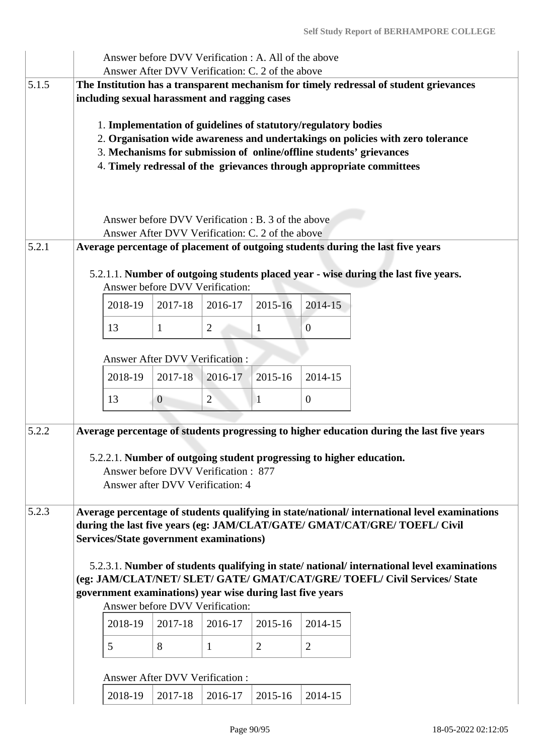|       |                                                                                                                                                                           | Answer before DVV Verification : A. All of the above<br>Answer After DVV Verification: C. 2 of the above |                |                |                |                                                                                               |  |  |  |  |  |
|-------|---------------------------------------------------------------------------------------------------------------------------------------------------------------------------|----------------------------------------------------------------------------------------------------------|----------------|----------------|----------------|-----------------------------------------------------------------------------------------------|--|--|--|--|--|
| 5.1.5 |                                                                                                                                                                           |                                                                                                          |                |                |                |                                                                                               |  |  |  |  |  |
|       | The Institution has a transparent mechanism for timely redressal of student grievances<br>including sexual harassment and ragging cases                                   |                                                                                                          |                |                |                |                                                                                               |  |  |  |  |  |
|       |                                                                                                                                                                           |                                                                                                          |                |                |                |                                                                                               |  |  |  |  |  |
|       |                                                                                                                                                                           | 1. Implementation of guidelines of statutory/regulatory bodies                                           |                |                |                |                                                                                               |  |  |  |  |  |
|       | 2. Organisation wide awareness and undertakings on policies with zero tolerance<br>3. Mechanisms for submission of online/offline students' grievances                    |                                                                                                          |                |                |                |                                                                                               |  |  |  |  |  |
|       |                                                                                                                                                                           |                                                                                                          |                |                |                | 4. Timely redressal of the grievances through appropriate committees                          |  |  |  |  |  |
|       |                                                                                                                                                                           |                                                                                                          |                |                |                |                                                                                               |  |  |  |  |  |
|       |                                                                                                                                                                           |                                                                                                          |                |                |                |                                                                                               |  |  |  |  |  |
|       |                                                                                                                                                                           | Answer before DVV Verification : B. 3 of the above                                                       |                |                |                |                                                                                               |  |  |  |  |  |
|       |                                                                                                                                                                           | Answer After DVV Verification: C. 2 of the above                                                         |                |                |                |                                                                                               |  |  |  |  |  |
| 5.2.1 |                                                                                                                                                                           |                                                                                                          |                |                |                | Average percentage of placement of outgoing students during the last five years               |  |  |  |  |  |
|       |                                                                                                                                                                           |                                                                                                          |                |                |                | 5.2.1.1. Number of outgoing students placed year - wise during the last five years.           |  |  |  |  |  |
|       |                                                                                                                                                                           | Answer before DVV Verification:                                                                          |                |                |                |                                                                                               |  |  |  |  |  |
|       | 2018-19                                                                                                                                                                   | 2017-18                                                                                                  | 2016-17        | 2015-16        | 2014-15        |                                                                                               |  |  |  |  |  |
|       | 13                                                                                                                                                                        | $\mathbf{1}$                                                                                             | $\overline{2}$ | 1              | $\overline{0}$ |                                                                                               |  |  |  |  |  |
|       | <b>Answer After DVV Verification:</b>                                                                                                                                     |                                                                                                          |                |                |                |                                                                                               |  |  |  |  |  |
|       |                                                                                                                                                                           |                                                                                                          |                |                |                |                                                                                               |  |  |  |  |  |
|       | 2018-19                                                                                                                                                                   | 2017-18                                                                                                  | 2016-17        | 2015-16        | 2014-15        |                                                                                               |  |  |  |  |  |
|       | 13                                                                                                                                                                        | $\overline{0}$                                                                                           | $\overline{2}$ | 1              | $\mathbf{0}$   |                                                                                               |  |  |  |  |  |
| 5.2.2 |                                                                                                                                                                           |                                                                                                          |                |                |                | Average percentage of students progressing to higher education during the last five years     |  |  |  |  |  |
|       | 5.2.2.1. Number of outgoing student progressing to higher education.                                                                                                      |                                                                                                          |                |                |                |                                                                                               |  |  |  |  |  |
|       |                                                                                                                                                                           | Answer before DVV Verification: 877                                                                      |                |                |                |                                                                                               |  |  |  |  |  |
|       |                                                                                                                                                                           | Answer after DVV Verification: 4                                                                         |                |                |                |                                                                                               |  |  |  |  |  |
|       |                                                                                                                                                                           |                                                                                                          |                |                |                |                                                                                               |  |  |  |  |  |
| 5.2.3 |                                                                                                                                                                           |                                                                                                          |                |                |                | Average percentage of students qualifying in state/national/ international level examinations |  |  |  |  |  |
|       | during the last five years (eg: JAM/CLAT/GATE/ GMAT/CAT/GRE/ TOEFL/ Civil<br>Services/State government examinations)                                                      |                                                                                                          |                |                |                |                                                                                               |  |  |  |  |  |
|       | 5.2.3.1. Number of students qualifying in state/national/international level examinations                                                                                 |                                                                                                          |                |                |                |                                                                                               |  |  |  |  |  |
|       |                                                                                                                                                                           |                                                                                                          |                |                |                |                                                                                               |  |  |  |  |  |
|       | (eg: JAM/CLAT/NET/ SLET/ GATE/ GMAT/CAT/GRE/ TOEFL/ Civil Services/ State<br>government examinations) year wise during last five years<br>Answer before DVV Verification: |                                                                                                          |                |                |                |                                                                                               |  |  |  |  |  |
|       |                                                                                                                                                                           |                                                                                                          |                |                |                |                                                                                               |  |  |  |  |  |
|       | 2018-19                                                                                                                                                                   | 2017-18                                                                                                  | 2016-17        | 2015-16        | 2014-15        |                                                                                               |  |  |  |  |  |
|       | 5                                                                                                                                                                         | 8                                                                                                        | $\mathbf{1}$   | $\overline{2}$ | $\overline{2}$ |                                                                                               |  |  |  |  |  |
|       |                                                                                                                                                                           | <b>Answer After DVV Verification:</b>                                                                    |                |                |                |                                                                                               |  |  |  |  |  |
|       | 2018-19                                                                                                                                                                   | 2017-18                                                                                                  | 2016-17        | 2015-16        | 2014-15        |                                                                                               |  |  |  |  |  |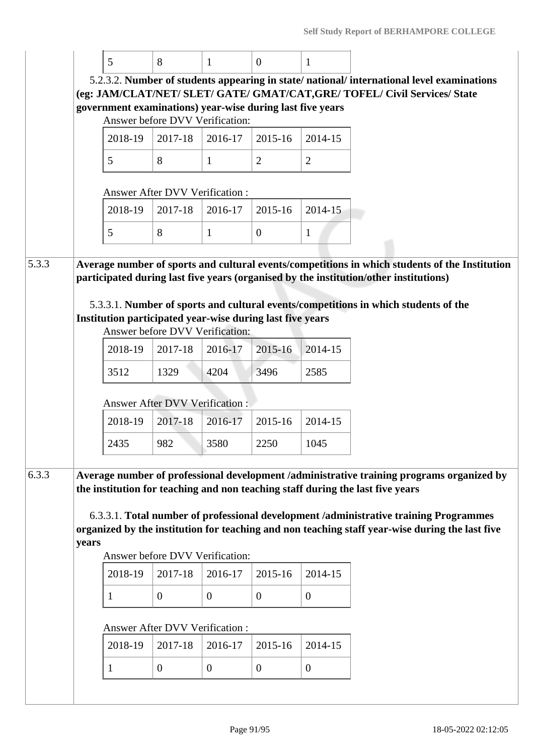|       |       | 5                                                         | 8                                     | 1              | $\overline{0}$   | 1              |                                                                                                                                                                                         |
|-------|-------|-----------------------------------------------------------|---------------------------------------|----------------|------------------|----------------|-----------------------------------------------------------------------------------------------------------------------------------------------------------------------------------------|
|       |       |                                                           |                                       |                |                  |                | 5.2.3.2. Number of students appearing in state/national/international level examinations                                                                                                |
|       |       |                                                           |                                       |                |                  |                | (eg: JAM/CLAT/NET/ SLET/ GATE/ GMAT/CAT, GRE/ TOFEL/ Civil Services/ State                                                                                                              |
|       |       | government examinations) year-wise during last five years | Answer before DVV Verification:       |                |                  |                |                                                                                                                                                                                         |
|       |       | 2018-19                                                   | 2017-18                               | 2016-17        | 2015-16          | 2014-15        |                                                                                                                                                                                         |
|       |       |                                                           |                                       |                |                  |                |                                                                                                                                                                                         |
|       |       | 5                                                         | 8                                     | $\mathbf{1}$   | $\overline{2}$   | $\overline{2}$ |                                                                                                                                                                                         |
|       |       |                                                           | <b>Answer After DVV Verification:</b> |                |                  |                |                                                                                                                                                                                         |
|       |       | 2018-19                                                   | 2017-18                               | 2016-17        | 2015-16          | 2014-15        |                                                                                                                                                                                         |
|       |       | 5                                                         | 8                                     | $\mathbf{1}$   | $\boldsymbol{0}$ | $\mathbf{1}$   |                                                                                                                                                                                         |
|       |       |                                                           |                                       |                |                  |                |                                                                                                                                                                                         |
| 5.3.3 |       |                                                           |                                       |                |                  |                | Average number of sports and cultural events/competitions in which students of the Institution<br>participated during last five years (organised by the institution/other institutions) |
|       |       |                                                           |                                       |                |                  |                |                                                                                                                                                                                         |
|       |       |                                                           |                                       |                |                  |                | 5.3.3.1. Number of sports and cultural events/competitions in which students of the                                                                                                     |
|       |       | Institution participated year-wise during last five years | Answer before DVV Verification:       |                |                  |                |                                                                                                                                                                                         |
|       |       | 2018-19                                                   | 2017-18                               | 2016-17        | 2015-16          | 2014-15        |                                                                                                                                                                                         |
|       |       | 3512                                                      | 1329                                  | 4204           | 3496             | 2585           |                                                                                                                                                                                         |
|       |       |                                                           | <b>Answer After DVV Verification:</b> |                |                  |                |                                                                                                                                                                                         |
|       |       | 2018-19                                                   | 2017-18                               | 2016-17        | 2015-16          | 2014-15        |                                                                                                                                                                                         |
|       |       | 2435                                                      | 982                                   | 3580           | 2250             | 1045           |                                                                                                                                                                                         |
|       |       |                                                           |                                       |                |                  |                |                                                                                                                                                                                         |
| 6.3.3 |       |                                                           |                                       |                |                  |                | Average number of professional development /administrative training programs organized by<br>the institution for teaching and non teaching staff during the last five years             |
|       |       |                                                           |                                       |                |                  |                |                                                                                                                                                                                         |
|       |       |                                                           |                                       |                |                  |                | 6.3.3.1. Total number of professional development /administrative training Programmes                                                                                                   |
|       | years |                                                           |                                       |                |                  |                | organized by the institution for teaching and non teaching staff year-wise during the last five                                                                                         |
|       |       |                                                           | Answer before DVV Verification:       |                |                  |                |                                                                                                                                                                                         |
|       |       | 2018-19                                                   | 2017-18                               | 2016-17        | 2015-16          | 2014-15        |                                                                                                                                                                                         |
|       |       | 1                                                         | $\mathbf{0}$                          | $\overline{0}$ | $\overline{0}$   | $\mathbf{0}$   |                                                                                                                                                                                         |
|       |       |                                                           | Answer After DVV Verification:        |                |                  |                |                                                                                                                                                                                         |
|       |       | 2018-19                                                   | 2017-18                               | 2016-17        | 2015-16          | 2014-15        |                                                                                                                                                                                         |
|       |       | 1                                                         | $\mathbf{0}$                          | $\mathbf{0}$   | $\overline{0}$   | $\mathbf{0}$   |                                                                                                                                                                                         |
|       |       |                                                           |                                       |                |                  |                |                                                                                                                                                                                         |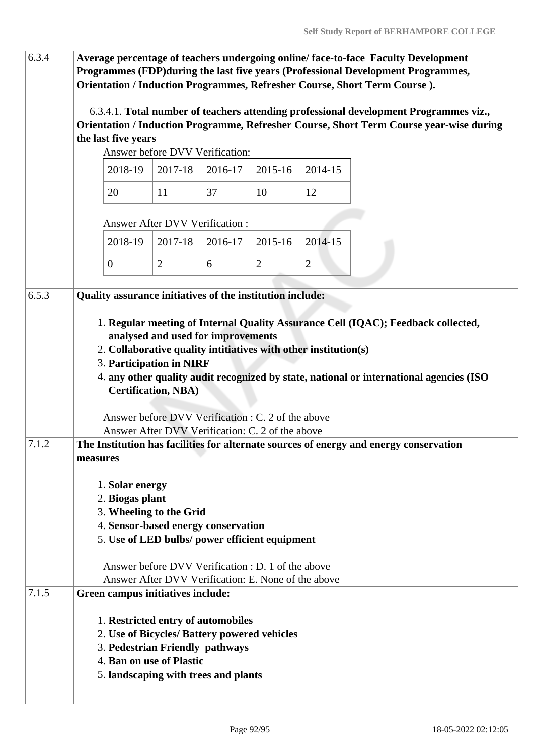| 6.3.4 | Average percentage of teachers undergoing online/face-to-face Faculty Development<br>Programmes (FDP) during the last five years (Professional Development Programmes,<br>Orientation / Induction Programmes, Refresher Course, Short Term Course). |                                                                                                                                                                            |         |                |                |                                                                                                                                                                                  |  |  |
|-------|-----------------------------------------------------------------------------------------------------------------------------------------------------------------------------------------------------------------------------------------------------|----------------------------------------------------------------------------------------------------------------------------------------------------------------------------|---------|----------------|----------------|----------------------------------------------------------------------------------------------------------------------------------------------------------------------------------|--|--|
|       | the last five years                                                                                                                                                                                                                                 | Answer before DVV Verification:                                                                                                                                            |         |                |                | 6.3.4.1. Total number of teachers attending professional development Programmes viz.,<br>Orientation / Induction Programme, Refresher Course, Short Term Course year-wise during |  |  |
|       | 2018-19                                                                                                                                                                                                                                             | 2017-18                                                                                                                                                                    | 2016-17 | 2015-16        | 2014-15        |                                                                                                                                                                                  |  |  |
|       |                                                                                                                                                                                                                                                     |                                                                                                                                                                            |         |                |                |                                                                                                                                                                                  |  |  |
|       | 20                                                                                                                                                                                                                                                  | 11                                                                                                                                                                         | 37      | 10             | 12             |                                                                                                                                                                                  |  |  |
|       |                                                                                                                                                                                                                                                     | <b>Answer After DVV Verification:</b>                                                                                                                                      |         |                |                |                                                                                                                                                                                  |  |  |
|       | 2018-19                                                                                                                                                                                                                                             | 2017-18                                                                                                                                                                    | 2016-17 | 2015-16        | 2014-15        |                                                                                                                                                                                  |  |  |
|       | $\overline{0}$                                                                                                                                                                                                                                      | $\overline{2}$                                                                                                                                                             | 6       | $\overline{2}$ | $\overline{2}$ |                                                                                                                                                                                  |  |  |
| 6.5.3 | <b>Quality assurance initiatives of the institution include:</b>                                                                                                                                                                                    |                                                                                                                                                                            |         |                |                |                                                                                                                                                                                  |  |  |
|       | 2. Collaborative quality intitiatives with other institution(s)<br>3. Participation in NIRF                                                                                                                                                         | analysed and used for improvements<br><b>Certification, NBA)</b><br>Answer before DVV Verification : C. 2 of the above<br>Answer After DVV Verification: C. 2 of the above |         |                |                | 4. any other quality audit recognized by state, national or international agencies (ISO                                                                                          |  |  |
| 7.1.2 | measures<br>1. Solar energy<br>2. Biogas plant<br>3. Wheeling to the Grid<br>4. Sensor-based energy conservation<br>5. Use of LED bulbs/ power efficient equipment                                                                                  | Answer before DVV Verification : D. 1 of the above<br>Answer After DVV Verification: E. None of the above                                                                  |         |                |                | The Institution has facilities for alternate sources of energy and energy conservation                                                                                           |  |  |
| 7.1.5 | Green campus initiatives include:<br>1. Restricted entry of automobiles<br>2. Use of Bicycles/ Battery powered vehicles<br>3. Pedestrian Friendly pathways<br>4. Ban on use of Plastic<br>5. landscaping with trees and plants                      |                                                                                                                                                                            |         |                |                |                                                                                                                                                                                  |  |  |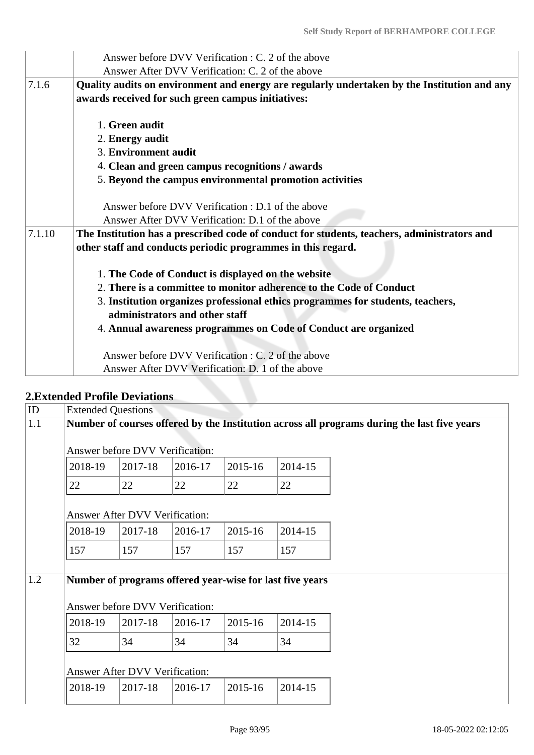|        | Answer before DVV Verification : C. 2 of the above                                           |
|--------|----------------------------------------------------------------------------------------------|
|        | Answer After DVV Verification: C. 2 of the above                                             |
| 7.1.6  | Quality audits on environment and energy are regularly undertaken by the Institution and any |
|        | awards received for such green campus initiatives:                                           |
|        | 1. Green audit                                                                               |
|        | 2. Energy audit                                                                              |
|        | 3. Environment audit                                                                         |
|        | 4. Clean and green campus recognitions / awards                                              |
|        | 5. Beyond the campus environmental promotion activities                                      |
|        | Answer before DVV Verification : D.1 of the above                                            |
|        | Answer After DVV Verification: D.1 of the above                                              |
| 7.1.10 | The Institution has a prescribed code of conduct for students, teachers, administrators and  |
|        | other staff and conducts periodic programmes in this regard.                                 |
|        |                                                                                              |
|        | 1. The Code of Conduct is displayed on the website                                           |
|        | 2. There is a committee to monitor adherence to the Code of Conduct                          |
|        | 3. Institution organizes professional ethics programmes for students, teachers,              |
|        | administrators and other staff                                                               |
|        | 4. Annual awareness programmes on Code of Conduct are organized                              |
|        | Answer before DVV Verification : C. 2 of the above                                           |
|        | Answer After DVV Verification: D. 1 of the above                                             |

# **2.Extended Profile Deviations**

| ID  | <b>Extended Questions</b>                                                                   |         |         |         |         |  |  |  |
|-----|---------------------------------------------------------------------------------------------|---------|---------|---------|---------|--|--|--|
| 1.1 | Number of courses offered by the Institution across all programs during the last five years |         |         |         |         |  |  |  |
|     | Answer before DVV Verification:                                                             |         |         |         |         |  |  |  |
|     | 2018-19                                                                                     | 2017-18 | 2016-17 | 2015-16 | 2014-15 |  |  |  |
|     | 22                                                                                          | 22      | 22      | 22      | 22      |  |  |  |
|     | <b>Answer After DVV Verification:</b>                                                       |         |         |         |         |  |  |  |
|     | 2018-19                                                                                     | 2017-18 | 2016-17 | 2015-16 | 2014-15 |  |  |  |
|     | 157                                                                                         | 157     | 157     | 157     | 157     |  |  |  |
| 1.2 | Number of programs offered year-wise for last five years<br>Answer before DVV Verification: |         |         |         |         |  |  |  |
|     | 2018-19                                                                                     | 2017-18 | 2016-17 | 2015-16 | 2014-15 |  |  |  |
|     | 32                                                                                          | 34      | 34      | 34      | 34      |  |  |  |
|     | Answer After DVV Verification:                                                              |         |         |         |         |  |  |  |
|     | 2018-19                                                                                     | 2017-18 | 2016-17 | 2015-16 | 2014-15 |  |  |  |
|     |                                                                                             |         |         |         |         |  |  |  |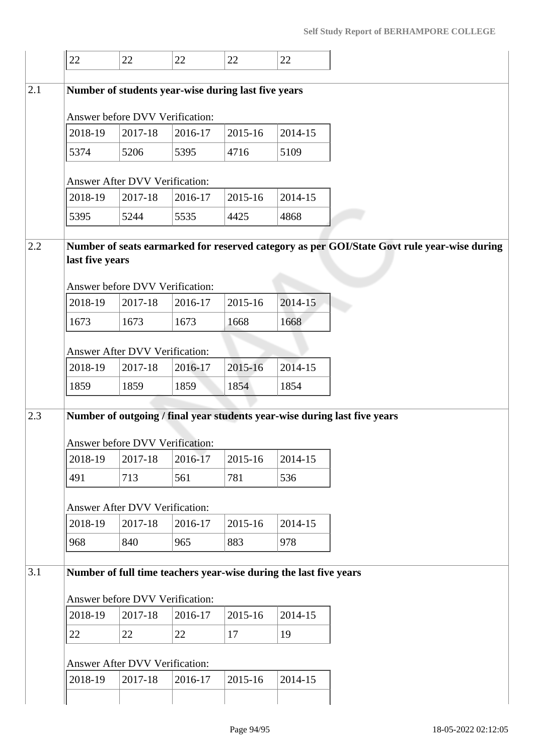|     | 22                                                                                                                                                | 22                             | 22      | 22      | 22      |  |  |  |  |
|-----|---------------------------------------------------------------------------------------------------------------------------------------------------|--------------------------------|---------|---------|---------|--|--|--|--|
| 2.1 | Number of students year-wise during last five years                                                                                               |                                |         |         |         |  |  |  |  |
|     | Answer before DVV Verification:                                                                                                                   |                                |         |         |         |  |  |  |  |
|     | 2018-19                                                                                                                                           | 2017-18                        | 2016-17 | 2015-16 | 2014-15 |  |  |  |  |
|     | 5374                                                                                                                                              | 5206                           | 5395    | 4716    | 5109    |  |  |  |  |
|     |                                                                                                                                                   | Answer After DVV Verification: |         |         |         |  |  |  |  |
|     | 2018-19                                                                                                                                           | 2017-18                        | 2016-17 | 2015-16 | 2014-15 |  |  |  |  |
|     | 5395                                                                                                                                              | 5244                           | 5535    | 4425    | 4868    |  |  |  |  |
| 2.2 | Number of seats earmarked for reserved category as per GOI/State Govt rule year-wise during<br>last five years<br>Answer before DVV Verification: |                                |         |         |         |  |  |  |  |
|     | 2018-19                                                                                                                                           | 2017-18                        | 2016-17 | 2015-16 | 2014-15 |  |  |  |  |
|     | 1673                                                                                                                                              | 1673                           | 1673    | 1668    | 1668    |  |  |  |  |
|     | Answer After DVV Verification:                                                                                                                    |                                |         |         |         |  |  |  |  |
|     | 2018-19                                                                                                                                           | 2017-18                        | 2016-17 | 2015-16 | 2014-15 |  |  |  |  |
|     | 1859                                                                                                                                              | 1859                           | 1859    | 1854    | 1854    |  |  |  |  |
| 2.3 | Number of outgoing / final year students year-wise during last five years<br>Answer before DVV Verification:                                      |                                |         |         |         |  |  |  |  |
|     | 2018-19                                                                                                                                           | 2017-18                        | 2016-17 | 2015-16 | 2014-15 |  |  |  |  |
|     | 491                                                                                                                                               | 713                            | 561     | 781     | 536     |  |  |  |  |
|     | Answer After DVV Verification:                                                                                                                    |                                |         |         |         |  |  |  |  |
| 3.1 | 2018-19                                                                                                                                           | 2017-18                        | 2016-17 | 2015-16 | 2014-15 |  |  |  |  |
|     | 968                                                                                                                                               | 840                            | 965     | 883     | 978     |  |  |  |  |
|     | Number of full time teachers year-wise during the last five years<br>Answer before DVV Verification:                                              |                                |         |         |         |  |  |  |  |
|     | 2018-19                                                                                                                                           | 2017-18                        | 2016-17 | 2015-16 | 2014-15 |  |  |  |  |
|     | 22                                                                                                                                                | 22                             | 22      | 17      | 19      |  |  |  |  |
|     | Answer After DVV Verification:                                                                                                                    |                                |         |         |         |  |  |  |  |
|     | 2018-19                                                                                                                                           | 2017-18                        | 2016-17 | 2015-16 | 2014-15 |  |  |  |  |
|     |                                                                                                                                                   |                                |         |         |         |  |  |  |  |